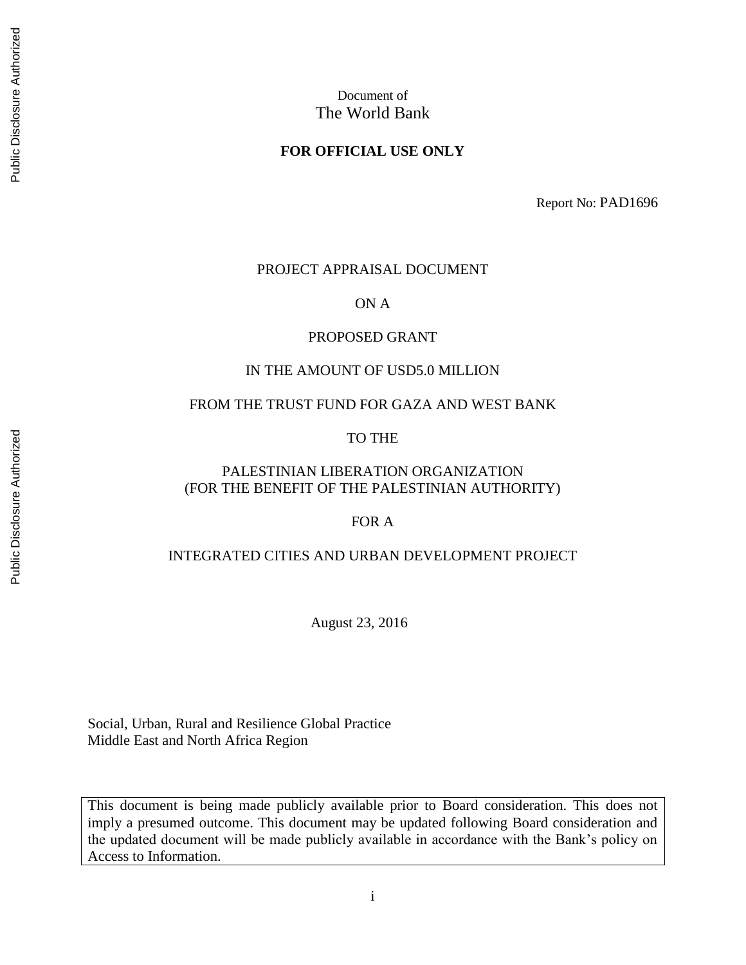# Document of The World Bank

#### **FOR OFFICIAL USE ONLY**

Report No: PAD1696

#### PROJECT APPRAISAL DOCUMENT

ON A

#### PROPOSED GRANT

#### IN THE AMOUNT OF USD5.0 MILLION

#### FROM THE TRUST FUND FOR GAZA AND WEST BANK

#### TO THE

## PALESTINIAN LIBERATION ORGANIZATION (FOR THE BENEFIT OF THE PALESTINIAN AUTHORITY)

## FOR A

#### INTEGRATED CITIES AND URBAN DEVELOPMENT PROJECT

August 23, 2016

Social, Urban, Rural and Resilience Global Practice Middle East and North Africa Region

This document is being made publicly available prior to Board consideration. This does not imply a presumed outcome. This document may be updated following Board consideration and the updated document will be made publicly available in accordance with the Bank's policy on Access to Information.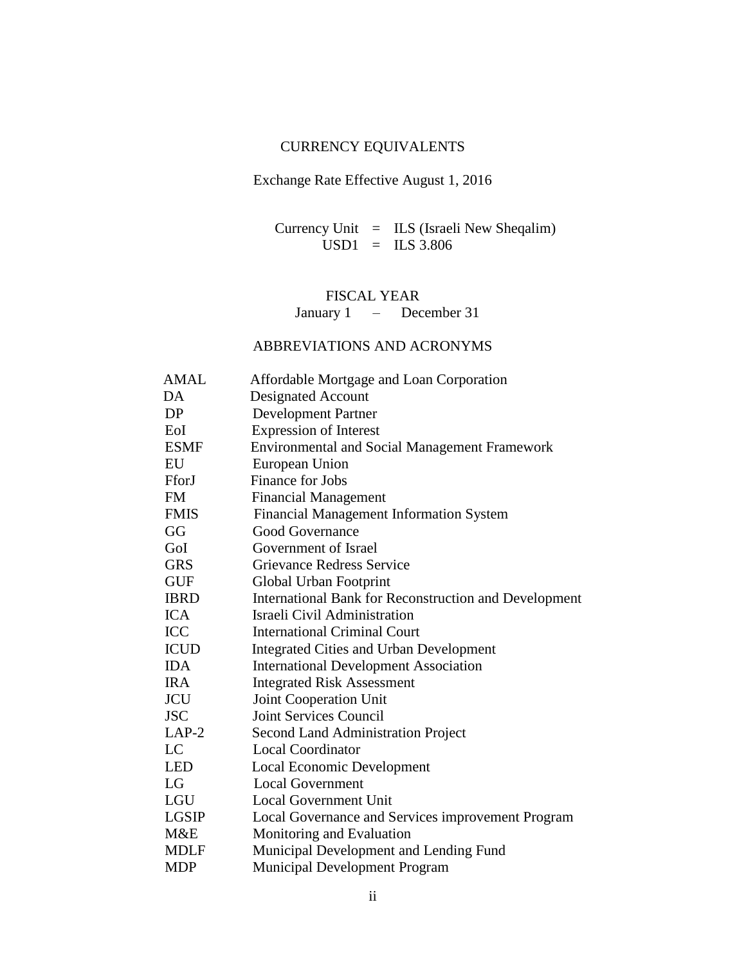## CURRENCY EQUIVALENTS

## Exchange Rate Effective August 1, 2016

Currency Unit = ILS (Israeli New Sheqalim)  $\text{USD1}$  = ILS 3.806

## FISCAL YEAR January 1 – December 31

## ABBREVIATIONS AND ACRONYMS

| <b>AMAL</b>  | Affordable Mortgage and Loan Corporation              |
|--------------|-------------------------------------------------------|
| DA           | <b>Designated Account</b>                             |
| DP           | <b>Development Partner</b>                            |
| EoI          | <b>Expression of Interest</b>                         |
| <b>ESMF</b>  | <b>Environmental and Social Management Framework</b>  |
| EU           | European Union                                        |
| FforJ        | Finance for Jobs                                      |
| <b>FM</b>    | <b>Financial Management</b>                           |
| <b>FMIS</b>  | <b>Financial Management Information System</b>        |
| GG           | <b>Good Governance</b>                                |
| GoI          | Government of Israel                                  |
| <b>GRS</b>   | <b>Grievance Redress Service</b>                      |
| <b>GUF</b>   | Global Urban Footprint                                |
| <b>IBRD</b>  | International Bank for Reconstruction and Development |
| <b>ICA</b>   | Israeli Civil Administration                          |
| <b>ICC</b>   | <b>International Criminal Court</b>                   |
| <b>ICUD</b>  | <b>Integrated Cities and Urban Development</b>        |
| <b>IDA</b>   | <b>International Development Association</b>          |
| <b>IRA</b>   | <b>Integrated Risk Assessment</b>                     |
| <b>JCU</b>   | Joint Cooperation Unit                                |
| <b>JSC</b>   | Joint Services Council                                |
| $LAP-2$      | <b>Second Land Administration Project</b>             |
| LC           | <b>Local Coordinator</b>                              |
| <b>LED</b>   | <b>Local Economic Development</b>                     |
| LG           | <b>Local Government</b>                               |
| LGU          | Local Government Unit                                 |
| <b>LGSIP</b> | Local Governance and Services improvement Program     |
| M&E          | Monitoring and Evaluation                             |
| <b>MDLF</b>  | Municipal Development and Lending Fund                |
| <b>MDP</b>   | <b>Municipal Development Program</b>                  |
|              |                                                       |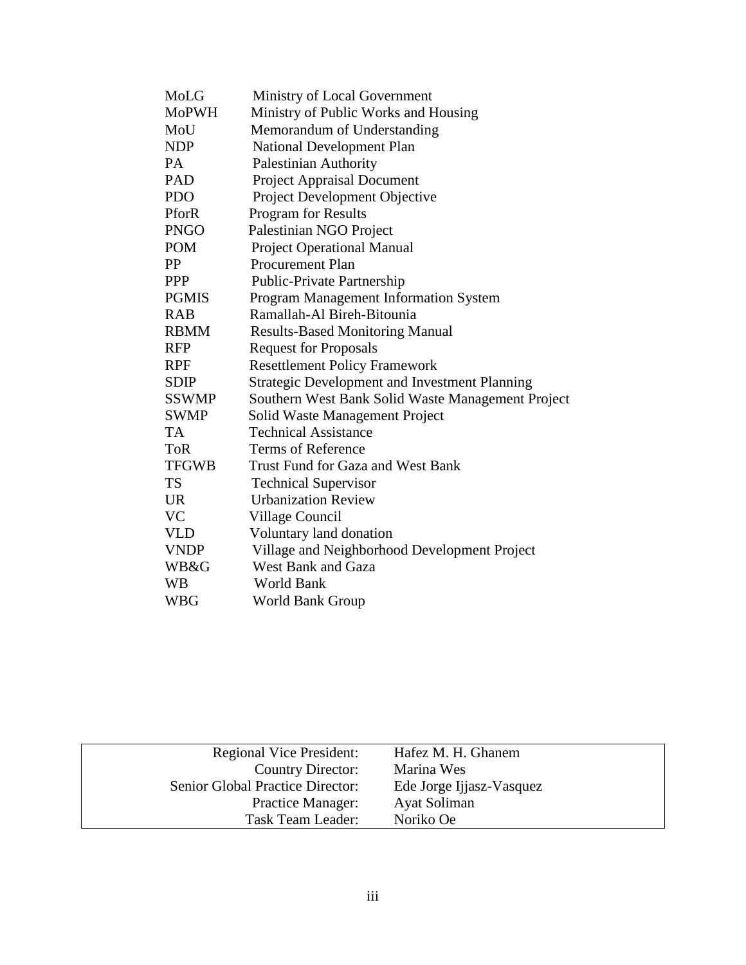| MoLG         | Ministry of Local Government                      |
|--------------|---------------------------------------------------|
| <b>MoPWH</b> | Ministry of Public Works and Housing              |
| MoU          | Memorandum of Understanding                       |
| <b>NDP</b>   | <b>National Development Plan</b>                  |
| <b>PA</b>    | <b>Palestinian Authority</b>                      |
| <b>PAD</b>   | <b>Project Appraisal Document</b>                 |
| <b>PDO</b>   | Project Development Objective                     |
| PforR        | <b>Program for Results</b>                        |
| <b>PNGO</b>  | Palestinian NGO Project                           |
| <b>POM</b>   | <b>Project Operational Manual</b>                 |
| PP           | <b>Procurement Plan</b>                           |
| <b>PPP</b>   | Public-Private Partnership                        |
| <b>PGMIS</b> | <b>Program Management Information System</b>      |
| <b>RAB</b>   | Ramallah-Al Bireh-Bitounia                        |
| <b>RBMM</b>  | <b>Results-Based Monitoring Manual</b>            |
| <b>RFP</b>   | <b>Request for Proposals</b>                      |
| RPF          | <b>Resettlement Policy Framework</b>              |
| <b>SDIP</b>  | Strategic Development and Investment Planning     |
| <b>SSWMP</b> | Southern West Bank Solid Waste Management Project |
| <b>SWMP</b>  | Solid Waste Management Project                    |
| TA           | <b>Technical Assistance</b>                       |
| <b>ToR</b>   | <b>Terms of Reference</b>                         |
| <b>TFGWB</b> | Trust Fund for Gaza and West Bank                 |
| <b>TS</b>    | <b>Technical Supervisor</b>                       |
| <b>UR</b>    | <b>Urbanization Review</b>                        |
| <b>VC</b>    | Village Council                                   |
| <b>VLD</b>   | Voluntary land donation                           |
| <b>VNDP</b>  | Village and Neighborhood Development Project      |
| WB&G         | <b>West Bank and Gaza</b>                         |
| WВ           | <b>World Bank</b>                                 |
| WBG          | World Bank Group                                  |

| <b>Regional Vice President:</b>  | Hafez M. H. Ghanem       |
|----------------------------------|--------------------------|
| Country Director:                | Marina Wes               |
| Senior Global Practice Director: | Ede Jorge Ijjasz-Vasquez |
| <b>Practice Manager:</b>         | Ayat Soliman             |
| Task Team Leader:                | Noriko Oe                |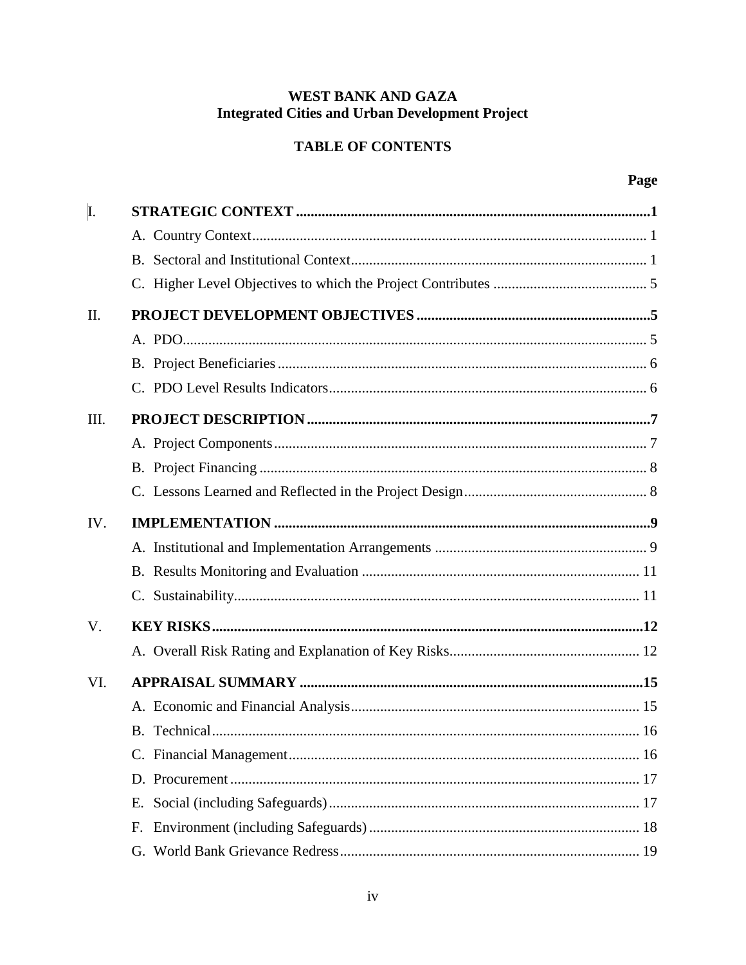# WEST BANK AND GAZA **Integrated Cities and Urban Development Project**

# **TABLE OF CONTENTS**

| I.          |    |  |
|-------------|----|--|
|             |    |  |
|             |    |  |
|             |    |  |
| II.         |    |  |
|             |    |  |
|             |    |  |
|             |    |  |
| III.        |    |  |
|             |    |  |
|             |    |  |
|             |    |  |
| IV.         |    |  |
|             |    |  |
|             |    |  |
|             |    |  |
| $V_{\cdot}$ |    |  |
|             |    |  |
| VI.         |    |  |
|             |    |  |
|             |    |  |
|             |    |  |
|             |    |  |
|             | Е. |  |
|             | F. |  |
|             |    |  |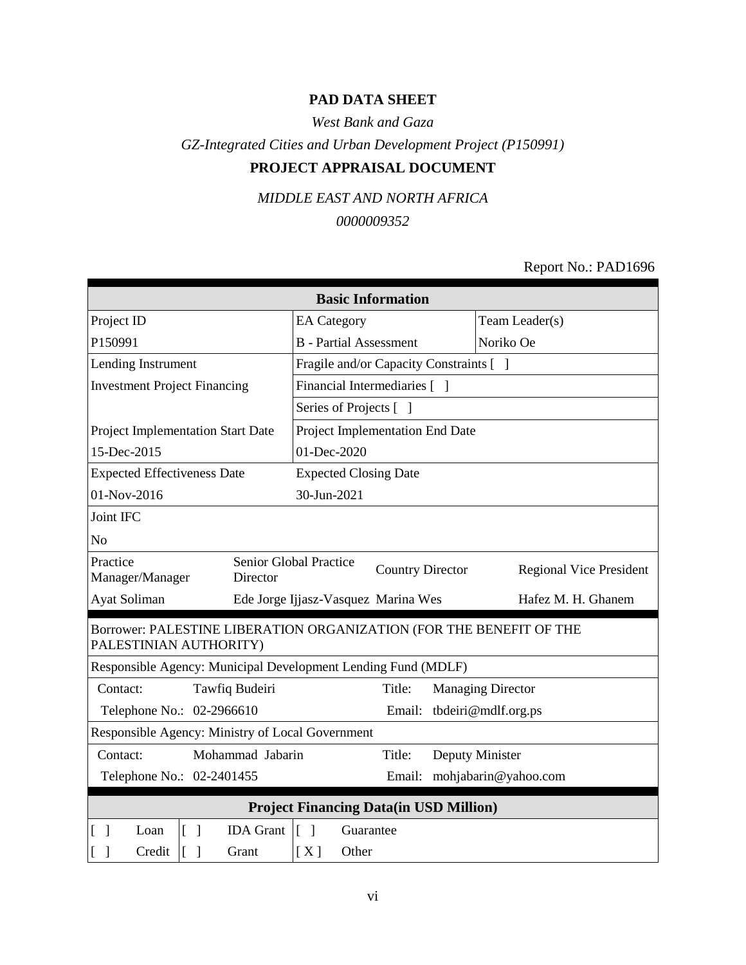## **PAD DATA SHEET**

*West Bank and Gaza*

*GZ-Integrated Cities and Urban Development Project (P150991)*

# **PROJECT APPRAISAL DOCUMENT**

*MIDDLE EAST AND NORTH AFRICA*

*0000009352*

## Report No.: PAD1696

| <b>Basic Information</b>                                                                      |                                               |           |           |                                |  |  |  |  |
|-----------------------------------------------------------------------------------------------|-----------------------------------------------|-----------|-----------|--------------------------------|--|--|--|--|
| Project ID                                                                                    | <b>EA</b> Category                            |           |           | Team Leader(s)                 |  |  |  |  |
| P150991                                                                                       | <b>B</b> - Partial Assessment                 |           | Noriko Oe |                                |  |  |  |  |
| Lending Instrument                                                                            | Fragile and/or Capacity Constraints [ ]       |           |           |                                |  |  |  |  |
| <b>Investment Project Financing</b>                                                           | Financial Intermediaries [ ]                  |           |           |                                |  |  |  |  |
|                                                                                               | Series of Projects [ ]                        |           |           |                                |  |  |  |  |
| Project Implementation Start Date                                                             | Project Implementation End Date               |           |           |                                |  |  |  |  |
| 15-Dec-2015                                                                                   | 01-Dec-2020                                   |           |           |                                |  |  |  |  |
| <b>Expected Effectiveness Date</b>                                                            | <b>Expected Closing Date</b>                  |           |           |                                |  |  |  |  |
| 01-Nov-2016                                                                                   | 30-Jun-2021                                   |           |           |                                |  |  |  |  |
| Joint IFC                                                                                     |                                               |           |           |                                |  |  |  |  |
| N <sub>o</sub>                                                                                |                                               |           |           |                                |  |  |  |  |
| Practice<br>Senior Global Practice<br><b>Country Director</b><br>Manager/Manager<br>Director  |                                               |           |           | <b>Regional Vice President</b> |  |  |  |  |
| Ayat Soliman                                                                                  | Ede Jorge Ijjasz-Vasquez Marina Wes           |           |           | Hafez M. H. Ghanem             |  |  |  |  |
| Borrower: PALESTINE LIBERATION ORGANIZATION (FOR THE BENEFIT OF THE<br>PALESTINIAN AUTHORITY) |                                               |           |           |                                |  |  |  |  |
| Responsible Agency: Municipal Development Lending Fund (MDLF)                                 |                                               |           |           |                                |  |  |  |  |
| Tawfiq Budeiri<br>Contact:                                                                    |                                               | Title:    |           | <b>Managing Director</b>       |  |  |  |  |
| Telephone No.: 02-2966610                                                                     |                                               |           |           | Email: tbdeiri@mdlf.org.ps     |  |  |  |  |
| Responsible Agency: Ministry of Local Government                                              |                                               |           |           |                                |  |  |  |  |
| Contact:                                                                                      | Mohammad Jabarin<br>Deputy Minister<br>Title: |           |           |                                |  |  |  |  |
| Telephone No.: 02-2401455<br>Email: mohjabarin@yahoo.com                                      |                                               |           |           |                                |  |  |  |  |
| <b>Project Financing Data(in USD Million)</b>                                                 |                                               |           |           |                                |  |  |  |  |
| <b>IDA</b> Grant<br>Loan<br>$\lceil \; \rceil$<br>$\blacksquare$                              | $\lceil \ \rceil$                             | Guarantee |           |                                |  |  |  |  |
| Credit<br>$\lceil$<br>Grant                                                                   | [X]<br>Other                                  |           |           |                                |  |  |  |  |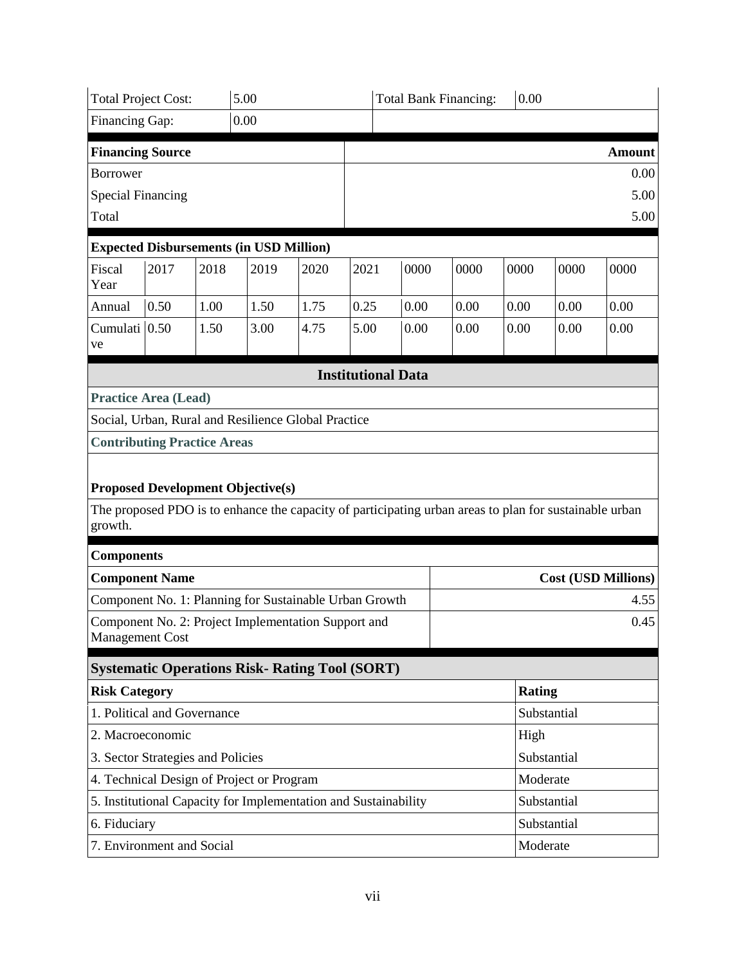| 5.00<br>0.00<br><b>Total Project Cost:</b><br><b>Total Bank Financing:</b> |      |      |                                                                                                        |      |      |  |                           |             |               |             |                            |
|----------------------------------------------------------------------------|------|------|--------------------------------------------------------------------------------------------------------|------|------|--|---------------------------|-------------|---------------|-------------|----------------------------|
| Financing Gap:                                                             |      |      | 0.00                                                                                                   |      |      |  |                           |             |               |             |                            |
| <b>Financing Source</b>                                                    |      |      |                                                                                                        |      |      |  |                           |             |               |             | <b>Amount</b>              |
| <b>Borrower</b>                                                            |      |      |                                                                                                        |      |      |  |                           |             |               |             | 0.00                       |
| <b>Special Financing</b>                                                   |      |      |                                                                                                        |      |      |  |                           |             |               |             | 5.00                       |
| Total                                                                      |      |      |                                                                                                        |      |      |  |                           |             |               |             | 5.00                       |
| <b>Expected Disbursements (in USD Million)</b>                             |      |      |                                                                                                        |      |      |  |                           |             |               |             |                            |
| Fiscal<br>Year                                                             | 2017 | 2018 | 2019                                                                                                   | 2020 | 2021 |  | 0000                      | 0000        | 0000          | 0000        | 0000                       |
| Annual                                                                     | 0.50 | 1.00 | 1.50                                                                                                   | 1.75 | 0.25 |  | 0.00                      | 0.00        | 0.00          | 0.00        | 0.00                       |
| Cumulati 0.50<br>ve                                                        |      | 1.50 | 3.00                                                                                                   | 4.75 | 5.00 |  | 0.00                      | 0.00        | 0.00          | 0.00        | 0.00                       |
|                                                                            |      |      |                                                                                                        |      |      |  | <b>Institutional Data</b> |             |               |             |                            |
| <b>Practice Area (Lead)</b>                                                |      |      |                                                                                                        |      |      |  |                           |             |               |             |                            |
|                                                                            |      |      | Social, Urban, Rural and Resilience Global Practice                                                    |      |      |  |                           |             |               |             |                            |
| <b>Contributing Practice Areas</b>                                         |      |      |                                                                                                        |      |      |  |                           |             |               |             |                            |
|                                                                            |      |      |                                                                                                        |      |      |  |                           |             |               |             |                            |
|                                                                            |      |      | <b>Proposed Development Objective(s)</b>                                                               |      |      |  |                           |             |               |             |                            |
| growth.                                                                    |      |      | The proposed PDO is to enhance the capacity of participating urban areas to plan for sustainable urban |      |      |  |                           |             |               |             |                            |
| <b>Components</b>                                                          |      |      |                                                                                                        |      |      |  |                           |             |               |             |                            |
| <b>Component Name</b>                                                      |      |      |                                                                                                        |      |      |  |                           |             |               |             | <b>Cost (USD Millions)</b> |
|                                                                            |      |      | Component No. 1: Planning for Sustainable Urban Growth                                                 |      |      |  |                           |             |               |             | 4.55                       |
| <b>Management Cost</b>                                                     |      |      | Component No. 2: Project Implementation Support and                                                    |      |      |  |                           |             |               |             | 0.45                       |
|                                                                            |      |      | <b>Systematic Operations Risk- Rating Tool (SORT)</b>                                                  |      |      |  |                           |             |               |             |                            |
| <b>Risk Category</b>                                                       |      |      |                                                                                                        |      |      |  |                           |             | <b>Rating</b> |             |                            |
| 1. Political and Governance                                                |      |      |                                                                                                        |      |      |  | Substantial               |             |               |             |                            |
| 2. Macroeconomic                                                           |      |      |                                                                                                        |      |      |  | High                      |             |               |             |                            |
| 3. Sector Strategies and Policies                                          |      |      |                                                                                                        |      |      |  |                           |             |               | Substantial |                            |
| 4. Technical Design of Project or Program                                  |      |      |                                                                                                        |      |      |  |                           | Moderate    |               |             |                            |
|                                                                            |      |      | 5. Institutional Capacity for Implementation and Sustainability                                        |      |      |  |                           |             |               | Substantial |                            |
| 6. Fiduciary                                                               |      |      |                                                                                                        |      |      |  |                           | Substantial |               |             |                            |
| 7. Environment and Social                                                  |      |      |                                                                                                        |      |      |  | Moderate                  |             |               |             |                            |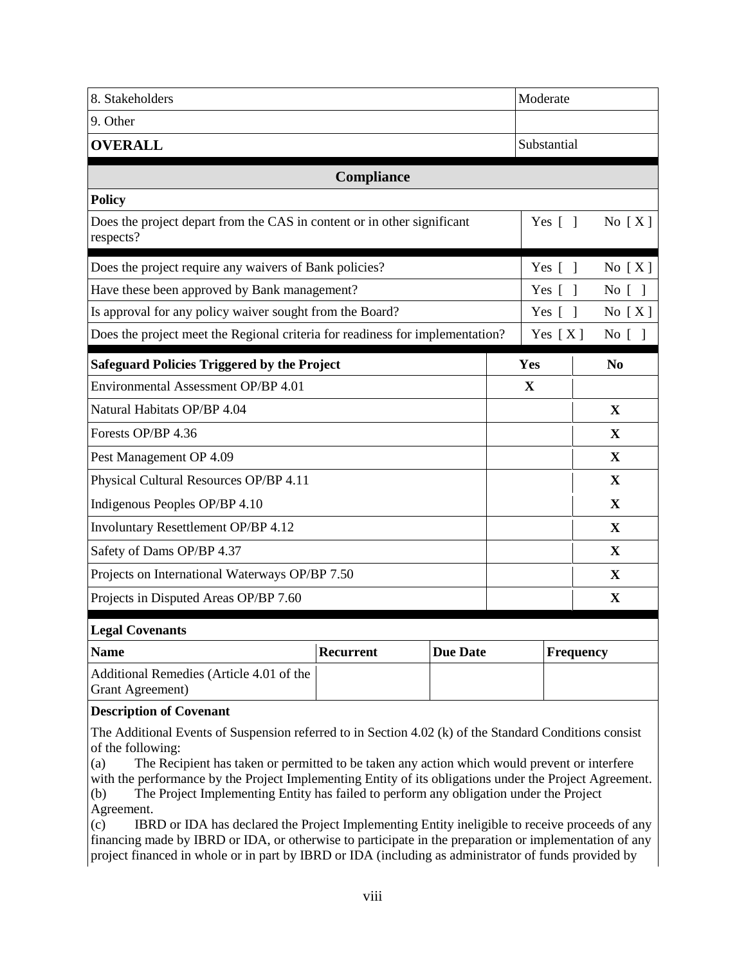| 8. Stakeholders                                                                      |                  |                 | Moderate               |                                    |
|--------------------------------------------------------------------------------------|------------------|-----------------|------------------------|------------------------------------|
| 9. Other                                                                             |                  |                 |                        |                                    |
| <b>OVERALL</b>                                                                       |                  |                 | Substantial            |                                    |
|                                                                                      | Compliance       |                 |                        |                                    |
| <b>Policy</b>                                                                        |                  |                 |                        |                                    |
| Does the project depart from the CAS in content or in other significant<br>respects? |                  |                 | Yes $[$ $]$            | No $[X]$                           |
| Does the project require any waivers of Bank policies?                               |                  |                 | Yes $\lceil \; \rceil$ | No $[X]$                           |
| Have these been approved by Bank management?                                         |                  |                 | Yes [<br>- 1           | No $[$<br>$\overline{\phantom{a}}$ |
| Is approval for any policy waiver sought from the Board?                             |                  |                 | Yes $\lceil \; \rceil$ | No $[X]$                           |
| Does the project meet the Regional criteria for readiness for implementation?        |                  |                 | Yes $[X]$              | No [ ]                             |
| <b>Safeguard Policies Triggered by the Project</b>                                   |                  |                 | Yes                    | No                                 |
| Environmental Assessment OP/BP 4.01                                                  |                  |                 | X                      |                                    |
| Natural Habitats OP/BP 4.04                                                          |                  |                 |                        | X                                  |
| Forests OP/BP 4.36                                                                   |                  |                 |                        | $\mathbf{X}$                       |
| Pest Management OP 4.09                                                              |                  |                 |                        | $\mathbf{X}$                       |
| Physical Cultural Resources OP/BP 4.11                                               |                  |                 |                        | $\mathbf{X}$                       |
| Indigenous Peoples OP/BP 4.10                                                        |                  |                 |                        | X                                  |
| Involuntary Resettlement OP/BP 4.12                                                  |                  |                 |                        | X                                  |
| Safety of Dams OP/BP 4.37                                                            |                  |                 |                        | $\mathbf X$                        |
| Projects on International Waterways OP/BP 7.50                                       |                  |                 |                        | X                                  |
| Projects in Disputed Areas OP/BP 7.60                                                |                  |                 |                        | $\mathbf X$                        |
| <b>Legal Covenants</b>                                                               |                  |                 |                        |                                    |
| <b>Name</b>                                                                          | <b>Recurrent</b> | <b>Due Date</b> | <b>Frequency</b>       |                                    |
| Additional Remedies (Article 4.01 of the<br>Grant Agreement)                         |                  |                 |                        |                                    |

#### **Description of Covenant**

The Additional Events of Suspension referred to in Section 4.02 (k) of the Standard Conditions consist of the following:

(a) The Recipient has taken or permitted to be taken any action which would prevent or interfere with the performance by the Project Implementing Entity of its obligations under the Project Agreement.

(b) The Project Implementing Entity has failed to perform any obligation under the Project Agreement.

(c) IBRD or IDA has declared the Project Implementing Entity ineligible to receive proceeds of any financing made by IBRD or IDA, or otherwise to participate in the preparation or implementation of any project financed in whole or in part by IBRD or IDA (including as administrator of funds provided by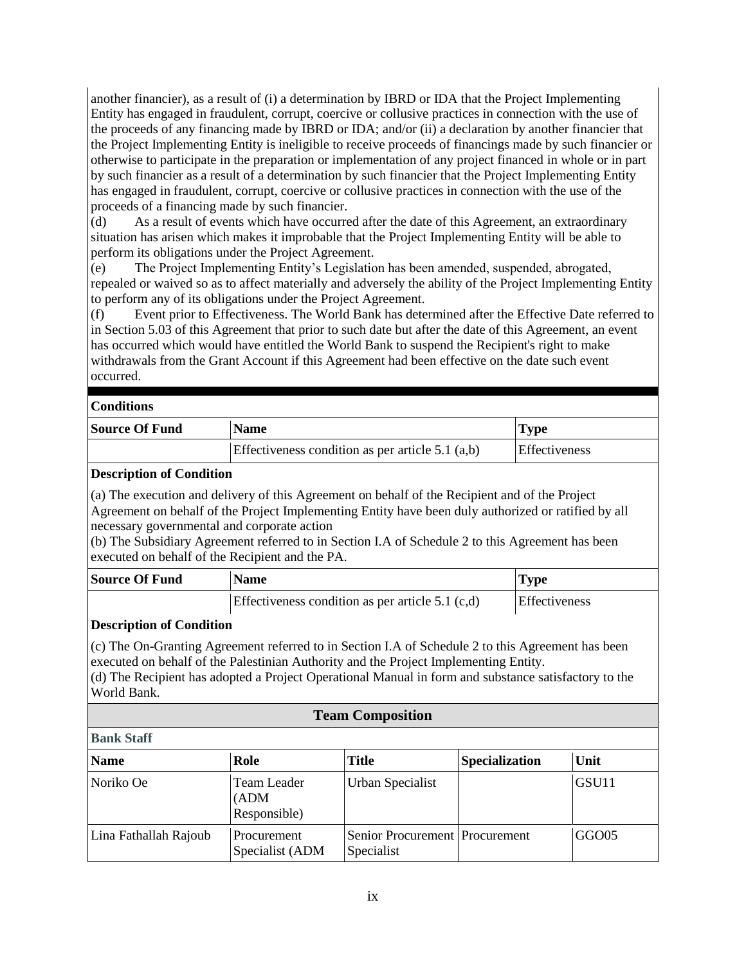another financier), as a result of (i) a determination by IBRD or IDA that the Project Implementing Entity has engaged in fraudulent, corrupt, coercive or collusive practices in connection with the use of the proceeds of any financing made by IBRD or IDA; and/or (ii) a declaration by another financier that the Project Implementing Entity is ineligible to receive proceeds of financings made by such financier or otherwise to participate in the preparation or implementation of any project financed in whole or in part by such financier as a result of a determination by such financier that the Project Implementing Entity has engaged in fraudulent, corrupt, coercive or collusive practices in connection with the use of the proceeds of a financing made by such financier.

(d) As a result of events which have occurred after the date of this Agreement, an extraordinary situation has arisen which makes it improbable that the Project Implementing Entity will be able to perform its obligations under the Project Agreement.

(e) The Project Implementing Entity's Legislation has been amended, suspended, abrogated, repealed or waived so as to affect materially and adversely the ability of the Project Implementing Entity to perform any of its obligations under the Project Agreement.

(f) Event prior to Effectiveness. The World Bank has determined after the Effective Date referred to in Section 5.03 of this Agreement that prior to such date but after the date of this Agreement, an event has occurred which would have entitled the World Bank to suspend the Recipient's right to make withdrawals from the Grant Account if this Agreement had been effective on the date such event occurred.

#### **Conditions**

| <b>Source Of Fund</b> | <b>Name</b>                                        | <b>Type</b>          |  |
|-----------------------|----------------------------------------------------|----------------------|--|
|                       | Effectiveness condition as per article $5.1$ (a,b) | <b>Effectiveness</b> |  |

#### **Description of Condition**

(a) The execution and delivery of this Agreement on behalf of the Recipient and of the Project Agreement on behalf of the Project Implementing Entity have been duly authorized or ratified by all necessary governmental and corporate action

(b) The Subsidiary Agreement referred to in Section I.A of Schedule 2 to this Agreement has been executed on behalf of the Recipient and the PA.

| <b>Source Of Fund</b> | <b>Name</b><br>$\mathbf{I}$ Type                   |                      |  |  |
|-----------------------|----------------------------------------------------|----------------------|--|--|
|                       | Effectiveness condition as per article $5.1$ (c,d) | <b>Effectiveness</b> |  |  |

#### **Description of Condition**

(c) The On-Granting Agreement referred to in Section I.A of Schedule 2 to this Agreement has been executed on behalf of the Palestinian Authority and the Project Implementing Entity. (d) The Recipient has adopted a Project Operational Manual in form and substance satisfactory to the World Bank.

#### **Team Composition**

| <b>Bank Staff</b>     |                                      |                                                |                       |                   |  |  |  |  |
|-----------------------|--------------------------------------|------------------------------------------------|-----------------------|-------------------|--|--|--|--|
| <b>Name</b>           | Role                                 | <b>Title</b>                                   | <b>Specialization</b> | Unit              |  |  |  |  |
| Noriko Oe             | Team Leader<br>(ADM)<br>Responsible) | Urban Specialist                               |                       | GSU <sub>11</sub> |  |  |  |  |
| Lina Fathallah Rajoub | Procurement<br>Specialist (ADM       | Senior Procurement   Procurement<br>Specialist |                       | GGO05             |  |  |  |  |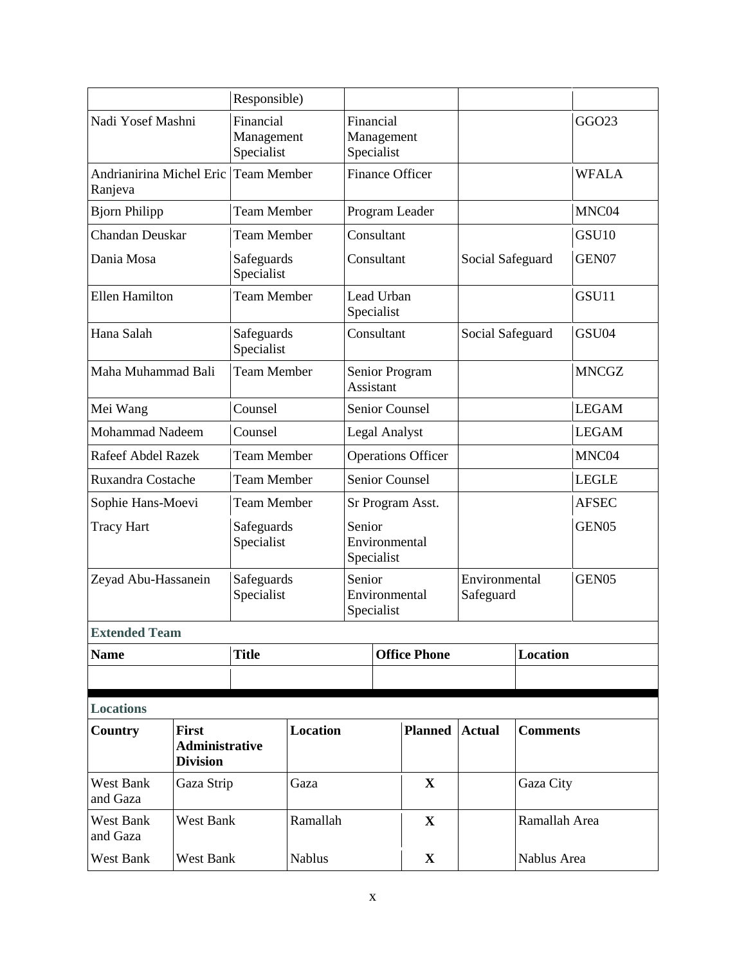|                                                 |                                                          | Responsible)                          |                                       |                                    |                                       |                        |                            |                 |                   |
|-------------------------------------------------|----------------------------------------------------------|---------------------------------------|---------------------------------------|------------------------------------|---------------------------------------|------------------------|----------------------------|-----------------|-------------------|
| Nadi Yosef Mashni                               |                                                          | Financial<br>Management<br>Specialist | Financial<br>Management<br>Specialist |                                    |                                       |                        |                            |                 | GGO23             |
| Andrianirina Michel Eric Team Member<br>Ranjeva |                                                          |                                       |                                       |                                    |                                       | <b>Finance Officer</b> |                            |                 | <b>WFALA</b>      |
| <b>Bjorn Philipp</b>                            |                                                          | <b>Team Member</b>                    |                                       |                                    |                                       | Program Leader         |                            |                 | MNC04             |
| Chandan Deuskar                                 |                                                          | <b>Team Member</b>                    |                                       |                                    | Consultant                            |                        |                            |                 | GSU <sub>10</sub> |
| Dania Mosa                                      |                                                          | Safeguards<br>Specialist              |                                       |                                    | Consultant                            |                        | Social Safeguard           |                 | GEN07             |
| <b>Ellen Hamilton</b>                           |                                                          | <b>Team Member</b>                    |                                       |                                    | Lead Urban<br>Specialist              |                        |                            |                 | GSU11             |
| Hana Salah                                      |                                                          | Safeguards<br>Specialist              |                                       |                                    | Consultant                            |                        | Social Safeguard           |                 | GSU04             |
| Maha Muhammad Bali                              |                                                          | <b>Team Member</b>                    |                                       | Senior Program<br><b>Assistant</b> |                                       |                        |                            |                 | <b>MNCGZ</b>      |
| Mei Wang                                        |                                                          | Counsel                               |                                       |                                    |                                       | Senior Counsel         |                            |                 | <b>LEGAM</b>      |
| <b>Mohammad Nadeem</b>                          |                                                          | Counsel                               | Legal Analyst                         |                                    |                                       |                        |                            |                 | <b>LEGAM</b>      |
| <b>Rafeef Abdel Razek</b>                       |                                                          | <b>Team Member</b>                    |                                       |                                    | <b>Operations Officer</b>             |                        |                            |                 | MNC04             |
| Ruxandra Costache                               |                                                          | <b>Team Member</b>                    |                                       |                                    | <b>Senior Counsel</b>                 |                        |                            |                 | <b>LEGLE</b>      |
| Sophie Hans-Moevi                               |                                                          | <b>Team Member</b>                    |                                       |                                    | Sr Program Asst.                      |                        |                            |                 | <b>AFSEC</b>      |
| <b>Tracy Hart</b>                               |                                                          | Safeguards<br>Specialist              |                                       |                                    | Senior<br>Environmental<br>Specialist |                        |                            |                 | GEN <sub>05</sub> |
| Zeyad Abu-Hassanein                             |                                                          | Safeguards<br>Specialist              | Senior                                |                                    | Environmental<br>Specialist           |                        | Environmental<br>Safeguard |                 | GEN05             |
| <b>Extended Team</b>                            |                                                          |                                       |                                       |                                    |                                       |                        |                            |                 |                   |
| <b>Name</b>                                     |                                                          | <b>Title</b>                          |                                       |                                    |                                       | <b>Office Phone</b>    | <b>Location</b>            |                 |                   |
|                                                 |                                                          |                                       |                                       |                                    |                                       |                        |                            |                 |                   |
| <b>Locations</b>                                |                                                          |                                       |                                       |                                    |                                       |                        |                            |                 |                   |
| Country                                         | <b>First</b><br><b>Administrative</b><br><b>Division</b> |                                       | Location                              |                                    |                                       | <b>Planned</b>         | <b>Actual</b>              | <b>Comments</b> |                   |
| <b>West Bank</b><br>and Gaza                    | Gaza Strip                                               | Gaza                                  |                                       |                                    |                                       | X                      |                            | Gaza City       |                   |
| West Bank<br>and Gaza                           | West Bank                                                |                                       | Ramallah                              |                                    |                                       | $\mathbf{X}$           |                            | Ramallah Area   |                   |
| West Bank<br>West Bank                          |                                                          |                                       | <b>Nablus</b>                         |                                    | $\mathbf{X}$                          |                        | Nablus Area                |                 |                   |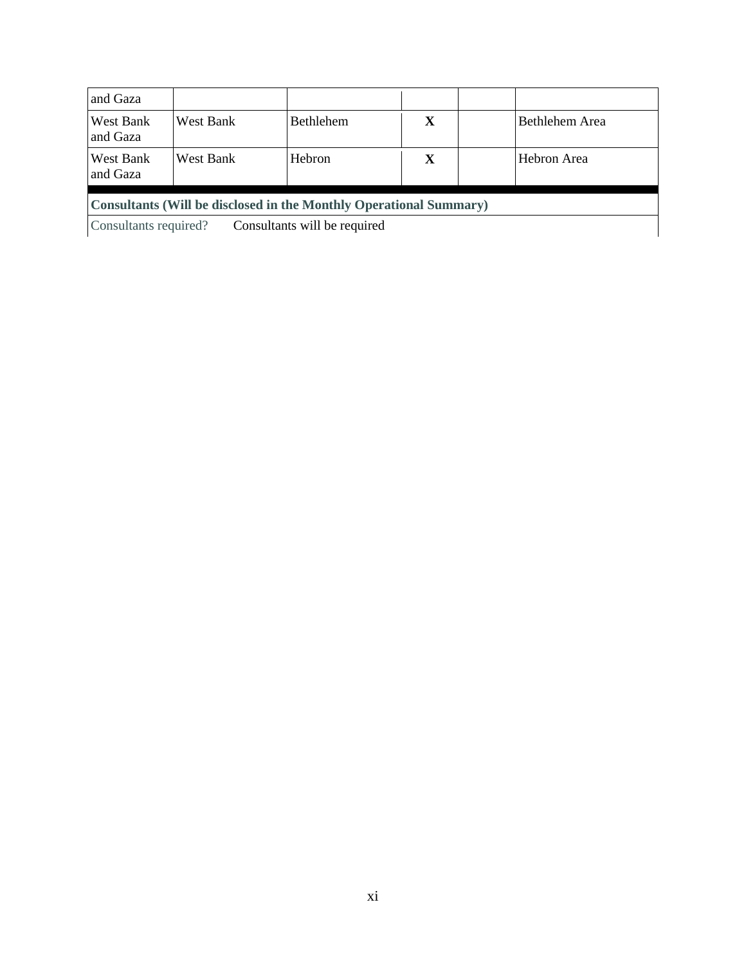| and Gaza                                                           |           |                  |   |  |                |  |
|--------------------------------------------------------------------|-----------|------------------|---|--|----------------|--|
| West Bank<br>and Gaza                                              | West Bank | <b>Bethlehem</b> | X |  | Bethlehem Area |  |
| West Bank<br>and Gaza                                              | West Bank | <b>Hebron</b>    | X |  | Hebron Area    |  |
| Consultants (Will be disclosed in the Monthly Operational Summary) |           |                  |   |  |                |  |
| Consultants required?<br>Consultants will be required              |           |                  |   |  |                |  |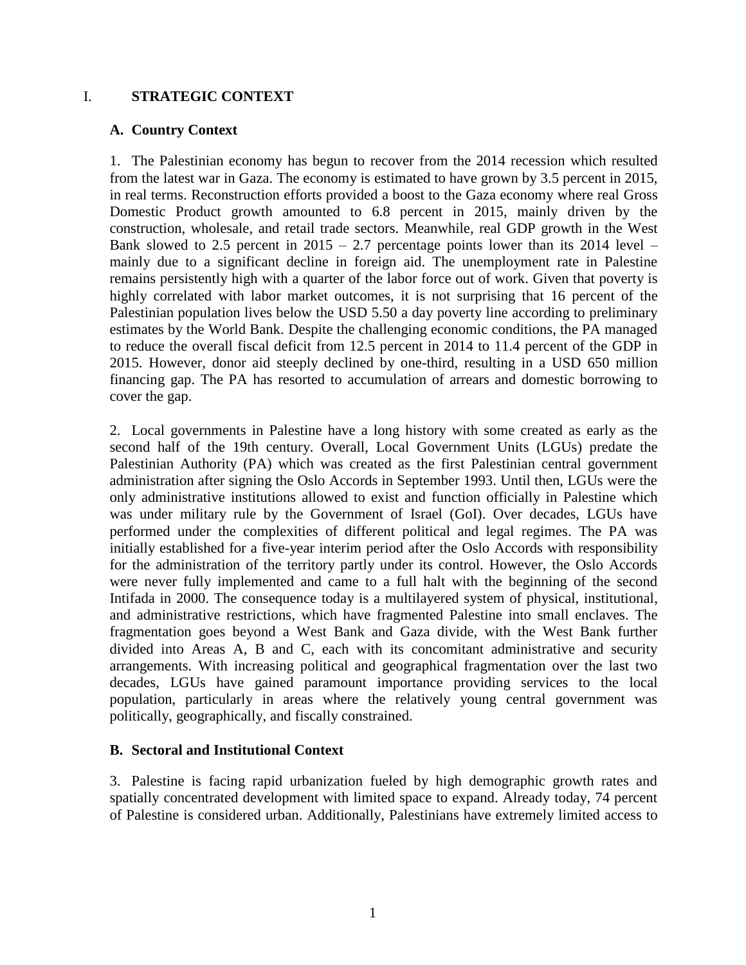#### I. **STRATEGIC CONTEXT**

#### **A. Country Context**

1. The Palestinian economy has begun to recover from the 2014 recession which resulted from the latest war in Gaza. The economy is estimated to have grown by 3.5 percent in 2015, in real terms. Reconstruction efforts provided a boost to the Gaza economy where real Gross Domestic Product growth amounted to 6.8 percent in 2015, mainly driven by the construction, wholesale, and retail trade sectors. Meanwhile, real GDP growth in the West Bank slowed to 2.5 percent in  $2015 - 2.7$  percentage points lower than its 2014 level – mainly due to a significant decline in foreign aid. The unemployment rate in Palestine remains persistently high with a quarter of the labor force out of work. Given that poverty is highly correlated with labor market outcomes, it is not surprising that 16 percent of the Palestinian population lives below the USD 5.50 a day poverty line according to preliminary estimates by the World Bank. Despite the challenging economic conditions, the PA managed to reduce the overall fiscal deficit from 12.5 percent in 2014 to 11.4 percent of the GDP in 2015. However, donor aid steeply declined by one-third, resulting in a USD 650 million financing gap. The PA has resorted to accumulation of arrears and domestic borrowing to cover the gap.

2. Local governments in Palestine have a long history with some created as early as the second half of the 19th century. Overall, Local Government Units (LGUs) predate the Palestinian Authority (PA) which was created as the first Palestinian central government administration after signing the Oslo Accords in September 1993. Until then, LGUs were the only administrative institutions allowed to exist and function officially in Palestine which was under military rule by the Government of Israel (GoI). Over decades, LGUs have performed under the complexities of different political and legal regimes. The PA was initially established for a five-year interim period after the Oslo Accords with responsibility for the administration of the territory partly under its control. However, the Oslo Accords were never fully implemented and came to a full halt with the beginning of the second Intifada in 2000. The consequence today is a multilayered system of physical, institutional, and administrative restrictions, which have fragmented Palestine into small enclaves. The fragmentation goes beyond a West Bank and Gaza divide, with the West Bank further divided into Areas A, B and C, each with its concomitant administrative and security arrangements. With increasing political and geographical fragmentation over the last two decades, LGUs have gained paramount importance providing services to the local population, particularly in areas where the relatively young central government was politically, geographically, and fiscally constrained.

#### **B. Sectoral and Institutional Context**

3. Palestine is facing rapid urbanization fueled by high demographic growth rates and spatially concentrated development with limited space to expand. Already today, 74 percent of Palestine is considered urban. Additionally, Palestinians have extremely limited access to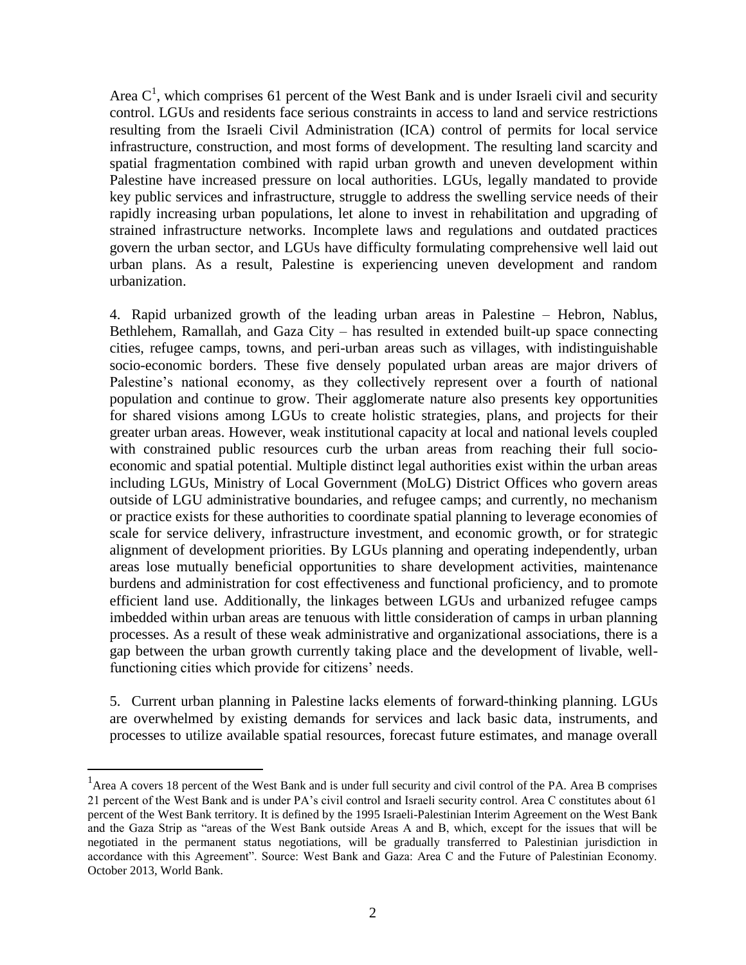Area  $C<sup>1</sup>$ , which comprises 61 percent of the West Bank and is under Israeli civil and security control. LGUs and residents face serious constraints in access to land and service restrictions resulting from the Israeli Civil Administration (ICA) control of permits for local service infrastructure, construction, and most forms of development. The resulting land scarcity and spatial fragmentation combined with rapid urban growth and uneven development within Palestine have increased pressure on local authorities. LGUs, legally mandated to provide key public services and infrastructure, struggle to address the swelling service needs of their rapidly increasing urban populations, let alone to invest in rehabilitation and upgrading of strained infrastructure networks. Incomplete laws and regulations and outdated practices govern the urban sector, and LGUs have difficulty formulating comprehensive well laid out urban plans. As a result, Palestine is experiencing uneven development and random urbanization.

4. Rapid urbanized growth of the leading urban areas in Palestine – Hebron, Nablus, Bethlehem, Ramallah, and Gaza City – has resulted in extended built-up space connecting cities, refugee camps, towns, and peri-urban areas such as villages, with indistinguishable socio-economic borders. These five densely populated urban areas are major drivers of Palestine's national economy, as they collectively represent over a fourth of national population and continue to grow. Their agglomerate nature also presents key opportunities for shared visions among LGUs to create holistic strategies, plans, and projects for their greater urban areas. However, weak institutional capacity at local and national levels coupled with constrained public resources curb the urban areas from reaching their full socioeconomic and spatial potential. Multiple distinct legal authorities exist within the urban areas including LGUs, Ministry of Local Government (MoLG) District Offices who govern areas outside of LGU administrative boundaries, and refugee camps; and currently, no mechanism or practice exists for these authorities to coordinate spatial planning to leverage economies of scale for service delivery, infrastructure investment, and economic growth, or for strategic alignment of development priorities. By LGUs planning and operating independently, urban areas lose mutually beneficial opportunities to share development activities, maintenance burdens and administration for cost effectiveness and functional proficiency, and to promote efficient land use. Additionally, the linkages between LGUs and urbanized refugee camps imbedded within urban areas are tenuous with little consideration of camps in urban planning processes. As a result of these weak administrative and organizational associations, there is a gap between the urban growth currently taking place and the development of livable, wellfunctioning cities which provide for citizens' needs.

5. Current urban planning in Palestine lacks elements of forward-thinking planning. LGUs are overwhelmed by existing demands for services and lack basic data, instruments, and processes to utilize available spatial resources, forecast future estimates, and manage overall

 $\overline{a}$ 

<sup>&</sup>lt;sup>1</sup> Area A covers 18 percent of the West Bank and is under full security and civil control of the PA. Area B comprises 21 percent of the West Bank and is under PA's civil control and Israeli security control. Area C constitutes about 61 percent of the West Bank territory. It is defined by the 1995 Israeli-Palestinian Interim Agreement on the West Bank and the Gaza Strip as "areas of the West Bank outside Areas A and B, which, except for the issues that will be negotiated in the permanent status negotiations, will be gradually transferred to Palestinian jurisdiction in accordance with this Agreement". Source: West Bank and Gaza: Area C and the Future of Palestinian Economy. October 2013, World Bank.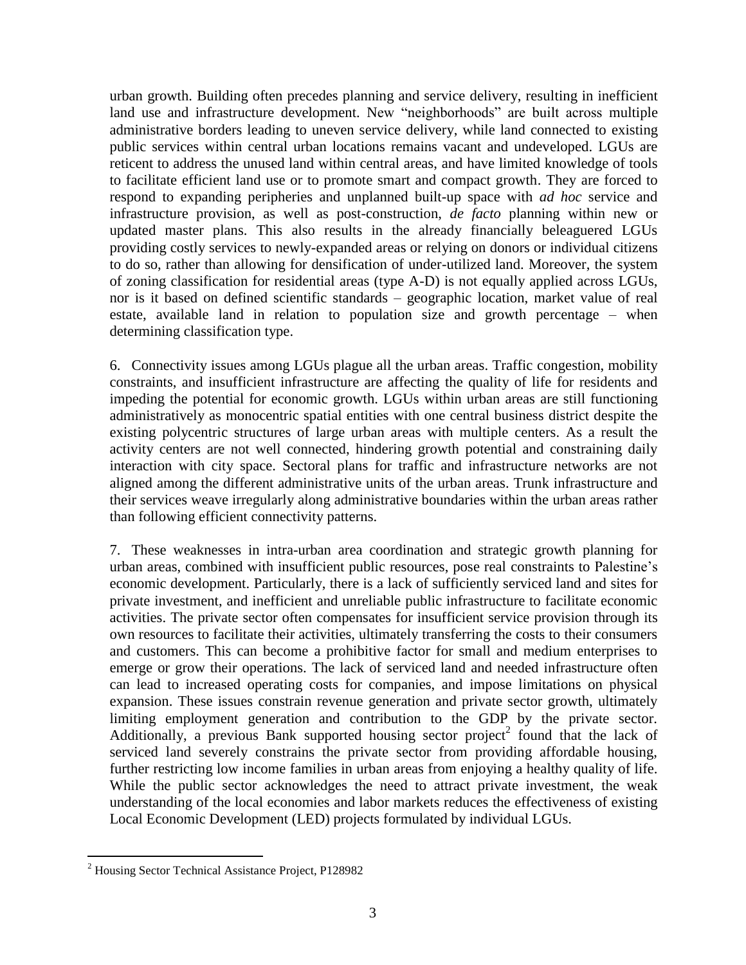urban growth. Building often precedes planning and service delivery, resulting in inefficient land use and infrastructure development. New "neighborhoods" are built across multiple administrative borders leading to uneven service delivery, while land connected to existing public services within central urban locations remains vacant and undeveloped. LGUs are reticent to address the unused land within central areas, and have limited knowledge of tools to facilitate efficient land use or to promote smart and compact growth. They are forced to respond to expanding peripheries and unplanned built-up space with *ad hoc* service and infrastructure provision, as well as post-construction, *de facto* planning within new or updated master plans. This also results in the already financially beleaguered LGUs providing costly services to newly-expanded areas or relying on donors or individual citizens to do so, rather than allowing for densification of under-utilized land. Moreover, the system of zoning classification for residential areas (type A-D) is not equally applied across LGUs, nor is it based on defined scientific standards – geographic location, market value of real estate, available land in relation to population size and growth percentage – when determining classification type.

6. Connectivity issues among LGUs plague all the urban areas. Traffic congestion, mobility constraints, and insufficient infrastructure are affecting the quality of life for residents and impeding the potential for economic growth. LGUs within urban areas are still functioning administratively as monocentric spatial entities with one central business district despite the existing polycentric structures of large urban areas with multiple centers. As a result the activity centers are not well connected, hindering growth potential and constraining daily interaction with city space. Sectoral plans for traffic and infrastructure networks are not aligned among the different administrative units of the urban areas. Trunk infrastructure and their services weave irregularly along administrative boundaries within the urban areas rather than following efficient connectivity patterns.

7. These weaknesses in intra-urban area coordination and strategic growth planning for urban areas, combined with insufficient public resources, pose real constraints to Palestine's economic development. Particularly, there is a lack of sufficiently serviced land and sites for private investment, and inefficient and unreliable public infrastructure to facilitate economic activities. The private sector often compensates for insufficient service provision through its own resources to facilitate their activities, ultimately transferring the costs to their consumers and customers. This can become a prohibitive factor for small and medium enterprises to emerge or grow their operations. The lack of serviced land and needed infrastructure often can lead to increased operating costs for companies, and impose limitations on physical expansion. These issues constrain revenue generation and private sector growth, ultimately limiting employment generation and contribution to the GDP by the private sector. Additionally, a previous Bank supported housing sector project<sup>2</sup> found that the lack of serviced land severely constrains the private sector from providing affordable housing, further restricting low income families in urban areas from enjoying a healthy quality of life. While the public sector acknowledges the need to attract private investment, the weak understanding of the local economies and labor markets reduces the effectiveness of existing Local Economic Development (LED) projects formulated by individual LGUs.

 $\overline{a}$ 

<sup>2</sup> Housing Sector Technical Assistance Project, P128982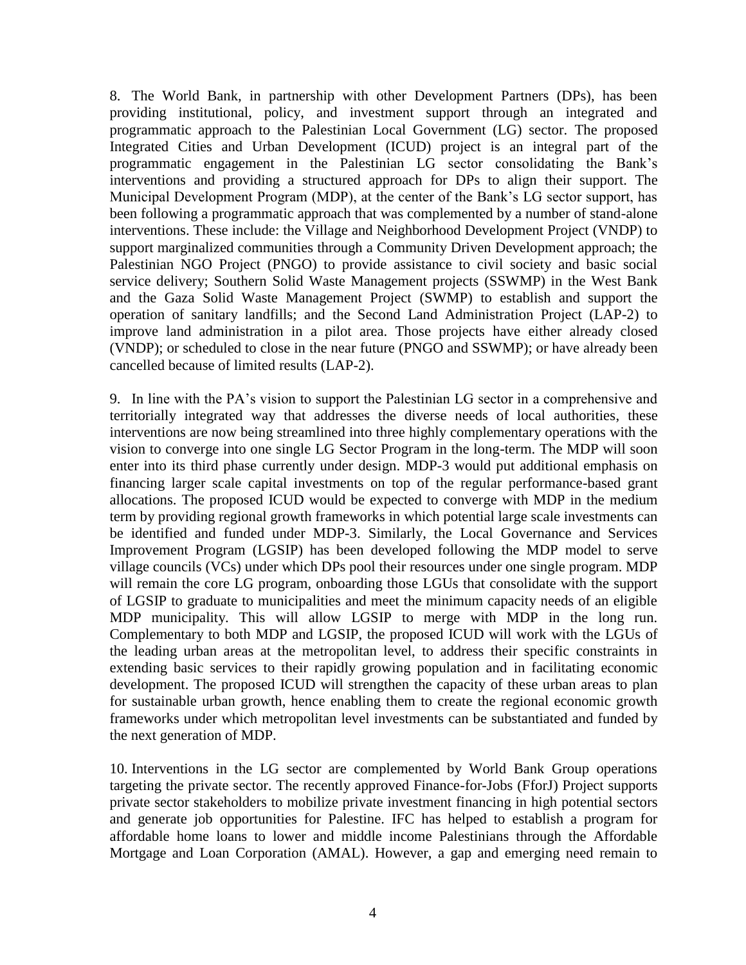8. The World Bank, in partnership with other Development Partners (DPs), has been providing institutional, policy, and investment support through an integrated and programmatic approach to the Palestinian Local Government (LG) sector. The proposed Integrated Cities and Urban Development (ICUD) project is an integral part of the programmatic engagement in the Palestinian LG sector consolidating the Bank's interventions and providing a structured approach for DPs to align their support. The Municipal Development Program (MDP), at the center of the Bank's LG sector support, has been following a programmatic approach that was complemented by a number of stand-alone interventions. These include: the Village and Neighborhood Development Project (VNDP) to support marginalized communities through a Community Driven Development approach; the Palestinian NGO Project (PNGO) to provide assistance to civil society and basic social service delivery; Southern Solid Waste Management projects (SSWMP) in the West Bank and the Gaza Solid Waste Management Project (SWMP) to establish and support the operation of sanitary landfills; and the Second Land Administration Project (LAP-2) to improve land administration in a pilot area. Those projects have either already closed (VNDP); or scheduled to close in the near future (PNGO and SSWMP); or have already been cancelled because of limited results (LAP-2).

9. In line with the PA's vision to support the Palestinian LG sector in a comprehensive and territorially integrated way that addresses the diverse needs of local authorities, these interventions are now being streamlined into three highly complementary operations with the vision to converge into one single LG Sector Program in the long-term. The MDP will soon enter into its third phase currently under design. MDP-3 would put additional emphasis on financing larger scale capital investments on top of the regular performance-based grant allocations. The proposed ICUD would be expected to converge with MDP in the medium term by providing regional growth frameworks in which potential large scale investments can be identified and funded under MDP-3. Similarly, the Local Governance and Services Improvement Program (LGSIP) has been developed following the MDP model to serve village councils (VCs) under which DPs pool their resources under one single program. MDP will remain the core LG program, onboarding those LGUs that consolidate with the support of LGSIP to graduate to municipalities and meet the minimum capacity needs of an eligible MDP municipality. This will allow LGSIP to merge with MDP in the long run. Complementary to both MDP and LGSIP, the proposed ICUD will work with the LGUs of the leading urban areas at the metropolitan level, to address their specific constraints in extending basic services to their rapidly growing population and in facilitating economic development. The proposed ICUD will strengthen the capacity of these urban areas to plan for sustainable urban growth, hence enabling them to create the regional economic growth frameworks under which metropolitan level investments can be substantiated and funded by the next generation of MDP.

10. Interventions in the LG sector are complemented by World Bank Group operations targeting the private sector. The recently approved Finance-for-Jobs (FforJ) Project supports private sector stakeholders to mobilize private investment financing in high potential sectors and generate job opportunities for Palestine. IFC has helped to establish a program for affordable home loans to lower and middle income Palestinians through the Affordable Mortgage and Loan Corporation (AMAL). However, a gap and emerging need remain to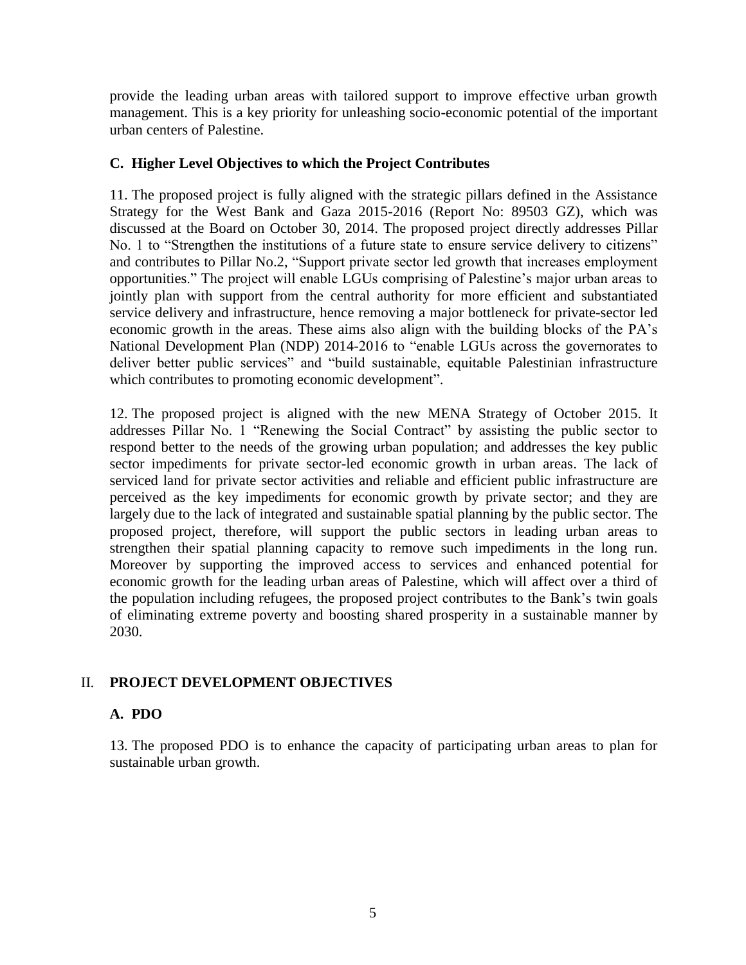provide the leading urban areas with tailored support to improve effective urban growth management. This is a key priority for unleashing socio-economic potential of the important urban centers of Palestine.

## **C. Higher Level Objectives to which the Project Contributes**

11. The proposed project is fully aligned with the strategic pillars defined in the Assistance Strategy for the West Bank and Gaza 2015-2016 (Report No: 89503 GZ), which was discussed at the Board on October 30, 2014. The proposed project directly addresses Pillar No. 1 to "Strengthen the institutions of a future state to ensure service delivery to citizens" and contributes to Pillar No.2, "Support private sector led growth that increases employment opportunities." The project will enable LGUs comprising of Palestine's major urban areas to jointly plan with support from the central authority for more efficient and substantiated service delivery and infrastructure, hence removing a major bottleneck for private-sector led economic growth in the areas. These aims also align with the building blocks of the PA's National Development Plan (NDP) 2014-2016 to "enable LGUs across the governorates to deliver better public services" and "build sustainable, equitable Palestinian infrastructure which contributes to promoting economic development".

12. The proposed project is aligned with the new MENA Strategy of October 2015. It addresses Pillar No. 1 "Renewing the Social Contract" by assisting the public sector to respond better to the needs of the growing urban population; and addresses the key public sector impediments for private sector-led economic growth in urban areas. The lack of serviced land for private sector activities and reliable and efficient public infrastructure are perceived as the key impediments for economic growth by private sector; and they are largely due to the lack of integrated and sustainable spatial planning by the public sector. The proposed project, therefore, will support the public sectors in leading urban areas to strengthen their spatial planning capacity to remove such impediments in the long run. Moreover by supporting the improved access to services and enhanced potential for economic growth for the leading urban areas of Palestine, which will affect over a third of the population including refugees, the proposed project contributes to the Bank's twin goals of eliminating extreme poverty and boosting shared prosperity in a sustainable manner by 2030.

## II. **PROJECT DEVELOPMENT OBJECTIVES**

## **A. PDO**

13. The proposed PDO is to enhance the capacity of participating urban areas to plan for sustainable urban growth.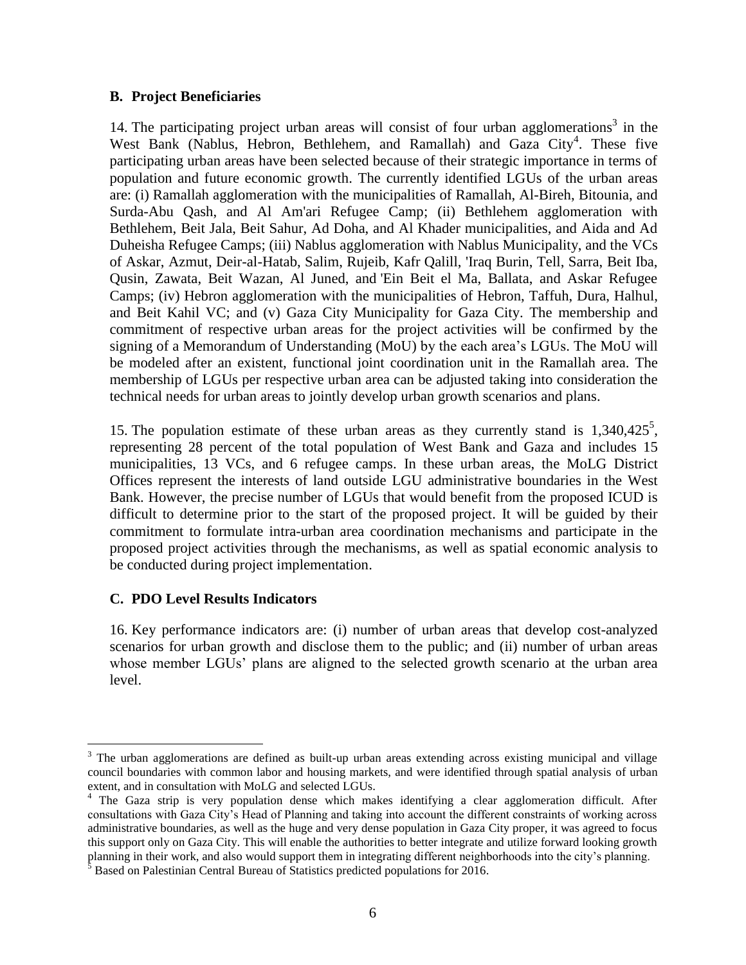#### **B. Project Beneficiaries**

14. The participating project urban areas will consist of four urban agglomerations<sup>3</sup> in the West Bank (Nablus, Hebron, Bethlehem, and Ramallah) and Gaza City<sup>4</sup>. These five participating urban areas have been selected because of their strategic importance in terms of population and future economic growth. The currently identified LGUs of the urban areas are: (i) Ramallah agglomeration with the municipalities of Ramallah, Al-Bireh, Bitounia, and Surda-Abu Qash, and Al Am'ari Refugee Camp; (ii) Bethlehem agglomeration with Bethlehem, Beit Jala, Beit Sahur, Ad Doha, and Al Khader municipalities, and Aida and Ad Duheisha Refugee Camps; (iii) Nablus agglomeration with Nablus Municipality, and the VCs of Askar, Azmut, Deir-al-Hatab, Salim, Rujeib, Kafr Qalill, 'Iraq Burin, Tell, Sarra, Beit Iba, Qusin, Zawata, Beit Wazan, Al Juned, and 'Ein Beit el Ma, Ballata, and Askar Refugee Camps; (iv) Hebron agglomeration with the municipalities of Hebron, Taffuh, Dura, Halhul, and Beit Kahil VC; and (v) Gaza City Municipality for Gaza City. The membership and commitment of respective urban areas for the project activities will be confirmed by the signing of a Memorandum of Understanding (MoU) by the each area's LGUs. The MoU will be modeled after an existent, functional joint coordination unit in the Ramallah area. The membership of LGUs per respective urban area can be adjusted taking into consideration the technical needs for urban areas to jointly develop urban growth scenarios and plans.

15. The population estimate of these urban areas as they currently stand is  $1,340,425^5$ , representing 28 percent of the total population of West Bank and Gaza and includes 15 municipalities, 13 VCs, and 6 refugee camps. In these urban areas, the MoLG District Offices represent the interests of land outside LGU administrative boundaries in the West Bank. However, the precise number of LGUs that would benefit from the proposed ICUD is difficult to determine prior to the start of the proposed project. It will be guided by their commitment to formulate intra-urban area coordination mechanisms and participate in the proposed project activities through the mechanisms, as well as spatial economic analysis to be conducted during project implementation.

## **C. PDO Level Results Indicators**

 $\overline{a}$ 

16. Key performance indicators are: (i) number of urban areas that develop cost-analyzed scenarios for urban growth and disclose them to the public; and (ii) number of urban areas whose member LGUs' plans are aligned to the selected growth scenario at the urban area level.

<sup>&</sup>lt;sup>3</sup> The urban agglomerations are defined as built-up urban areas extending across existing municipal and village council boundaries with common labor and housing markets, and were identified through spatial analysis of urban extent, and in consultation with MoLG and selected LGUs.

<sup>&</sup>lt;sup>4</sup> The Gaza strip is very population dense which makes identifying a clear agglomeration difficult. After consultations with Gaza City's Head of Planning and taking into account the different constraints of working across administrative boundaries, as well as the huge and very dense population in Gaza City proper, it was agreed to focus this support only on Gaza City. This will enable the authorities to better integrate and utilize forward looking growth planning in their work, and also would support them in integrating different neighborhoods into the city's planning.

 $5$  Based on Palestinian Central Bureau of Statistics predicted populations for 2016.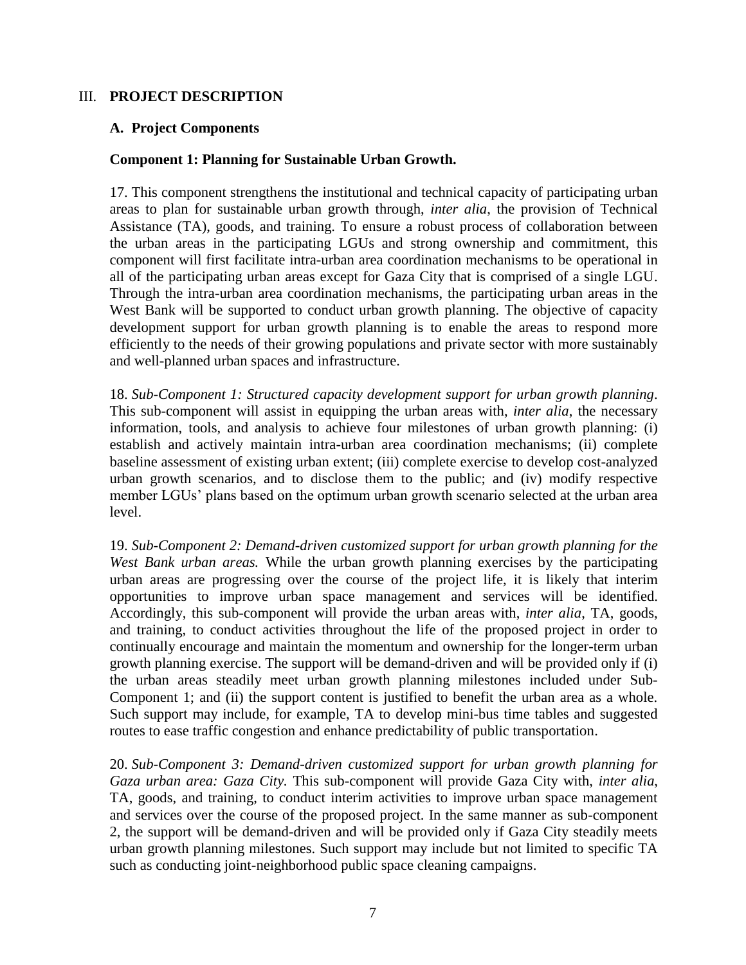#### III. **PROJECT DESCRIPTION**

#### **A. Project Components**

#### **Component 1: Planning for Sustainable Urban Growth.**

17. This component strengthens the institutional and technical capacity of participating urban areas to plan for sustainable urban growth through, *inter alia*, the provision of Technical Assistance (TA), goods, and training. To ensure a robust process of collaboration between the urban areas in the participating LGUs and strong ownership and commitment, this component will first facilitate intra-urban area coordination mechanisms to be operational in all of the participating urban areas except for Gaza City that is comprised of a single LGU. Through the intra-urban area coordination mechanisms, the participating urban areas in the West Bank will be supported to conduct urban growth planning. The objective of capacity development support for urban growth planning is to enable the areas to respond more efficiently to the needs of their growing populations and private sector with more sustainably and well-planned urban spaces and infrastructure.

18. *Sub-Component 1: Structured capacity development support for urban growth planning*. This sub-component will assist in equipping the urban areas with, *inter alia*, the necessary information, tools, and analysis to achieve four milestones of urban growth planning: (i) establish and actively maintain intra-urban area coordination mechanisms; (ii) complete baseline assessment of existing urban extent; (iii) complete exercise to develop cost-analyzed urban growth scenarios, and to disclose them to the public; and (iv) modify respective member LGUs' plans based on the optimum urban growth scenario selected at the urban area level.

19. *Sub-Component 2: Demand-driven customized support for urban growth planning for the West Bank urban areas.* While the urban growth planning exercises by the participating urban areas are progressing over the course of the project life, it is likely that interim opportunities to improve urban space management and services will be identified. Accordingly, this sub-component will provide the urban areas with, *inter alia*, TA, goods, and training, to conduct activities throughout the life of the proposed project in order to continually encourage and maintain the momentum and ownership for the longer-term urban growth planning exercise. The support will be demand-driven and will be provided only if (i) the urban areas steadily meet urban growth planning milestones included under Sub-Component 1; and (ii) the support content is justified to benefit the urban area as a whole. Such support may include, for example, TA to develop mini-bus time tables and suggested routes to ease traffic congestion and enhance predictability of public transportation.

20. *Sub-Component 3: Demand-driven customized support for urban growth planning for Gaza urban area: Gaza City.* This sub-component will provide Gaza City with, *inter alia*, TA, goods, and training, to conduct interim activities to improve urban space management and services over the course of the proposed project. In the same manner as sub-component 2, the support will be demand-driven and will be provided only if Gaza City steadily meets urban growth planning milestones. Such support may include but not limited to specific TA such as conducting joint-neighborhood public space cleaning campaigns.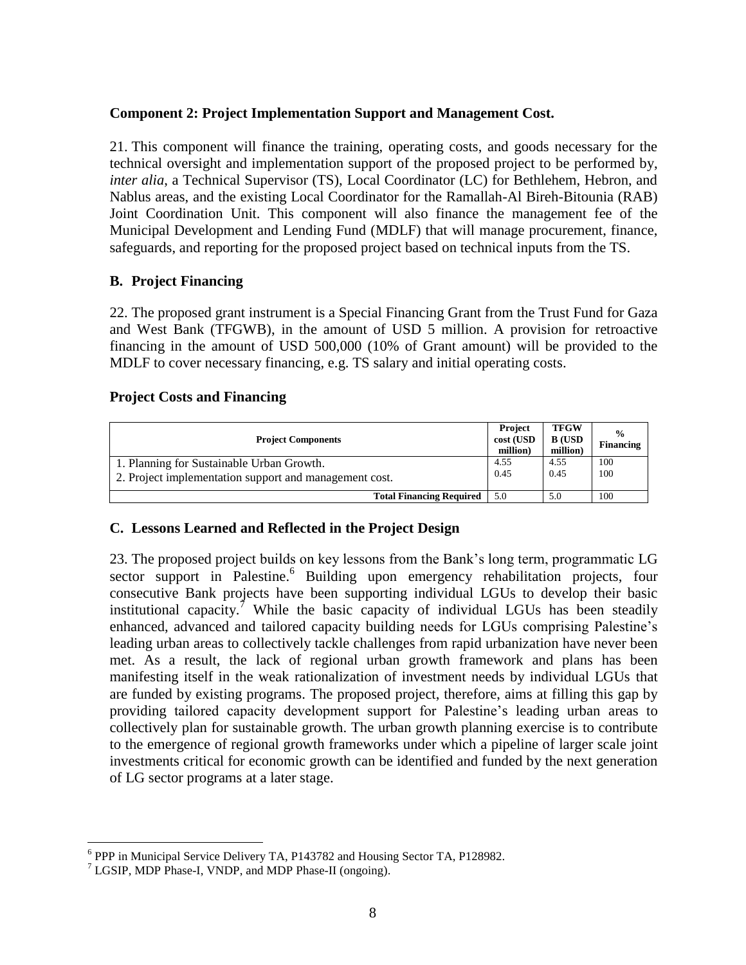## **Component 2: Project Implementation Support and Management Cost.**

21. This component will finance the training, operating costs, and goods necessary for the technical oversight and implementation support of the proposed project to be performed by, *inter alia*, a Technical Supervisor (TS), Local Coordinator (LC) for Bethlehem, Hebron, and Nablus areas, and the existing Local Coordinator for the Ramallah-Al Bireh-Bitounia (RAB) Joint Coordination Unit. This component will also finance the management fee of the Municipal Development and Lending Fund (MDLF) that will manage procurement, finance, safeguards, and reporting for the proposed project based on technical inputs from the TS.

## **B. Project Financing**

22. The proposed grant instrument is a Special Financing Grant from the Trust Fund for Gaza and West Bank (TFGWB), in the amount of USD 5 million. A provision for retroactive financing in the amount of USD 500,000 (10% of Grant amount) will be provided to the MDLF to cover necessary financing, e.g. TS salary and initial operating costs.

#### **Project Costs and Financing**

| <b>Project Components</b>                                                                           | Project<br>cost (USD<br>million) | <b>TFGW</b><br><b>B</b> (USD<br>million) | $\frac{0}{0}$<br>Financing |
|-----------------------------------------------------------------------------------------------------|----------------------------------|------------------------------------------|----------------------------|
| 1. Planning for Sustainable Urban Growth.<br>2. Project implementation support and management cost. | 4.55<br>0.45                     | 4.55<br>0.45                             | 100<br>100                 |
| <b>Total Financing Required</b>                                                                     | 5.0                              | 5.0                                      | 100                        |

## **C. Lessons Learned and Reflected in the Project Design**

23. The proposed project builds on key lessons from the Bank's long term, programmatic LG sector support in Palestine.<sup>6</sup> Building upon emergency rehabilitation projects, four consecutive Bank projects have been supporting individual LGUs to develop their basic institutional capacity.<sup>7</sup> While the basic capacity of individual LGUs has been steadily enhanced, advanced and tailored capacity building needs for LGUs comprising Palestine's leading urban areas to collectively tackle challenges from rapid urbanization have never been met. As a result, the lack of regional urban growth framework and plans has been manifesting itself in the weak rationalization of investment needs by individual LGUs that are funded by existing programs. The proposed project, therefore, aims at filling this gap by providing tailored capacity development support for Palestine's leading urban areas to collectively plan for sustainable growth. The urban growth planning exercise is to contribute to the emergence of regional growth frameworks under which a pipeline of larger scale joint investments critical for economic growth can be identified and funded by the next generation of LG sector programs at a later stage.

 $\overline{a}$ <sup>6</sup> PPP in Municipal Service Delivery TA, P143782 and Housing Sector TA, P128982.

 $7$  LGSIP, MDP Phase-I, VNDP, and MDP Phase-II (ongoing).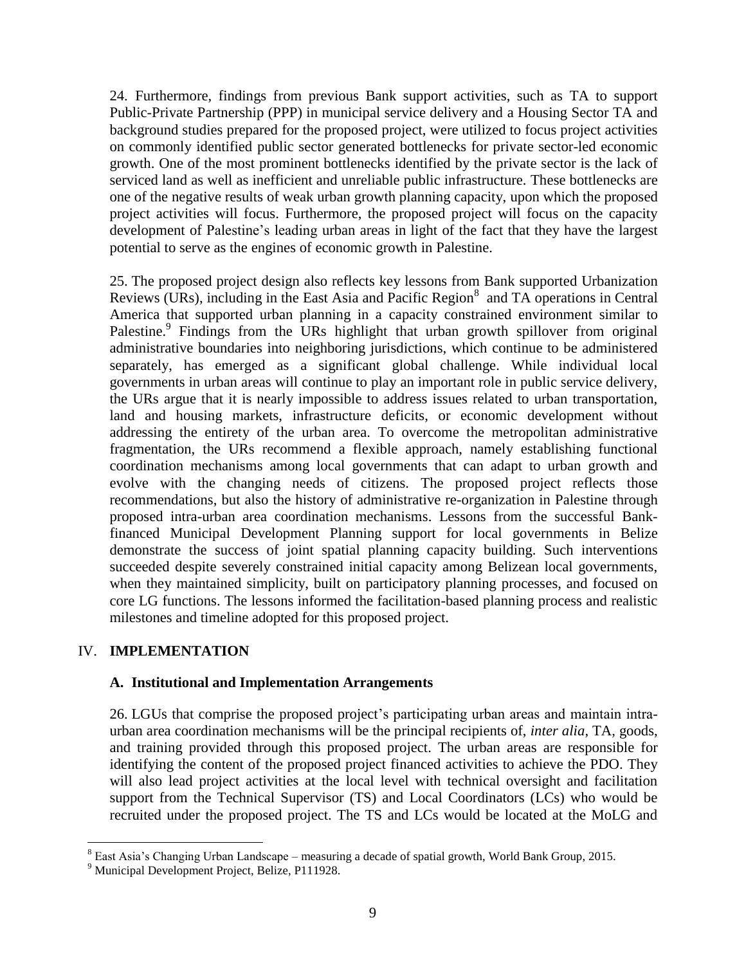24. Furthermore, findings from previous Bank support activities, such as TA to support Public-Private Partnership (PPP) in municipal service delivery and a Housing Sector TA and background studies prepared for the proposed project, were utilized to focus project activities on commonly identified public sector generated bottlenecks for private sector-led economic growth. One of the most prominent bottlenecks identified by the private sector is the lack of serviced land as well as inefficient and unreliable public infrastructure. These bottlenecks are one of the negative results of weak urban growth planning capacity, upon which the proposed project activities will focus. Furthermore, the proposed project will focus on the capacity development of Palestine's leading urban areas in light of the fact that they have the largest potential to serve as the engines of economic growth in Palestine.

25. The proposed project design also reflects key lessons from Bank supported Urbanization Reviews (URs), including in the East Asia and Pacific Region<sup>8</sup> and TA operations in Central America that supported urban planning in a capacity constrained environment similar to Palestine.<sup>9</sup> Findings from the URs highlight that urban growth spillover from original administrative boundaries into neighboring jurisdictions, which continue to be administered separately, has emerged as a significant global challenge. While individual local governments in urban areas will continue to play an important role in public service delivery, the URs argue that it is nearly impossible to address issues related to urban transportation, land and housing markets, infrastructure deficits, or economic development without addressing the entirety of the urban area. To overcome the metropolitan administrative fragmentation, the URs recommend a flexible approach, namely establishing functional coordination mechanisms among local governments that can adapt to urban growth and evolve with the changing needs of citizens. The proposed project reflects those recommendations, but also the history of administrative re-organization in Palestine through proposed intra-urban area coordination mechanisms. Lessons from the successful Bankfinanced Municipal Development Planning support for local governments in Belize demonstrate the success of joint spatial planning capacity building. Such interventions succeeded despite severely constrained initial capacity among Belizean local governments, when they maintained simplicity, built on participatory planning processes, and focused on core LG functions. The lessons informed the facilitation-based planning process and realistic milestones and timeline adopted for this proposed project.

## IV. **IMPLEMENTATION**

 $\overline{a}$ 

#### **A. Institutional and Implementation Arrangements**

26. LGUs that comprise the proposed project's participating urban areas and maintain intraurban area coordination mechanisms will be the principal recipients of, *inter alia*, TA, goods, and training provided through this proposed project. The urban areas are responsible for identifying the content of the proposed project financed activities to achieve the PDO. They will also lead project activities at the local level with technical oversight and facilitation support from the Technical Supervisor (TS) and Local Coordinators (LCs) who would be recruited under the proposed project. The TS and LCs would be located at the MoLG and

<sup>8</sup> East Asia's Changing Urban Landscape – measuring a decade of spatial growth, World Bank Group, 2015.

<sup>9</sup> Municipal Development Project, Belize, P111928.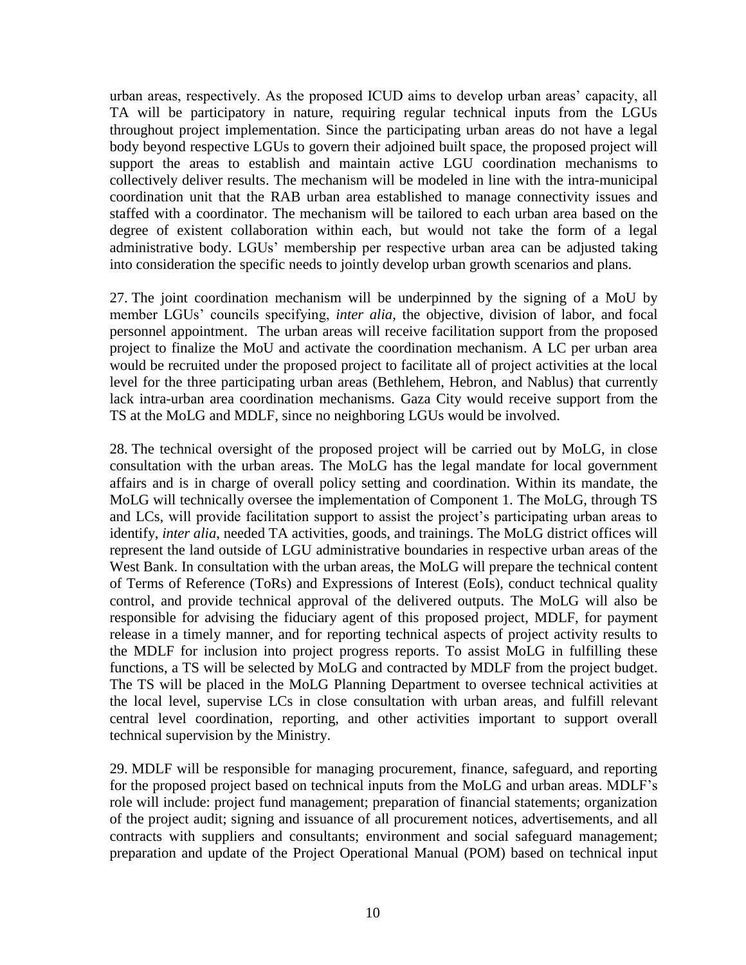urban areas, respectively. As the proposed ICUD aims to develop urban areas' capacity, all TA will be participatory in nature, requiring regular technical inputs from the LGUs throughout project implementation. Since the participating urban areas do not have a legal body beyond respective LGUs to govern their adjoined built space, the proposed project will support the areas to establish and maintain active LGU coordination mechanisms to collectively deliver results. The mechanism will be modeled in line with the intra-municipal coordination unit that the RAB urban area established to manage connectivity issues and staffed with a coordinator. The mechanism will be tailored to each urban area based on the degree of existent collaboration within each, but would not take the form of a legal administrative body. LGUs' membership per respective urban area can be adjusted taking into consideration the specific needs to jointly develop urban growth scenarios and plans.

27. The joint coordination mechanism will be underpinned by the signing of a MoU by member LGUs' councils specifying, *inter alia*, the objective, division of labor, and focal personnel appointment. The urban areas will receive facilitation support from the proposed project to finalize the MoU and activate the coordination mechanism. A LC per urban area would be recruited under the proposed project to facilitate all of project activities at the local level for the three participating urban areas (Bethlehem, Hebron, and Nablus) that currently lack intra-urban area coordination mechanisms. Gaza City would receive support from the TS at the MoLG and MDLF, since no neighboring LGUs would be involved.

28. The technical oversight of the proposed project will be carried out by MoLG, in close consultation with the urban areas. The MoLG has the legal mandate for local government affairs and is in charge of overall policy setting and coordination. Within its mandate, the MoLG will technically oversee the implementation of Component 1. The MoLG, through TS and LCs, will provide facilitation support to assist the project's participating urban areas to identify, *inter alia*, needed TA activities, goods, and trainings. The MoLG district offices will represent the land outside of LGU administrative boundaries in respective urban areas of the West Bank. In consultation with the urban areas, the MoLG will prepare the technical content of Terms of Reference (ToRs) and Expressions of Interest (EoIs), conduct technical quality control, and provide technical approval of the delivered outputs. The MoLG will also be responsible for advising the fiduciary agent of this proposed project, MDLF, for payment release in a timely manner, and for reporting technical aspects of project activity results to the MDLF for inclusion into project progress reports. To assist MoLG in fulfilling these functions, a TS will be selected by MoLG and contracted by MDLF from the project budget. The TS will be placed in the MoLG Planning Department to oversee technical activities at the local level, supervise LCs in close consultation with urban areas, and fulfill relevant central level coordination, reporting, and other activities important to support overall technical supervision by the Ministry.

29. MDLF will be responsible for managing procurement, finance, safeguard, and reporting for the proposed project based on technical inputs from the MoLG and urban areas. MDLF's role will include: project fund management; preparation of financial statements; organization of the project audit; signing and issuance of all procurement notices, advertisements, and all contracts with suppliers and consultants; environment and social safeguard management; preparation and update of the Project Operational Manual (POM) based on technical input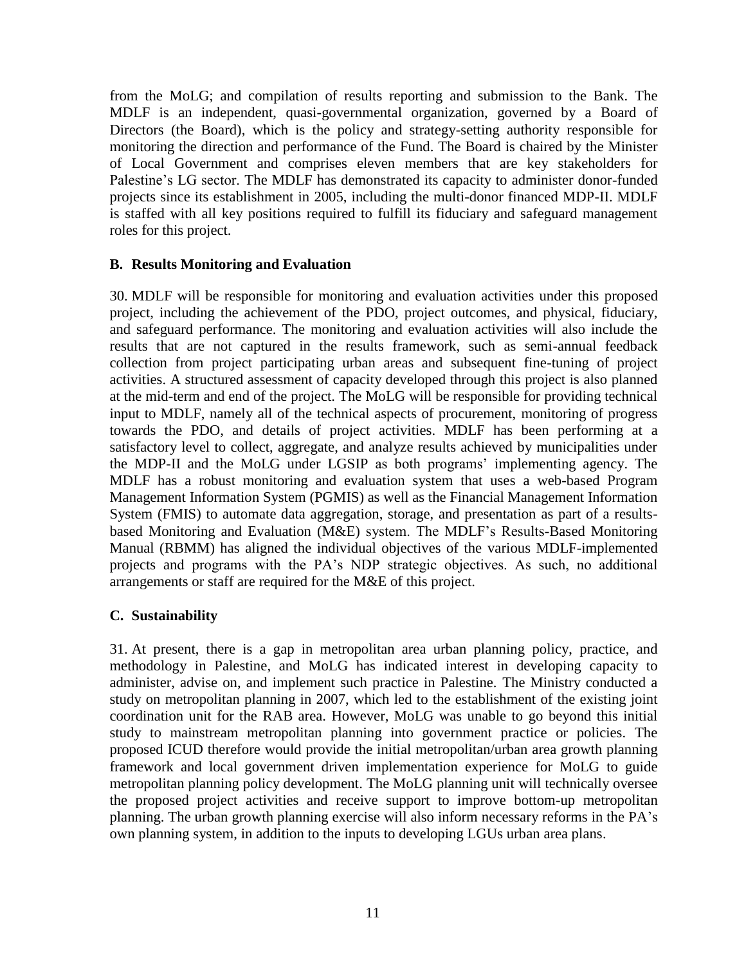from the MoLG; and compilation of results reporting and submission to the Bank. The MDLF is an independent, quasi-governmental organization, governed by a Board of Directors (the Board), which is the policy and strategy-setting authority responsible for monitoring the direction and performance of the Fund. The Board is chaired by the Minister of Local Government and comprises eleven members that are key stakeholders for Palestine's LG sector. The MDLF has demonstrated its capacity to administer donor-funded projects since its establishment in 2005, including the multi-donor financed MDP-II. MDLF is staffed with all key positions required to fulfill its fiduciary and safeguard management roles for this project.

## **B. Results Monitoring and Evaluation**

30. MDLF will be responsible for monitoring and evaluation activities under this proposed project, including the achievement of the PDO, project outcomes, and physical, fiduciary, and safeguard performance. The monitoring and evaluation activities will also include the results that are not captured in the results framework, such as semi-annual feedback collection from project participating urban areas and subsequent fine-tuning of project activities. A structured assessment of capacity developed through this project is also planned at the mid-term and end of the project. The MoLG will be responsible for providing technical input to MDLF, namely all of the technical aspects of procurement, monitoring of progress towards the PDO, and details of project activities. MDLF has been performing at a satisfactory level to collect, aggregate, and analyze results achieved by municipalities under the MDP-II and the MoLG under LGSIP as both programs' implementing agency. The MDLF has a robust monitoring and evaluation system that uses a web-based Program Management Information System (PGMIS) as well as the Financial Management Information System (FMIS) to automate data aggregation, storage, and presentation as part of a resultsbased Monitoring and Evaluation (M&E) system. The MDLF's Results-Based Monitoring Manual (RBMM) has aligned the individual objectives of the various MDLF-implemented projects and programs with the PA's NDP strategic objectives. As such, no additional arrangements or staff are required for the M&E of this project.

#### **C. Sustainability**

31. At present, there is a gap in metropolitan area urban planning policy, practice, and methodology in Palestine, and MoLG has indicated interest in developing capacity to administer, advise on, and implement such practice in Palestine. The Ministry conducted a study on metropolitan planning in 2007, which led to the establishment of the existing joint coordination unit for the RAB area. However, MoLG was unable to go beyond this initial study to mainstream metropolitan planning into government practice or policies. The proposed ICUD therefore would provide the initial metropolitan/urban area growth planning framework and local government driven implementation experience for MoLG to guide metropolitan planning policy development. The MoLG planning unit will technically oversee the proposed project activities and receive support to improve bottom-up metropolitan planning. The urban growth planning exercise will also inform necessary reforms in the PA's own planning system, in addition to the inputs to developing LGUs urban area plans.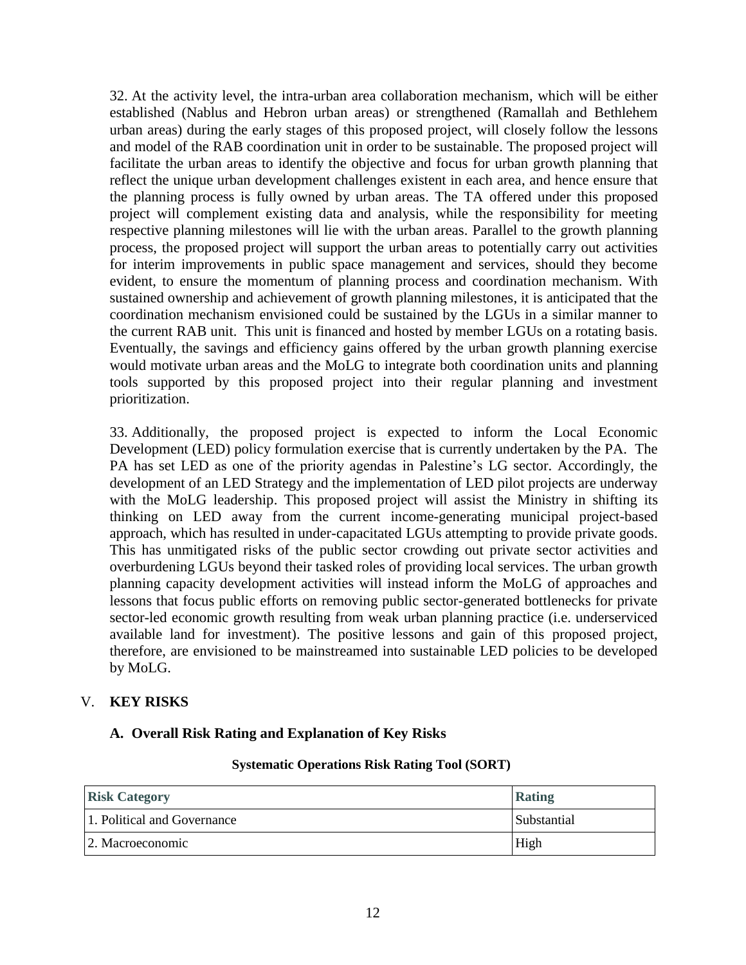32. At the activity level, the intra-urban area collaboration mechanism, which will be either established (Nablus and Hebron urban areas) or strengthened (Ramallah and Bethlehem urban areas) during the early stages of this proposed project, will closely follow the lessons and model of the RAB coordination unit in order to be sustainable. The proposed project will facilitate the urban areas to identify the objective and focus for urban growth planning that reflect the unique urban development challenges existent in each area, and hence ensure that the planning process is fully owned by urban areas. The TA offered under this proposed project will complement existing data and analysis, while the responsibility for meeting respective planning milestones will lie with the urban areas. Parallel to the growth planning process, the proposed project will support the urban areas to potentially carry out activities for interim improvements in public space management and services, should they become evident, to ensure the momentum of planning process and coordination mechanism. With sustained ownership and achievement of growth planning milestones, it is anticipated that the coordination mechanism envisioned could be sustained by the LGUs in a similar manner to the current RAB unit. This unit is financed and hosted by member LGUs on a rotating basis. Eventually, the savings and efficiency gains offered by the urban growth planning exercise would motivate urban areas and the MoLG to integrate both coordination units and planning tools supported by this proposed project into their regular planning and investment prioritization.

33. Additionally, the proposed project is expected to inform the Local Economic Development (LED) policy formulation exercise that is currently undertaken by the PA. The PA has set LED as one of the priority agendas in Palestine's LG sector. Accordingly, the development of an LED Strategy and the implementation of LED pilot projects are underway with the MoLG leadership. This proposed project will assist the Ministry in shifting its thinking on LED away from the current income-generating municipal project-based approach, which has resulted in under-capacitated LGUs attempting to provide private goods. This has unmitigated risks of the public sector crowding out private sector activities and overburdening LGUs beyond their tasked roles of providing local services. The urban growth planning capacity development activities will instead inform the MoLG of approaches and lessons that focus public efforts on removing public sector-generated bottlenecks for private sector-led economic growth resulting from weak urban planning practice (i.e. underserviced available land for investment). The positive lessons and gain of this proposed project, therefore, are envisioned to be mainstreamed into sustainable LED policies to be developed by MoLG.

## V. **KEY RISKS**

## **A. Overall Risk Rating and Explanation of Key Risks**

#### **Systematic Operations Risk Rating Tool (SORT)**

| <b>Risk Category</b>        | <b>Rating</b>      |
|-----------------------------|--------------------|
| 1. Political and Governance | <b>Substantial</b> |
| 2. Macroeconomic            | High               |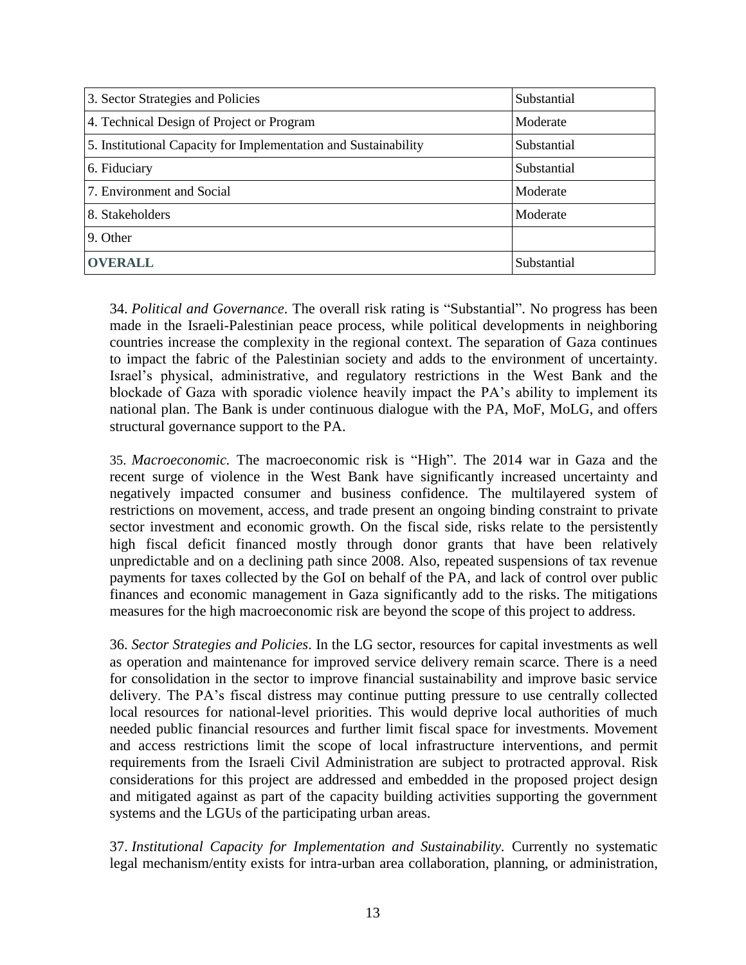| 3. Sector Strategies and Policies                               | Substantial |
|-----------------------------------------------------------------|-------------|
| 4. Technical Design of Project or Program                       | Moderate    |
| 5. Institutional Capacity for Implementation and Sustainability | Substantial |
| 6. Fiduciary                                                    | Substantial |
| 7. Environment and Social                                       | Moderate    |
| 8. Stakeholders                                                 | Moderate    |
| 9. Other                                                        |             |
| <b>OVERALL</b>                                                  | Substantial |

34. *Political and Governance*. The overall risk rating is "Substantial". No progress has been made in the Israeli-Palestinian peace process, while political developments in neighboring countries increase the complexity in the regional context. The separation of Gaza continues to impact the fabric of the Palestinian society and adds to the environment of uncertainty. Israel's physical, administrative, and regulatory restrictions in the West Bank and the blockade of Gaza with sporadic violence heavily impact the PA's ability to implement its national plan. The Bank is under continuous dialogue with the PA, MoF, MoLG, and offers structural governance support to the PA.

35. *Macroeconomic.* The macroeconomic risk is "High". The 2014 war in Gaza and the recent surge of violence in the West Bank have significantly increased uncertainty and negatively impacted consumer and business confidence. The multilayered system of restrictions on movement, access, and trade present an ongoing binding constraint to private sector investment and economic growth. On the fiscal side, risks relate to the persistently high fiscal deficit financed mostly through donor grants that have been relatively unpredictable and on a declining path since 2008. Also, repeated suspensions of tax revenue payments for taxes collected by the GoI on behalf of the PA, and lack of control over public finances and economic management in Gaza significantly add to the risks. The mitigations measures for the high macroeconomic risk are beyond the scope of this project to address.

36. *Sector Strategies and Policies*. In the LG sector, resources for capital investments as well as operation and maintenance for improved service delivery remain scarce. There is a need for consolidation in the sector to improve financial sustainability and improve basic service delivery. The PA's fiscal distress may continue putting pressure to use centrally collected local resources for national-level priorities. This would deprive local authorities of much needed public financial resources and further limit fiscal space for investments. Movement and access restrictions limit the scope of local infrastructure interventions, and permit requirements from the Israeli Civil Administration are subject to protracted approval. Risk considerations for this project are addressed and embedded in the proposed project design and mitigated against as part of the capacity building activities supporting the government systems and the LGUs of the participating urban areas.

37. *Institutional Capacity for Implementation and Sustainability.* Currently no systematic legal mechanism/entity exists for intra-urban area collaboration, planning, or administration,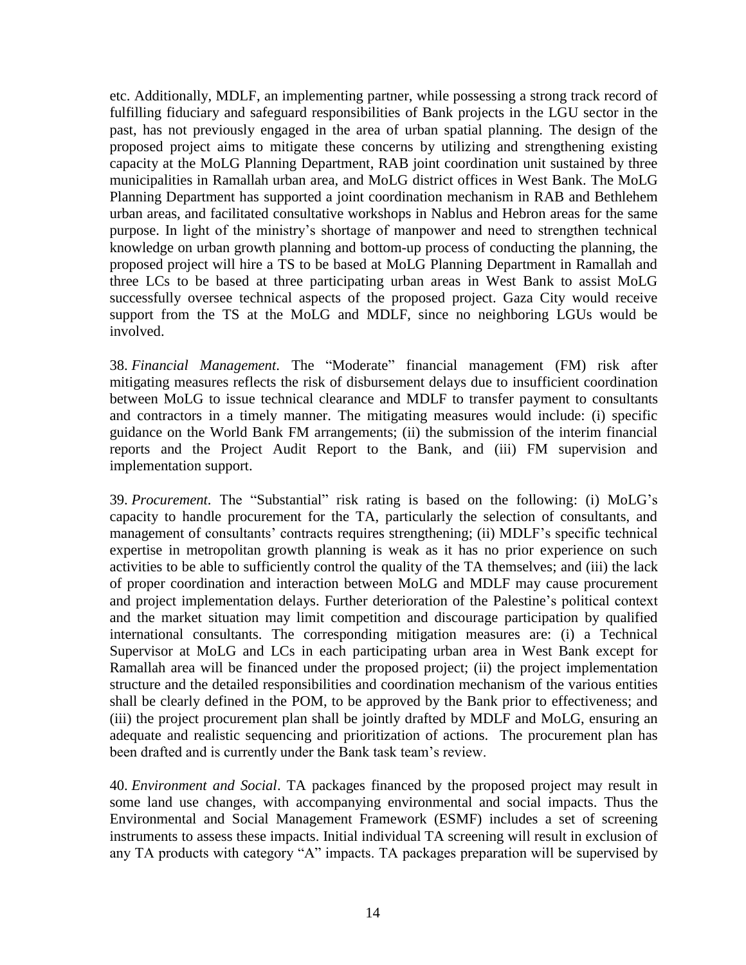etc. Additionally, MDLF, an implementing partner, while possessing a strong track record of fulfilling fiduciary and safeguard responsibilities of Bank projects in the LGU sector in the past, has not previously engaged in the area of urban spatial planning. The design of the proposed project aims to mitigate these concerns by utilizing and strengthening existing capacity at the MoLG Planning Department, RAB joint coordination unit sustained by three municipalities in Ramallah urban area, and MoLG district offices in West Bank. The MoLG Planning Department has supported a joint coordination mechanism in RAB and Bethlehem urban areas, and facilitated consultative workshops in Nablus and Hebron areas for the same purpose. In light of the ministry's shortage of manpower and need to strengthen technical knowledge on urban growth planning and bottom-up process of conducting the planning, the proposed project will hire a TS to be based at MoLG Planning Department in Ramallah and three LCs to be based at three participating urban areas in West Bank to assist MoLG successfully oversee technical aspects of the proposed project. Gaza City would receive support from the TS at the MoLG and MDLF, since no neighboring LGUs would be involved.

38. *Financial Management*. The "Moderate" financial management (FM) risk after mitigating measures reflects the risk of disbursement delays due to insufficient coordination between MoLG to issue technical clearance and MDLF to transfer payment to consultants and contractors in a timely manner. The mitigating measures would include: (i) specific guidance on the World Bank FM arrangements; (ii) the submission of the interim financial reports and the Project Audit Report to the Bank, and (iii) FM supervision and implementation support.

39. *Procurement*. The "Substantial" risk rating is based on the following: (i) MoLG's capacity to handle procurement for the TA, particularly the selection of consultants, and management of consultants' contracts requires strengthening; (ii) MDLF's specific technical expertise in metropolitan growth planning is weak as it has no prior experience on such activities to be able to sufficiently control the quality of the TA themselves; and (iii) the lack of proper coordination and interaction between MoLG and MDLF may cause procurement and project implementation delays. Further deterioration of the Palestine's political context and the market situation may limit competition and discourage participation by qualified international consultants. The corresponding mitigation measures are: (i) a Technical Supervisor at MoLG and LCs in each participating urban area in West Bank except for Ramallah area will be financed under the proposed project; (ii) the project implementation structure and the detailed responsibilities and coordination mechanism of the various entities shall be clearly defined in the POM, to be approved by the Bank prior to effectiveness; and (iii) the project procurement plan shall be jointly drafted by MDLF and MoLG, ensuring an adequate and realistic sequencing and prioritization of actions. The procurement plan has been drafted and is currently under the Bank task team's review.

40. *Environment and Social*. TA packages financed by the proposed project may result in some land use changes, with accompanying environmental and social impacts. Thus the Environmental and Social Management Framework (ESMF) includes a set of screening instruments to assess these impacts. Initial individual TA screening will result in exclusion of any TA products with category "A" impacts. TA packages preparation will be supervised by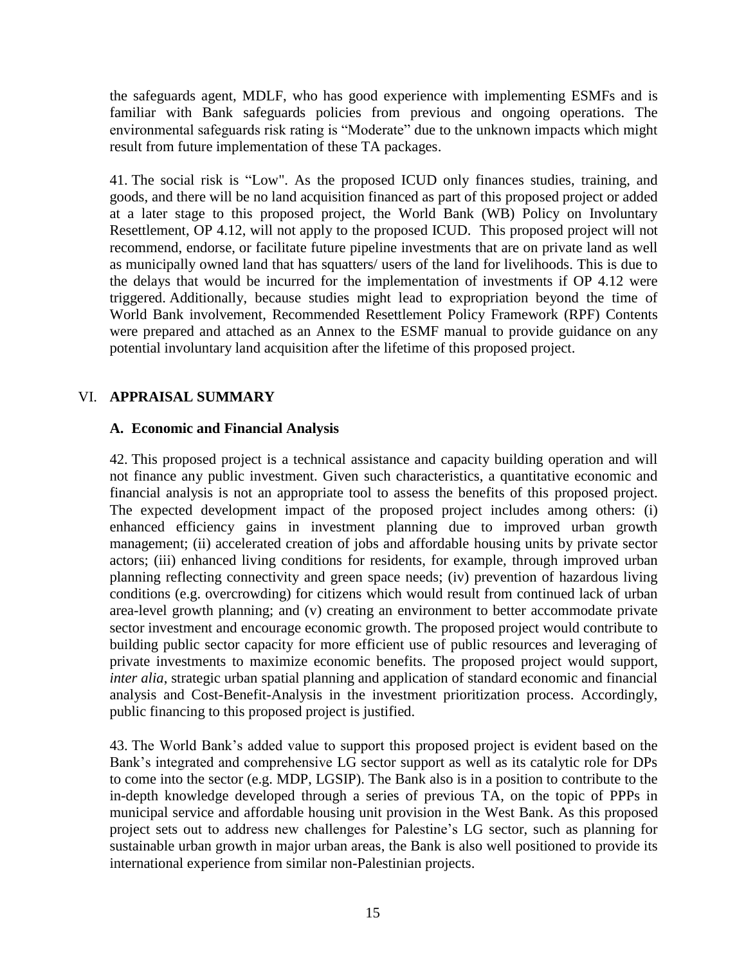the safeguards agent, MDLF, who has good experience with implementing ESMFs and is familiar with Bank safeguards policies from previous and ongoing operations. The environmental safeguards risk rating is "Moderate" due to the unknown impacts which might result from future implementation of these TA packages.

41. The social risk is "Low". As the proposed ICUD only finances studies, training, and goods, and there will be no land acquisition financed as part of this proposed project or added at a later stage to this proposed project, the World Bank (WB) Policy on Involuntary Resettlement, OP 4.12, will not apply to the proposed ICUD. This proposed project will not recommend, endorse, or facilitate future pipeline investments that are on private land as well as municipally owned land that has squatters/ users of the land for livelihoods. This is due to the delays that would be incurred for the implementation of investments if OP 4.12 were triggered. Additionally, because studies might lead to expropriation beyond the time of World Bank involvement, Recommended Resettlement Policy Framework (RPF) Contents were prepared and attached as an Annex to the ESMF manual to provide guidance on any potential involuntary land acquisition after the lifetime of this proposed project.

## VI. **APPRAISAL SUMMARY**

## **A. Economic and Financial Analysis**

42. This proposed project is a technical assistance and capacity building operation and will not finance any public investment. Given such characteristics, a quantitative economic and financial analysis is not an appropriate tool to assess the benefits of this proposed project. The expected development impact of the proposed project includes among others: (i) enhanced efficiency gains in investment planning due to improved urban growth management; (ii) accelerated creation of jobs and affordable housing units by private sector actors; (iii) enhanced living conditions for residents, for example, through improved urban planning reflecting connectivity and green space needs; (iv) prevention of hazardous living conditions (e.g. overcrowding) for citizens which would result from continued lack of urban area-level growth planning; and (v) creating an environment to better accommodate private sector investment and encourage economic growth. The proposed project would contribute to building public sector capacity for more efficient use of public resources and leveraging of private investments to maximize economic benefits. The proposed project would support, *inter alia*, strategic urban spatial planning and application of standard economic and financial analysis and Cost-Benefit-Analysis in the investment prioritization process. Accordingly, public financing to this proposed project is justified.

43. The World Bank's added value to support this proposed project is evident based on the Bank's integrated and comprehensive LG sector support as well as its catalytic role for DPs to come into the sector (e.g. MDP, LGSIP). The Bank also is in a position to contribute to the in-depth knowledge developed through a series of previous TA, on the topic of PPPs in municipal service and affordable housing unit provision in the West Bank. As this proposed project sets out to address new challenges for Palestine's LG sector, such as planning for sustainable urban growth in major urban areas, the Bank is also well positioned to provide its international experience from similar non-Palestinian projects.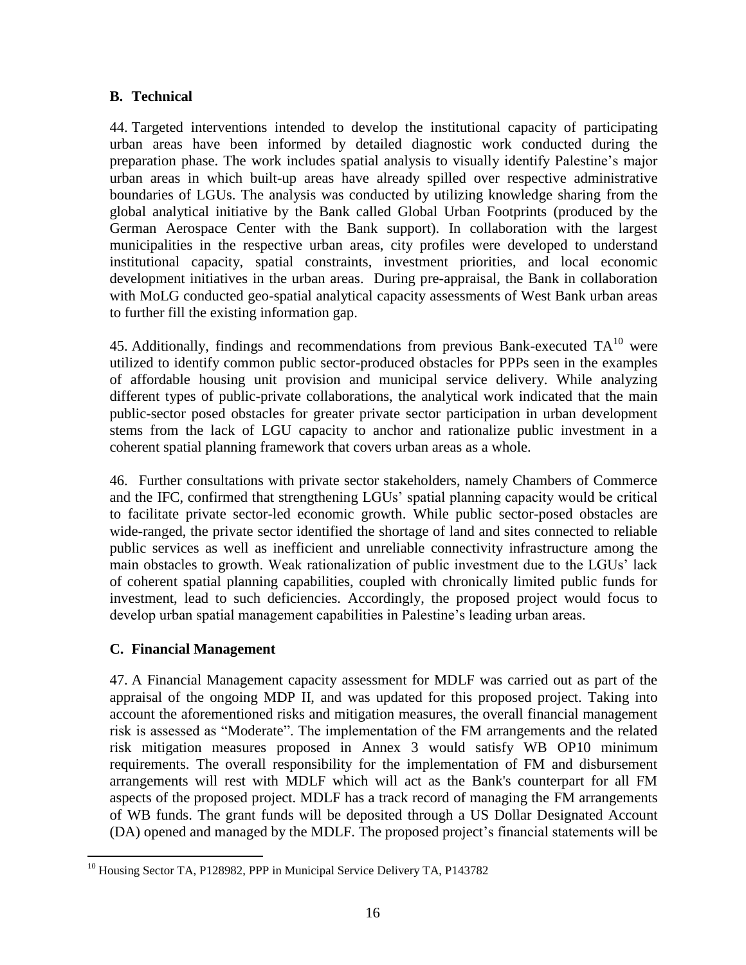## **B. Technical**

44. Targeted interventions intended to develop the institutional capacity of participating urban areas have been informed by detailed diagnostic work conducted during the preparation phase. The work includes spatial analysis to visually identify Palestine's major urban areas in which built-up areas have already spilled over respective administrative boundaries of LGUs. The analysis was conducted by utilizing knowledge sharing from the global analytical initiative by the Bank called Global Urban Footprints (produced by the German Aerospace Center with the Bank support). In collaboration with the largest municipalities in the respective urban areas, city profiles were developed to understand institutional capacity, spatial constraints, investment priorities, and local economic development initiatives in the urban areas. During pre-appraisal, the Bank in collaboration with MoLG conducted geo-spatial analytical capacity assessments of West Bank urban areas to further fill the existing information gap.

45. Additionally, findings and recommendations from previous Bank-executed  $TA^{10}$  were utilized to identify common public sector-produced obstacles for PPPs seen in the examples of affordable housing unit provision and municipal service delivery. While analyzing different types of public-private collaborations, the analytical work indicated that the main public-sector posed obstacles for greater private sector participation in urban development stems from the lack of LGU capacity to anchor and rationalize public investment in a coherent spatial planning framework that covers urban areas as a whole.

46. Further consultations with private sector stakeholders, namely Chambers of Commerce and the IFC, confirmed that strengthening LGUs' spatial planning capacity would be critical to facilitate private sector-led economic growth. While public sector-posed obstacles are wide-ranged, the private sector identified the shortage of land and sites connected to reliable public services as well as inefficient and unreliable connectivity infrastructure among the main obstacles to growth. Weak rationalization of public investment due to the LGUs' lack of coherent spatial planning capabilities, coupled with chronically limited public funds for investment, lead to such deficiencies. Accordingly, the proposed project would focus to develop urban spatial management capabilities in Palestine's leading urban areas.

## **C. Financial Management**

47. A Financial Management capacity assessment for MDLF was carried out as part of the appraisal of the ongoing MDP II, and was updated for this proposed project. Taking into account the aforementioned risks and mitigation measures, the overall financial management risk is assessed as "Moderate". The implementation of the FM arrangements and the related risk mitigation measures proposed in Annex 3 would satisfy WB OP10 minimum requirements. The overall responsibility for the implementation of FM and disbursement arrangements will rest with MDLF which will act as the Bank's counterpart for all FM aspects of the proposed project. MDLF has a track record of managing the FM arrangements of WB funds. The grant funds will be deposited through a US Dollar Designated Account (DA) opened and managed by the MDLF. The proposed project's financial statements will be

 $\overline{a}$ <sup>10</sup> Housing Sector TA, P128982, PPP in Municipal Service Delivery TA, P143782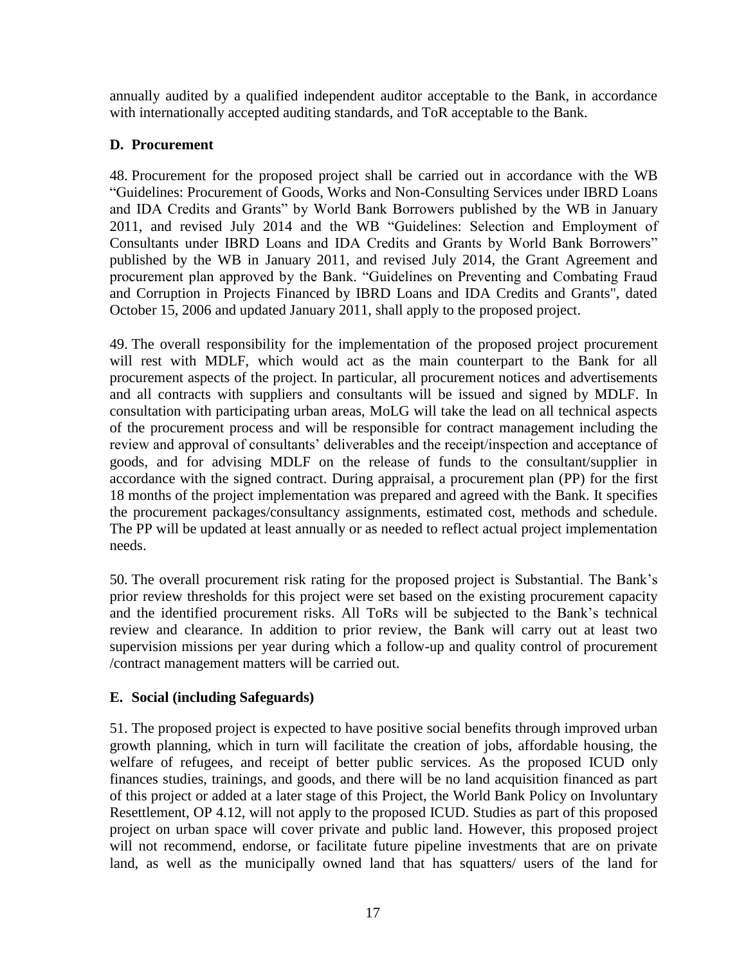annually audited by a qualified independent auditor acceptable to the Bank, in accordance with internationally accepted auditing standards, and ToR acceptable to the Bank.

# **D. Procurement**

48. Procurement for the proposed project shall be carried out in accordance with the WB "Guidelines: Procurement of Goods, Works and Non-Consulting Services under IBRD Loans and IDA Credits and Grants" by World Bank Borrowers published by the WB in January 2011, and revised July 2014 and the WB "Guidelines: Selection and Employment of Consultants under IBRD Loans and IDA Credits and Grants by World Bank Borrowers" published by the WB in January 2011, and revised July 2014, the Grant Agreement and procurement plan approved by the Bank. "Guidelines on Preventing and Combating Fraud and Corruption in Projects Financed by IBRD Loans and IDA Credits and Grants", dated October 15, 2006 and updated January 2011, shall apply to the proposed project.

49. The overall responsibility for the implementation of the proposed project procurement will rest with MDLF, which would act as the main counterpart to the Bank for all procurement aspects of the project. In particular, all procurement notices and advertisements and all contracts with suppliers and consultants will be issued and signed by MDLF. In consultation with participating urban areas, MoLG will take the lead on all technical aspects of the procurement process and will be responsible for contract management including the review and approval of consultants' deliverables and the receipt/inspection and acceptance of goods, and for advising MDLF on the release of funds to the consultant/supplier in accordance with the signed contract. During appraisal, a procurement plan (PP) for the first 18 months of the project implementation was prepared and agreed with the Bank. It specifies the procurement packages/consultancy assignments, estimated cost, methods and schedule. The PP will be updated at least annually or as needed to reflect actual project implementation needs.

50. The overall procurement risk rating for the proposed project is Substantial. The Bank's prior review thresholds for this project were set based on the existing procurement capacity and the identified procurement risks. All ToRs will be subjected to the Bank's technical review and clearance. In addition to prior review, the Bank will carry out at least two supervision missions per year during which a follow-up and quality control of procurement /contract management matters will be carried out.

# **E. Social (including Safeguards)**

51. The proposed project is expected to have positive social benefits through improved urban growth planning, which in turn will facilitate the creation of jobs, affordable housing, the welfare of refugees, and receipt of better public services. As the proposed ICUD only finances studies, trainings, and goods, and there will be no land acquisition financed as part of this project or added at a later stage of this Project, the World Bank Policy on Involuntary Resettlement, OP 4.12, will not apply to the proposed ICUD. Studies as part of this proposed project on urban space will cover private and public land. However, this proposed project will not recommend, endorse, or facilitate future pipeline investments that are on private land, as well as the municipally owned land that has squatters/ users of the land for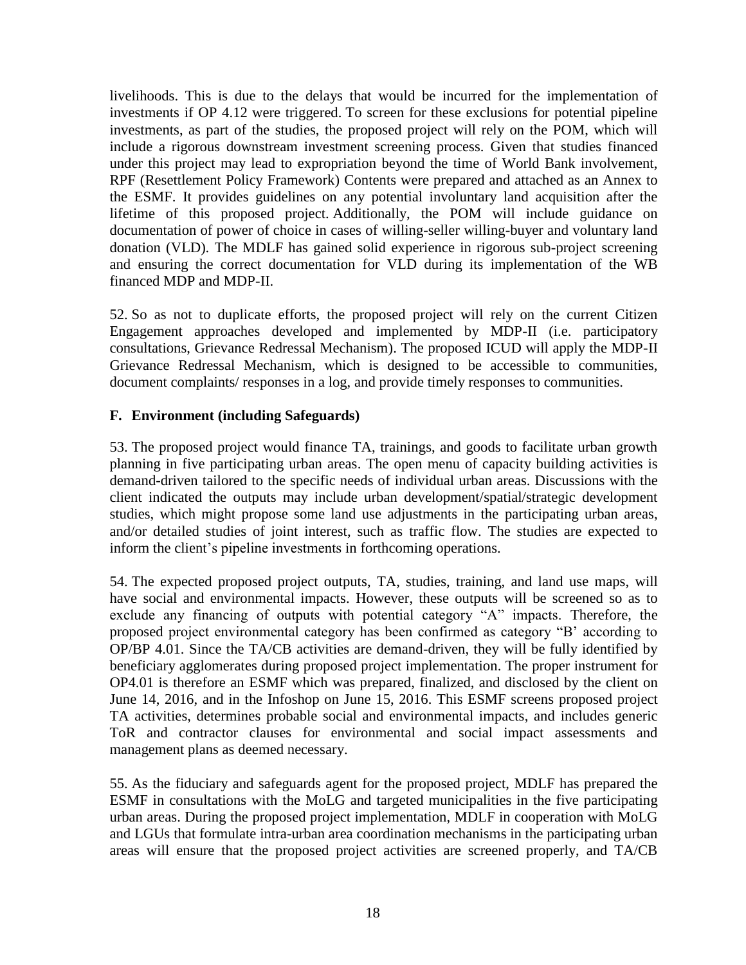livelihoods. This is due to the delays that would be incurred for the implementation of investments if OP 4.12 were triggered. To screen for these exclusions for potential pipeline investments, as part of the studies, the proposed project will rely on the POM, which will include a rigorous downstream investment screening process. Given that studies financed under this project may lead to expropriation beyond the time of World Bank involvement, RPF (Resettlement Policy Framework) Contents were prepared and attached as an Annex to the ESMF. It provides guidelines on any potential involuntary land acquisition after the lifetime of this proposed project. Additionally, the POM will include guidance on documentation of power of choice in cases of willing-seller willing-buyer and voluntary land donation (VLD). The MDLF has gained solid experience in rigorous sub-project screening and ensuring the correct documentation for VLD during its implementation of the WB financed MDP and MDP-II.

52. So as not to duplicate efforts, the proposed project will rely on the current Citizen Engagement approaches developed and implemented by MDP-II (i.e. participatory consultations, Grievance Redressal Mechanism). The proposed ICUD will apply the MDP-II Grievance Redressal Mechanism, which is designed to be accessible to communities, document complaints/ responses in a log, and provide timely responses to communities.

## **F. Environment (including Safeguards)**

53. The proposed project would finance TA, trainings, and goods to facilitate urban growth planning in five participating urban areas. The open menu of capacity building activities is demand-driven tailored to the specific needs of individual urban areas. Discussions with the client indicated the outputs may include urban development/spatial/strategic development studies, which might propose some land use adjustments in the participating urban areas, and/or detailed studies of joint interest, such as traffic flow. The studies are expected to inform the client's pipeline investments in forthcoming operations.

54. The expected proposed project outputs, TA, studies, training, and land use maps, will have social and environmental impacts. However, these outputs will be screened so as to exclude any financing of outputs with potential category "A" impacts. Therefore, the proposed project environmental category has been confirmed as category "B' according to OP/BP 4.01. Since the TA/CB activities are demand-driven, they will be fully identified by beneficiary agglomerates during proposed project implementation. The proper instrument for OP4.01 is therefore an ESMF which was prepared, finalized, and disclosed by the client on June 14, 2016, and in the Infoshop on June 15, 2016. This ESMF screens proposed project TA activities, determines probable social and environmental impacts, and includes generic ToR and contractor clauses for environmental and social impact assessments and management plans as deemed necessary.

55. As the fiduciary and safeguards agent for the proposed project, MDLF has prepared the ESMF in consultations with the MoLG and targeted municipalities in the five participating urban areas. During the proposed project implementation, MDLF in cooperation with MoLG and LGUs that formulate intra-urban area coordination mechanisms in the participating urban areas will ensure that the proposed project activities are screened properly, and TA/CB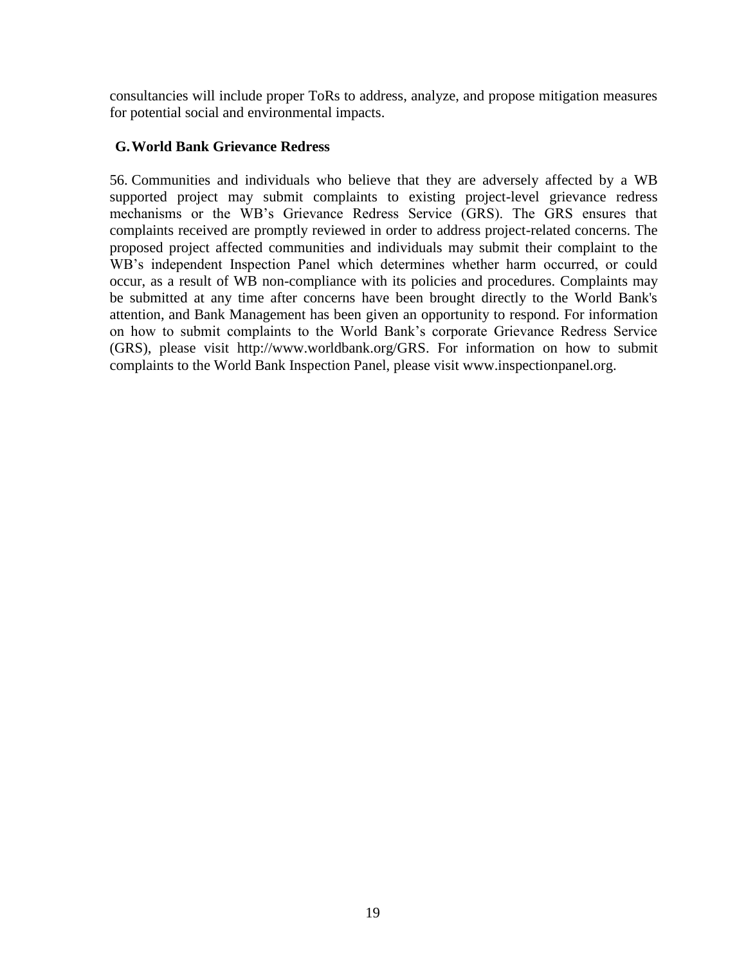consultancies will include proper ToRs to address, analyze, and propose mitigation measures for potential social and environmental impacts.

## **G.World Bank Grievance Redress**

56. Communities and individuals who believe that they are adversely affected by a WB supported project may submit complaints to existing project-level grievance redress mechanisms or the WB's Grievance Redress Service (GRS). The GRS ensures that complaints received are promptly reviewed in order to address project-related concerns. The proposed project affected communities and individuals may submit their complaint to the WB's independent Inspection Panel which determines whether harm occurred, or could occur, as a result of WB non-compliance with its policies and procedures. Complaints may be submitted at any time after concerns have been brought directly to the World Bank's attention, and Bank Management has been given an opportunity to respond. For information on how to submit complaints to the World Bank's corporate Grievance Redress Service (GRS), please visit [http://www.worldbank.org/GRS.](http://www.worldbank.org/GRM) For information on how to submit complaints to the World Bank Inspection Panel, please visit [www.inspectionpanel.org.](http://www.inspectionpanel.org/)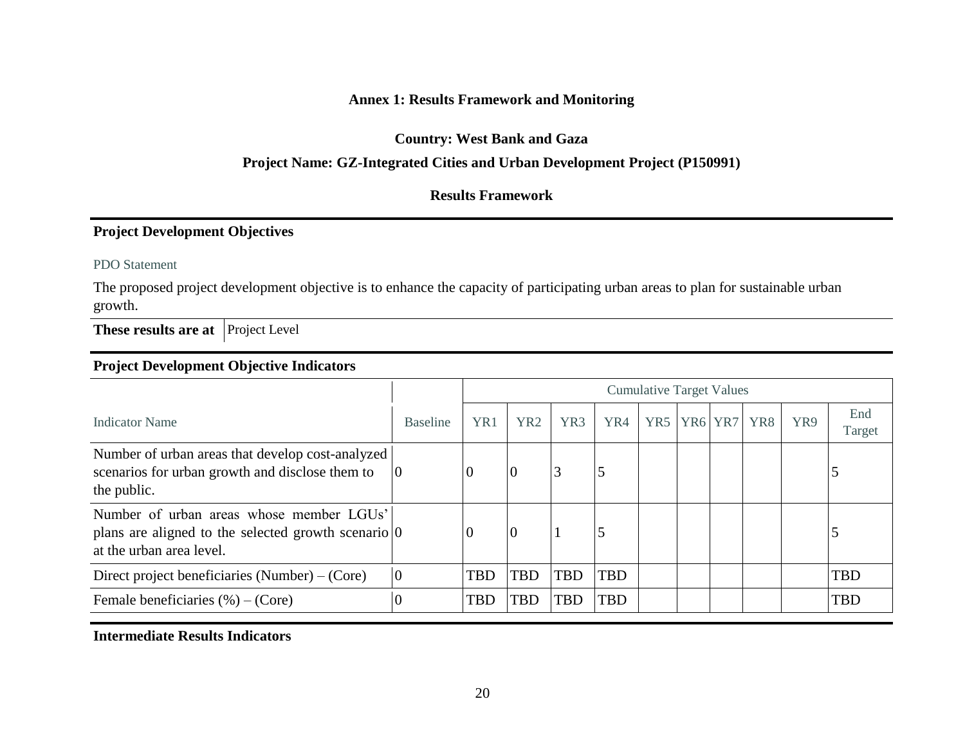## **Annex 1: Results Framework and Monitoring**

**Country: West Bank and Gaza**

#### **Project Name: GZ-Integrated Cities and Urban Development Project (P150991)**

## **Results Framework**

## **Project Development Objectives**

PDO Statement

The proposed project development objective is to enhance the capacity of participating urban areas to plan for sustainable urban growth.

**These results are at** Project Level

## **Project Development Objective Indicators**

|                                                                                                                                             |                 | <b>Cumulative Target Values</b> |                 |                 |            |                 |                                 |     |     |               |
|---------------------------------------------------------------------------------------------------------------------------------------------|-----------------|---------------------------------|-----------------|-----------------|------------|-----------------|---------------------------------|-----|-----|---------------|
| Indicator Name                                                                                                                              | <b>Baseline</b> | YR1                             | YR <sub>2</sub> | YR <sub>3</sub> | YR4        | YR <sub>5</sub> | YR <sub>6</sub> YR <sub>7</sub> | YR8 | YR9 | End<br>Target |
| Number of urban areas that develop cost-analyzed<br>scenarios for urban growth and disclose them to<br>the public.                          | 10              |                                 |                 |                 |            |                 |                                 |     |     |               |
| Number of urban areas whose member LGUs'<br>plans are aligned to the selected growth scenario $\vert 0 \rangle$<br>at the urban area level. |                 |                                 |                 |                 |            |                 |                                 |     |     |               |
| Direct project beneficiaries $(Number) - (Core)$                                                                                            | $\theta$        | <b>TBD</b>                      | <b>TBD</b>      | <b>TBD</b>      | <b>TBD</b> |                 |                                 |     |     | <b>TBD</b>    |
| Female beneficiaries $(\%)-$ (Core)                                                                                                         | $\overline{0}$  | <b>TBD</b>                      | TBD             | <b>TBD</b>      | <b>TBD</b> |                 |                                 |     |     | <b>TBD</b>    |

**Intermediate Results Indicators**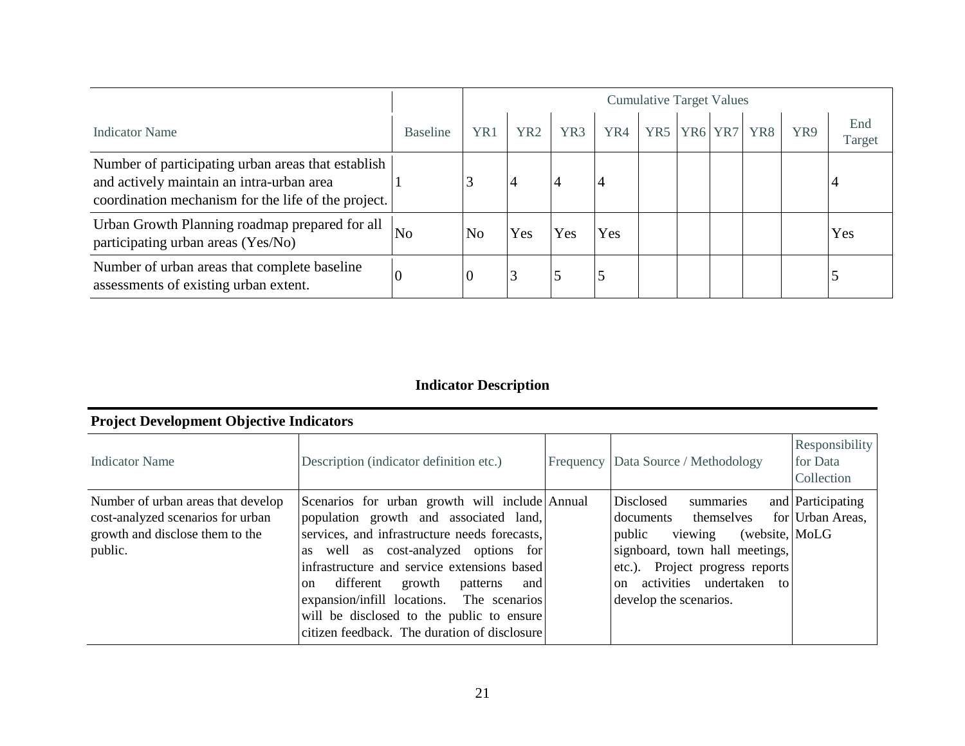|                                                                                                                                                        |                 | <b>Cumulative Target Values</b> |                 |     |     |     |                                 |     |     |               |
|--------------------------------------------------------------------------------------------------------------------------------------------------------|-----------------|---------------------------------|-----------------|-----|-----|-----|---------------------------------|-----|-----|---------------|
| Indicator Name                                                                                                                                         | <b>Baseline</b> | YR1                             | YR <sub>2</sub> | YR3 | YR4 | YR5 | YR <sub>6</sub> YR <sub>7</sub> | YR8 | YR9 | End<br>Target |
| Number of participating urban areas that establish<br>and actively maintain an intra-urban area<br>coordination mechanism for the life of the project. |                 |                                 |                 | 4   |     |     |                                 |     |     |               |
| Urban Growth Planning roadmap prepared for all<br>participating urban areas (Yes/No)                                                                   | N <sub>o</sub>  | N <sub>o</sub>                  | Yes             | Yes | Yes |     |                                 |     |     | Yes           |
| Number of urban areas that complete baseline<br>assessments of existing urban extent.                                                                  |                 | v                               |                 |     |     |     |                                 |     |     |               |

# **Indicator Description**

# **Project Development Objective Indicators**

| Indicator Name                                                                                                        | Description (indicator definition etc.)                                                                                                                                                                                                                                                                                                                                                                                         | Frequency Data Source / Methodology                                                                                                                                                                                                | Responsibility<br>for Data<br>Collection |
|-----------------------------------------------------------------------------------------------------------------------|---------------------------------------------------------------------------------------------------------------------------------------------------------------------------------------------------------------------------------------------------------------------------------------------------------------------------------------------------------------------------------------------------------------------------------|------------------------------------------------------------------------------------------------------------------------------------------------------------------------------------------------------------------------------------|------------------------------------------|
| Number of urban areas that develop<br>cost-analyzed scenarios for urban<br>growth and disclose them to the<br>public. | Scenarios for urban growth will include Annual<br>population growth and associated land,<br>services, and infrastructure needs forecasts,<br>as well as cost-analyzed options for<br>infrastructure and service extensions based<br>different growth patterns<br>and<br><sub>on</sub><br>expansion/infill locations. The scenarios<br>will be disclosed to the public to ensure<br>citizen feedback. The duration of disclosure | Disclosed<br>summaries<br>documents themselves<br>public viewing<br>(website, MoLG)<br>signboard, town hall meetings,<br>etc.). Project progress reports<br>activities undertaken<br>to<br><sub>on</sub><br>develop the scenarios. | and Participating<br>for Urban Areas,    |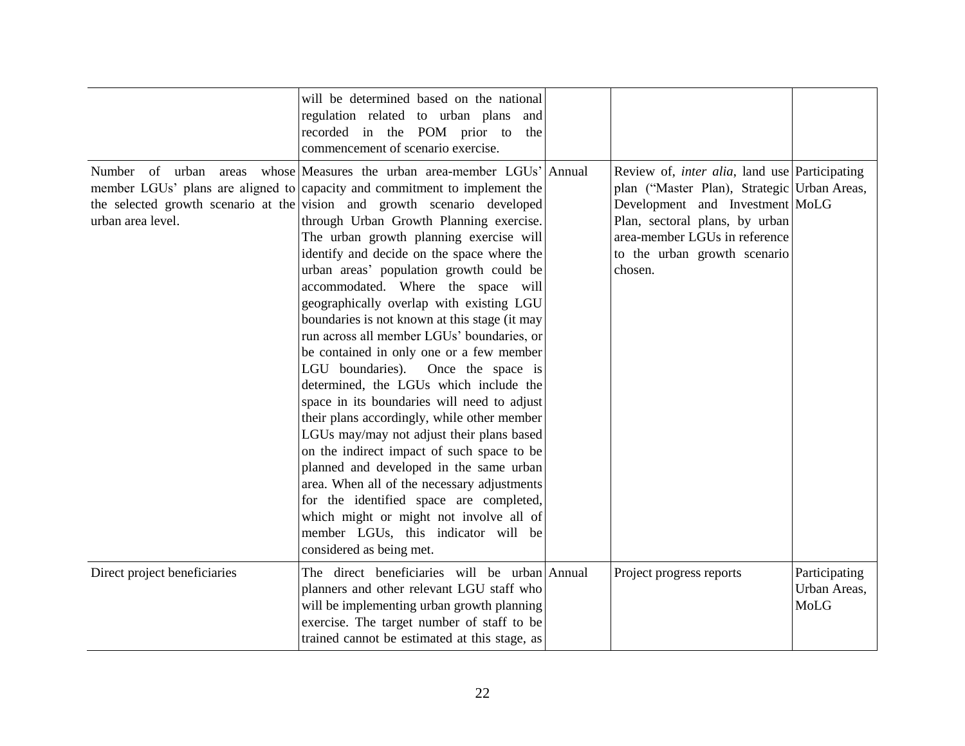|                                               | will be determined based on the national<br>regulation related to urban plans and<br>recorded in the POM prior to the<br>commencement of scenario exercise.                                                                                                                                                                                                                                                                                                                                                                                                                                                                                                                                                                                                                                                                                                                                                                                                                                                                                                                                                                                         |                                                                                                                                                                                                                                                       |                                       |
|-----------------------------------------------|-----------------------------------------------------------------------------------------------------------------------------------------------------------------------------------------------------------------------------------------------------------------------------------------------------------------------------------------------------------------------------------------------------------------------------------------------------------------------------------------------------------------------------------------------------------------------------------------------------------------------------------------------------------------------------------------------------------------------------------------------------------------------------------------------------------------------------------------------------------------------------------------------------------------------------------------------------------------------------------------------------------------------------------------------------------------------------------------------------------------------------------------------------|-------------------------------------------------------------------------------------------------------------------------------------------------------------------------------------------------------------------------------------------------------|---------------------------------------|
| Number of urban<br>areas<br>urban area level. | whose Measures the urban area-member LGUs' Annual<br>member LGUs' plans are aligned to capacity and commitment to implement the<br>the selected growth scenario at the vision and growth scenario developed<br>through Urban Growth Planning exercise.<br>The urban growth planning exercise will<br>identify and decide on the space where the<br>urban areas' population growth could be<br>accommodated. Where the space will<br>geographically overlap with existing LGU<br>boundaries is not known at this stage (it may<br>run across all member LGUs' boundaries, or<br>be contained in only one or a few member<br>LGU boundaries). Once the space is<br>determined, the LGUs which include the<br>space in its boundaries will need to adjust<br>their plans accordingly, while other member<br>LGUs may/may not adjust their plans based<br>on the indirect impact of such space to be<br>planned and developed in the same urban<br>area. When all of the necessary adjustments<br>for the identified space are completed,<br>which might or might not involve all of<br>member LGUs, this indicator will be<br>considered as being met. | Review of, <i>inter alia</i> , land use Participating<br>plan ("Master Plan), Strategic Urban Areas,<br>Development and Investment MoLG<br>Plan, sectoral plans, by urban<br>area-member LGUs in reference<br>to the urban growth scenario<br>chosen. |                                       |
| Direct project beneficiaries                  | The direct beneficiaries will be urban Annual<br>planners and other relevant LGU staff who<br>will be implementing urban growth planning<br>exercise. The target number of staff to be<br>trained cannot be estimated at this stage, as                                                                                                                                                                                                                                                                                                                                                                                                                                                                                                                                                                                                                                                                                                                                                                                                                                                                                                             | Project progress reports                                                                                                                                                                                                                              | Participating<br>Urban Areas,<br>MoLG |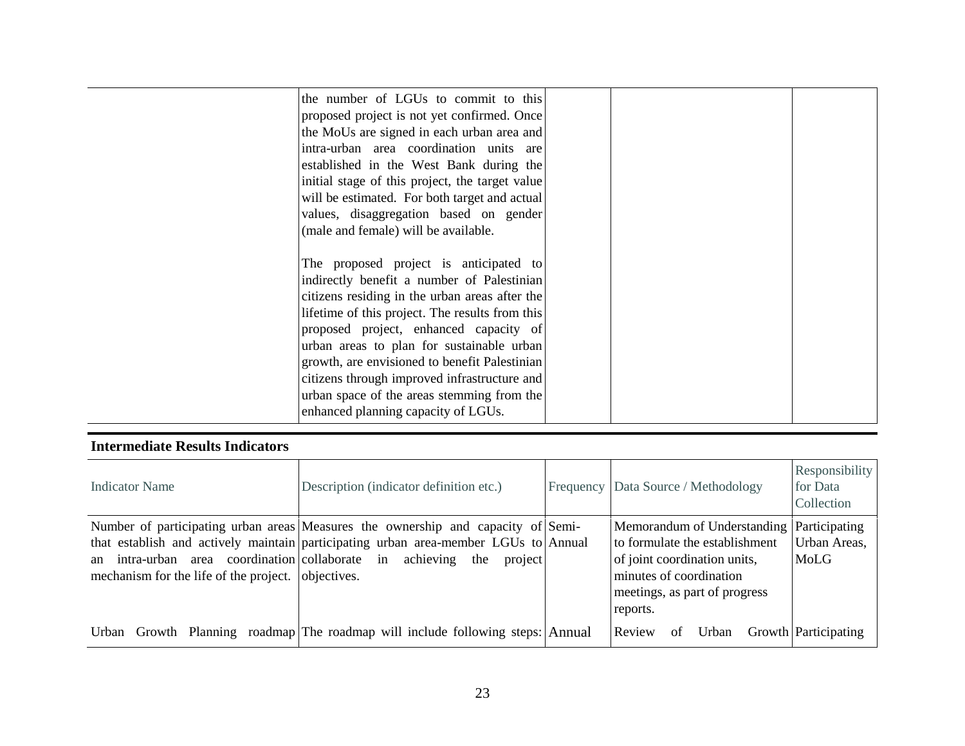| the number of LGUs to commit to this<br>proposed project is not yet confirmed. Once<br>the MoUs are signed in each urban area and<br>intra-urban area coordination units are<br>established in the West Bank during the<br>initial stage of this project, the target value<br>will be estimated. For both target and actual<br>values, disaggregation based on gender<br>(male and female) will be available.                                                          |  |  |
|------------------------------------------------------------------------------------------------------------------------------------------------------------------------------------------------------------------------------------------------------------------------------------------------------------------------------------------------------------------------------------------------------------------------------------------------------------------------|--|--|
| The proposed project is anticipated to<br>indirectly benefit a number of Palestinian<br>citizens residing in the urban areas after the<br>lifetime of this project. The results from this<br>proposed project, enhanced capacity of<br>urban areas to plan for sustainable urban<br>growth, are envisioned to benefit Palestinian<br>citizens through improved infrastructure and<br>urban space of the areas stemming from the<br>enhanced planning capacity of LGUs. |  |  |

## **Intermediate Results Indicators**

| Indicator Name                                                                                          | Description (indicator definition etc.)                                                                                                                                                                | Frequency Data Source / Methodology                                                                                                                                   | Responsibility<br>for Data<br>Collection |
|---------------------------------------------------------------------------------------------------------|--------------------------------------------------------------------------------------------------------------------------------------------------------------------------------------------------------|-----------------------------------------------------------------------------------------------------------------------------------------------------------------------|------------------------------------------|
| an intra-urban area coordination collaborate in<br>mechanism for the life of the project.   objectives. | Number of participating urban areas Measures the ownership and capacity of Semi-<br>that establish and actively maintain participating urban area-member LGUs to Annual<br>achieving<br>the<br>project | Memorandum of Understanding<br>to formulate the establishment<br>of joint coordination units,<br>minutes of coordination<br>meetings, as part of progress<br>reports. | Participating<br>Urban Areas,<br>MoLG    |
|                                                                                                         | Urban Growth Planning roadmap The roadmap will include following steps: Annual                                                                                                                         | Review<br>Urban<br>of                                                                                                                                                 | Growth Participating                     |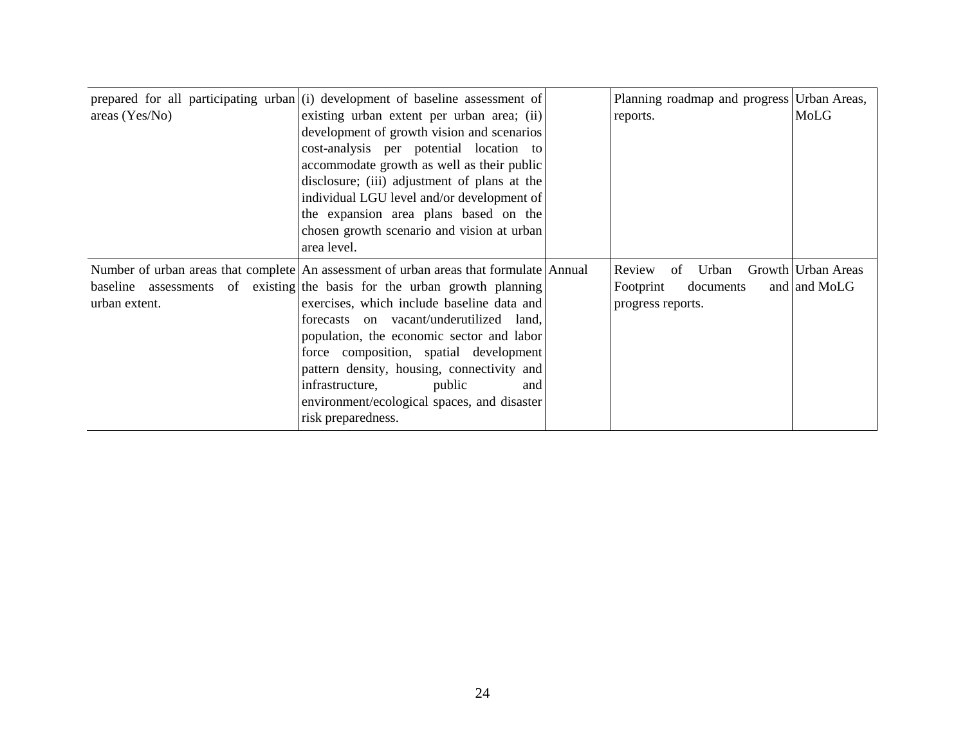| areas $(Yes/No)$ | prepared for all participating urban $(i)$ development of baseline assessment of<br>existing urban extent per urban area; (ii)<br>development of growth vision and scenarios<br>cost-analysis per potential location to<br>accommodate growth as well as their public<br>disclosure; (iii) adjustment of plans at the<br>individual LGU level and/or development of<br>the expansion area plans based on the<br>chosen growth scenario and vision at urban<br>area level.                                 | Planning roadmap and progress Urban Areas,<br>reports.               | MoLG                               |
|------------------|-----------------------------------------------------------------------------------------------------------------------------------------------------------------------------------------------------------------------------------------------------------------------------------------------------------------------------------------------------------------------------------------------------------------------------------------------------------------------------------------------------------|----------------------------------------------------------------------|------------------------------------|
| urban extent.    | Number of urban areas that complete An assessment of urban areas that formulate Annual<br>baseline assessments of existing the basis for the urban growth planning<br>exercises, which include baseline data and<br>forecasts on vacant/underutilized land,<br>population, the economic sector and labor<br>force composition, spatial development<br>pattern density, housing, connectivity and<br>infrastructure,<br>public<br>and<br>environment/ecological spaces, and disaster<br>risk preparedness. | Review<br>Urban<br>of<br>Footprint<br>documents<br>progress reports. | Growth Urban Areas<br>and and MoLG |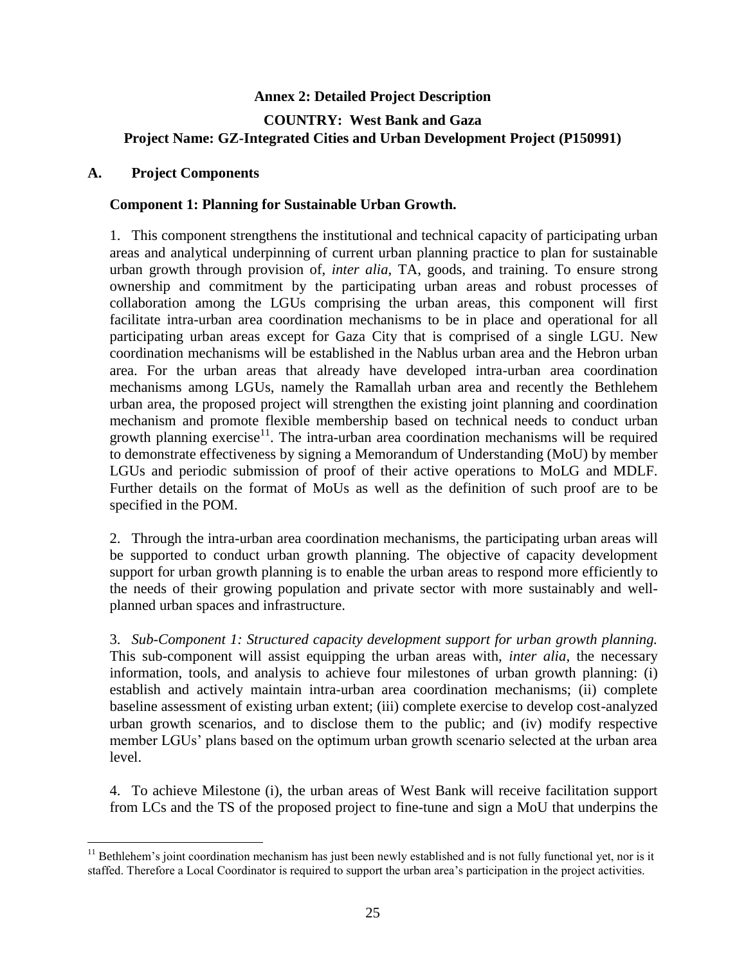# **Annex 2: Detailed Project Description COUNTRY: West Bank and Gaza Project Name: GZ-Integrated Cities and Urban Development Project (P150991)**

#### **A. Project Components**

 $\overline{a}$ 

#### **Component 1: Planning for Sustainable Urban Growth.**

1. This component strengthens the institutional and technical capacity of participating urban areas and analytical underpinning of current urban planning practice to plan for sustainable urban growth through provision of, *inter alia*, TA, goods, and training. To ensure strong ownership and commitment by the participating urban areas and robust processes of collaboration among the LGUs comprising the urban areas, this component will first facilitate intra-urban area coordination mechanisms to be in place and operational for all participating urban areas except for Gaza City that is comprised of a single LGU. New coordination mechanisms will be established in the Nablus urban area and the Hebron urban area. For the urban areas that already have developed intra-urban area coordination mechanisms among LGUs, namely the Ramallah urban area and recently the Bethlehem urban area, the proposed project will strengthen the existing joint planning and coordination mechanism and promote flexible membership based on technical needs to conduct urban growth planning exercise $1$ <sup>1</sup>. The intra-urban area coordination mechanisms will be required to demonstrate effectiveness by signing a Memorandum of Understanding (MoU) by member LGUs and periodic submission of proof of their active operations to MoLG and MDLF. Further details on the format of MoUs as well as the definition of such proof are to be specified in the POM.

2. Through the intra-urban area coordination mechanisms, the participating urban areas will be supported to conduct urban growth planning. The objective of capacity development support for urban growth planning is to enable the urban areas to respond more efficiently to the needs of their growing population and private sector with more sustainably and wellplanned urban spaces and infrastructure.

3. *Sub-Component 1: Structured capacity development support for urban growth planning.* This sub-component will assist equipping the urban areas with, *inter alia*, the necessary information, tools, and analysis to achieve four milestones of urban growth planning: (i) establish and actively maintain intra-urban area coordination mechanisms; (ii) complete baseline assessment of existing urban extent; (iii) complete exercise to develop cost-analyzed urban growth scenarios, and to disclose them to the public; and (iv) modify respective member LGUs' plans based on the optimum urban growth scenario selected at the urban area level.

4. To achieve Milestone (i), the urban areas of West Bank will receive facilitation support from LCs and the TS of the proposed project to fine-tune and sign a MoU that underpins the

 $11$  Bethlehem's joint coordination mechanism has just been newly established and is not fully functional yet, nor is it staffed. Therefore a Local Coordinator is required to support the urban area's participation in the project activities.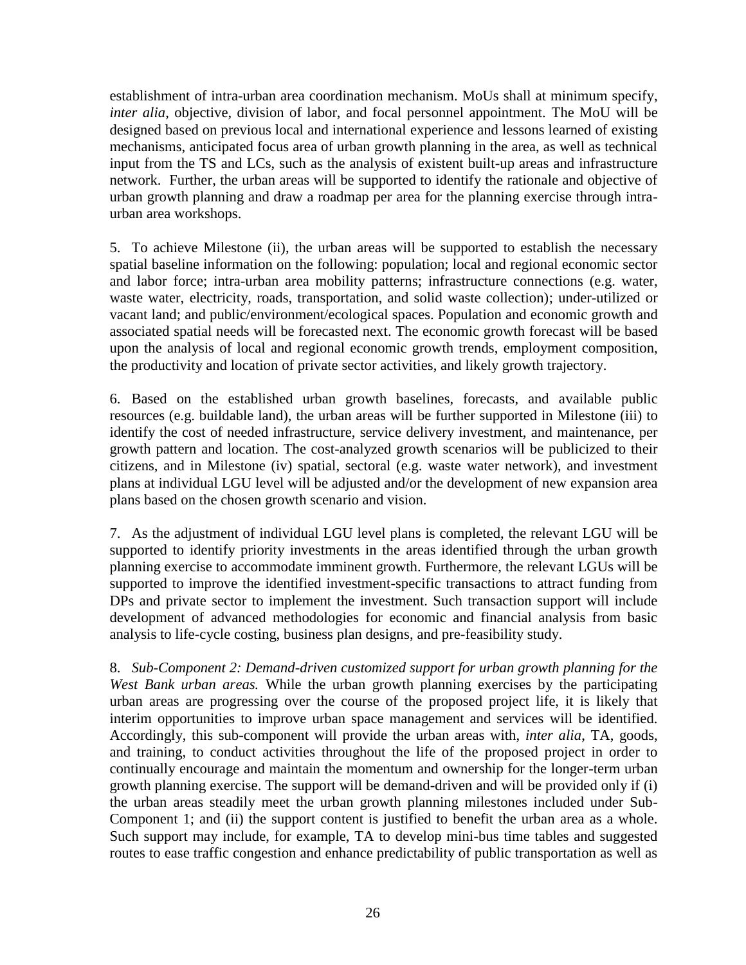establishment of intra-urban area coordination mechanism. MoUs shall at minimum specify, *inter alia*, objective, division of labor, and focal personnel appointment. The MoU will be designed based on previous local and international experience and lessons learned of existing mechanisms, anticipated focus area of urban growth planning in the area, as well as technical input from the TS and LCs, such as the analysis of existent built-up areas and infrastructure network. Further, the urban areas will be supported to identify the rationale and objective of urban growth planning and draw a roadmap per area for the planning exercise through intraurban area workshops.

5. To achieve Milestone (ii), the urban areas will be supported to establish the necessary spatial baseline information on the following: population; local and regional economic sector and labor force; intra-urban area mobility patterns; infrastructure connections (e.g. water, waste water, electricity, roads, transportation, and solid waste collection); under-utilized or vacant land; and public/environment/ecological spaces. Population and economic growth and associated spatial needs will be forecasted next. The economic growth forecast will be based upon the analysis of local and regional economic growth trends, employment composition, the productivity and location of private sector activities, and likely growth trajectory.

6. Based on the established urban growth baselines, forecasts, and available public resources (e.g. buildable land), the urban areas will be further supported in Milestone (iii) to identify the cost of needed infrastructure, service delivery investment, and maintenance, per growth pattern and location. The cost-analyzed growth scenarios will be publicized to their citizens, and in Milestone (iv) spatial, sectoral (e.g. waste water network), and investment plans at individual LGU level will be adjusted and/or the development of new expansion area plans based on the chosen growth scenario and vision.

7. As the adjustment of individual LGU level plans is completed, the relevant LGU will be supported to identify priority investments in the areas identified through the urban growth planning exercise to accommodate imminent growth. Furthermore, the relevant LGUs will be supported to improve the identified investment-specific transactions to attract funding from DPs and private sector to implement the investment. Such transaction support will include development of advanced methodologies for economic and financial analysis from basic analysis to life-cycle costing, business plan designs, and pre-feasibility study.

8. *Sub-Component 2: Demand-driven customized support for urban growth planning for the West Bank urban areas.* While the urban growth planning exercises by the participating urban areas are progressing over the course of the proposed project life, it is likely that interim opportunities to improve urban space management and services will be identified. Accordingly, this sub-component will provide the urban areas with, *inter alia*, TA, goods, and training, to conduct activities throughout the life of the proposed project in order to continually encourage and maintain the momentum and ownership for the longer-term urban growth planning exercise. The support will be demand-driven and will be provided only if (i) the urban areas steadily meet the urban growth planning milestones included under Sub-Component 1; and (ii) the support content is justified to benefit the urban area as a whole. Such support may include, for example, TA to develop mini-bus time tables and suggested routes to ease traffic congestion and enhance predictability of public transportation as well as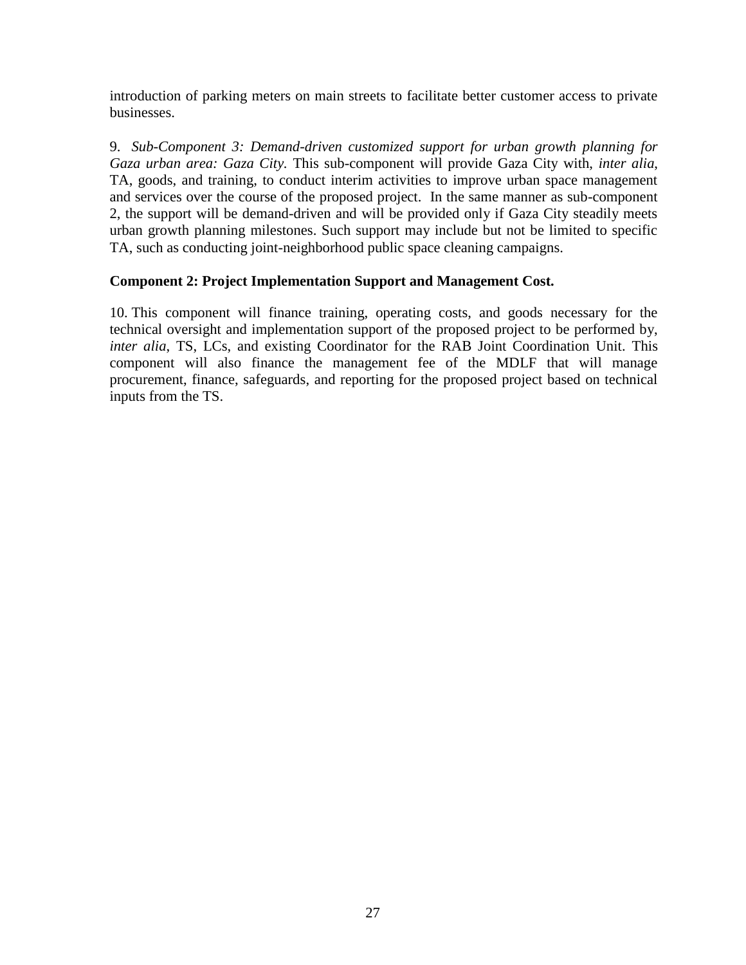introduction of parking meters on main streets to facilitate better customer access to private businesses.

9. *Sub-Component 3: Demand-driven customized support for urban growth planning for Gaza urban area: Gaza City.* This sub-component will provide Gaza City with, *inter alia*, TA, goods, and training, to conduct interim activities to improve urban space management and services over the course of the proposed project. In the same manner as sub-component 2, the support will be demand-driven and will be provided only if Gaza City steadily meets urban growth planning milestones. Such support may include but not be limited to specific TA, such as conducting joint-neighborhood public space cleaning campaigns.

## **Component 2: Project Implementation Support and Management Cost.**

10. This component will finance training, operating costs, and goods necessary for the technical oversight and implementation support of the proposed project to be performed by, *inter alia*, TS, LCs, and existing Coordinator for the RAB Joint Coordination Unit. This component will also finance the management fee of the MDLF that will manage procurement, finance, safeguards, and reporting for the proposed project based on technical inputs from the TS.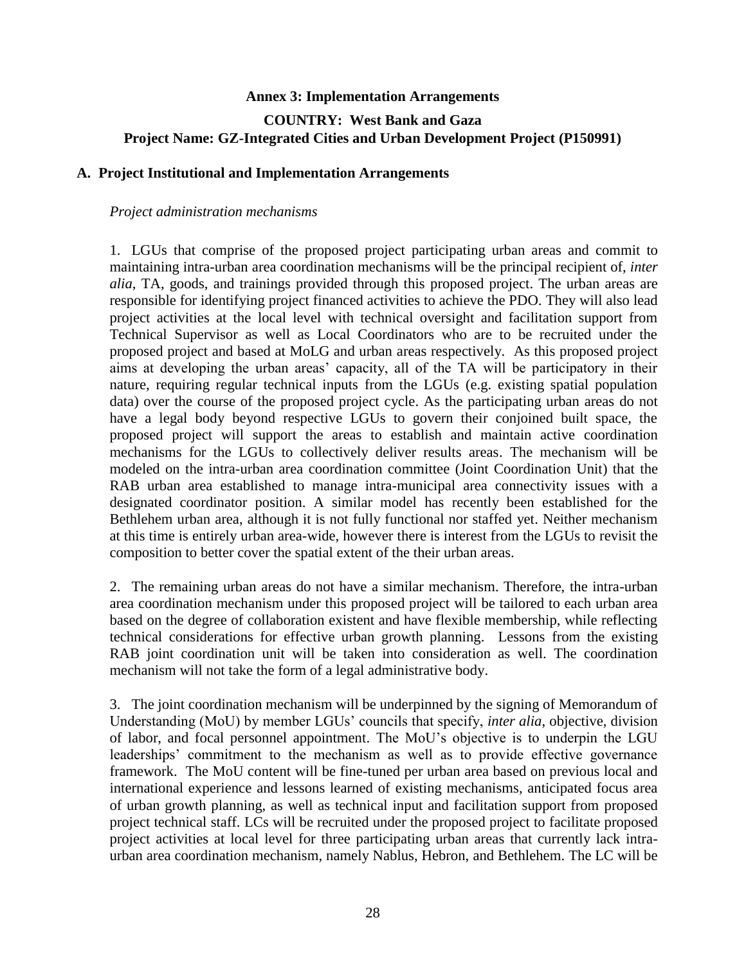#### **Annex 3: Implementation Arrangements**

## **COUNTRY: West Bank and Gaza Project Name: GZ-Integrated Cities and Urban Development Project (P150991)**

#### **A. Project Institutional and Implementation Arrangements**

#### *Project administration mechanisms*

1. LGUs that comprise of the proposed project participating urban areas and commit to maintaining intra-urban area coordination mechanisms will be the principal recipient of, *inter alia*, TA, goods, and trainings provided through this proposed project. The urban areas are responsible for identifying project financed activities to achieve the PDO. They will also lead project activities at the local level with technical oversight and facilitation support from Technical Supervisor as well as Local Coordinators who are to be recruited under the proposed project and based at MoLG and urban areas respectively. As this proposed project aims at developing the urban areas' capacity, all of the TA will be participatory in their nature, requiring regular technical inputs from the LGUs (e.g. existing spatial population data) over the course of the proposed project cycle. As the participating urban areas do not have a legal body beyond respective LGUs to govern their conjoined built space, the proposed project will support the areas to establish and maintain active coordination mechanisms for the LGUs to collectively deliver results areas. The mechanism will be modeled on the intra-urban area coordination committee (Joint Coordination Unit) that the RAB urban area established to manage intra-municipal area connectivity issues with a designated coordinator position. A similar model has recently been established for the Bethlehem urban area, although it is not fully functional nor staffed yet. Neither mechanism at this time is entirely urban area-wide, however there is interest from the LGUs to revisit the composition to better cover the spatial extent of the their urban areas.

2. The remaining urban areas do not have a similar mechanism. Therefore, the intra-urban area coordination mechanism under this proposed project will be tailored to each urban area based on the degree of collaboration existent and have flexible membership, while reflecting technical considerations for effective urban growth planning. Lessons from the existing RAB joint coordination unit will be taken into consideration as well. The coordination mechanism will not take the form of a legal administrative body.

3. The joint coordination mechanism will be underpinned by the signing of Memorandum of Understanding (MoU) by member LGUs' councils that specify, *inter alia*, objective, division of labor, and focal personnel appointment. The MoU's objective is to underpin the LGU leaderships' commitment to the mechanism as well as to provide effective governance framework. The MoU content will be fine-tuned per urban area based on previous local and international experience and lessons learned of existing mechanisms, anticipated focus area of urban growth planning, as well as technical input and facilitation support from proposed project technical staff. LCs will be recruited under the proposed project to facilitate proposed project activities at local level for three participating urban areas that currently lack intraurban area coordination mechanism, namely Nablus, Hebron, and Bethlehem. The LC will be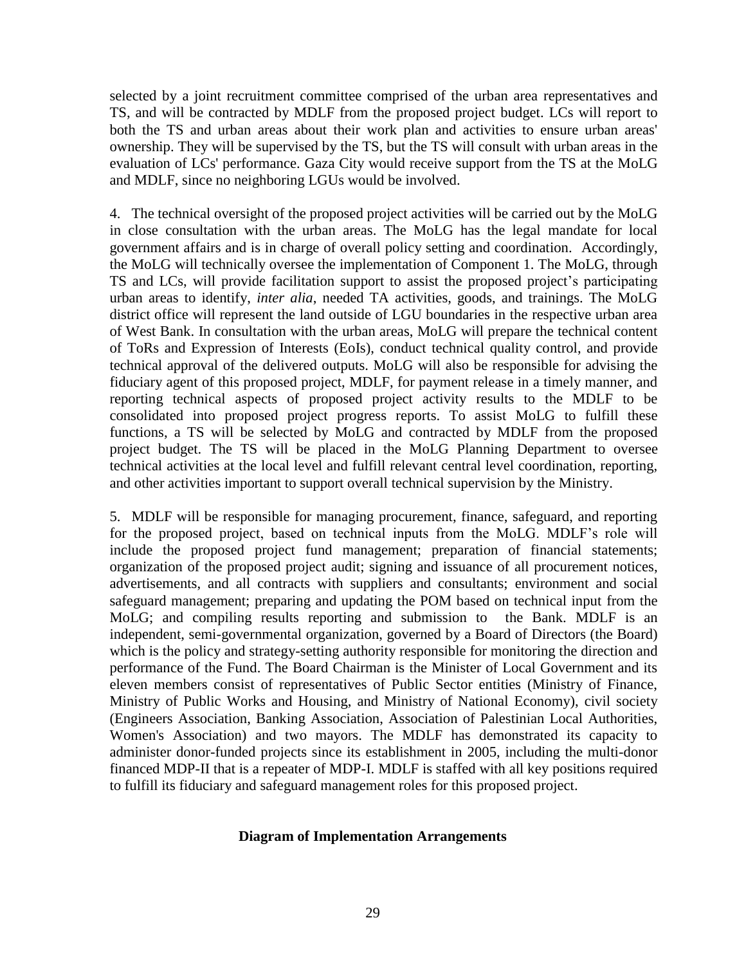selected by a joint recruitment committee comprised of the urban area representatives and TS, and will be contracted by MDLF from the proposed project budget. LCs will report to both the TS and urban areas about their work plan and activities to ensure urban areas' ownership. They will be supervised by the TS, but the TS will consult with urban areas in the evaluation of LCs' performance. Gaza City would receive support from the TS at the MoLG and MDLF, since no neighboring LGUs would be involved.

4. The technical oversight of the proposed project activities will be carried out by the MoLG in close consultation with the urban areas. The MoLG has the legal mandate for local government affairs and is in charge of overall policy setting and coordination. Accordingly, the MoLG will technically oversee the implementation of Component 1. The MoLG, through TS and LCs, will provide facilitation support to assist the proposed project's participating urban areas to identify, *inter alia*, needed TA activities, goods, and trainings. The MoLG district office will represent the land outside of LGU boundaries in the respective urban area of West Bank. In consultation with the urban areas, MoLG will prepare the technical content of ToRs and Expression of Interests (EoIs), conduct technical quality control, and provide technical approval of the delivered outputs. MoLG will also be responsible for advising the fiduciary agent of this proposed project, MDLF, for payment release in a timely manner, and reporting technical aspects of proposed project activity results to the MDLF to be consolidated into proposed project progress reports. To assist MoLG to fulfill these functions, a TS will be selected by MoLG and contracted by MDLF from the proposed project budget. The TS will be placed in the MoLG Planning Department to oversee technical activities at the local level and fulfill relevant central level coordination, reporting, and other activities important to support overall technical supervision by the Ministry.

5. MDLF will be responsible for managing procurement, finance, safeguard, and reporting for the proposed project, based on technical inputs from the MoLG. MDLF's role will include the proposed project fund management; preparation of financial statements; organization of the proposed project audit; signing and issuance of all procurement notices, advertisements, and all contracts with suppliers and consultants; environment and social safeguard management; preparing and updating the POM based on technical input from the MoLG; and compiling results reporting and submission to the Bank. MDLF is an independent, semi-governmental organization, governed by a Board of Directors (the Board) which is the policy and strategy-setting authority responsible for monitoring the direction and performance of the Fund. The Board Chairman is the Minister of Local Government and its eleven members consist of representatives of Public Sector entities (Ministry of Finance, Ministry of Public Works and Housing, and Ministry of National Economy), civil society (Engineers Association, Banking Association, Association of Palestinian Local Authorities, Women's Association) and two mayors. The MDLF has demonstrated its capacity to administer donor-funded projects since its establishment in 2005, including the multi-donor financed MDP-II that is a repeater of MDP-I. MDLF is staffed with all key positions required to fulfill its fiduciary and safeguard management roles for this proposed project.

#### **Diagram of Implementation Arrangements**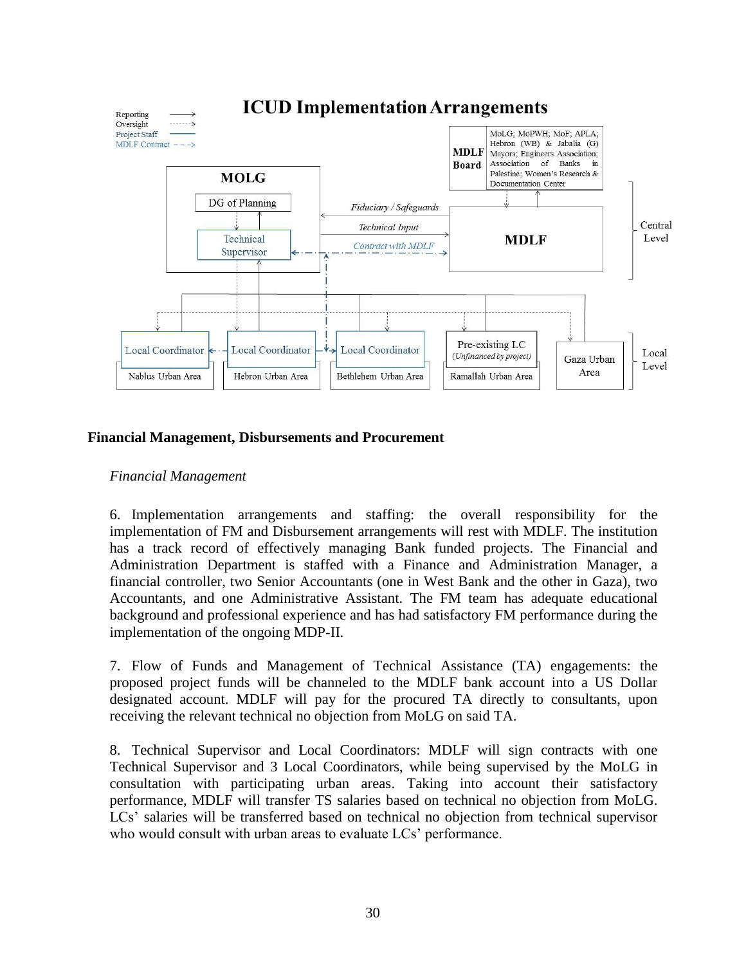

## **Financial Management, Disbursements and Procurement**

#### *Financial Management*

6. Implementation arrangements and staffing: the overall responsibility for the implementation of FM and Disbursement arrangements will rest with MDLF. The institution has a track record of effectively managing Bank funded projects. The Financial and Administration Department is staffed with a Finance and Administration Manager, a financial controller, two Senior Accountants (one in West Bank and the other in Gaza), two Accountants, and one Administrative Assistant. The FM team has adequate educational background and professional experience and has had satisfactory FM performance during the implementation of the ongoing MDP-II.

7. Flow of Funds and Management of Technical Assistance (TA) engagements: the proposed project funds will be channeled to the MDLF bank account into a US Dollar designated account. MDLF will pay for the procured TA directly to consultants, upon receiving the relevant technical no objection from MoLG on said TA.

8. Technical Supervisor and Local Coordinators: MDLF will sign contracts with one Technical Supervisor and 3 Local Coordinators, while being supervised by the MoLG in consultation with participating urban areas. Taking into account their satisfactory performance, MDLF will transfer TS salaries based on technical no objection from MoLG. LCs' salaries will be transferred based on technical no objection from technical supervisor who would consult with urban areas to evaluate LCs' performance.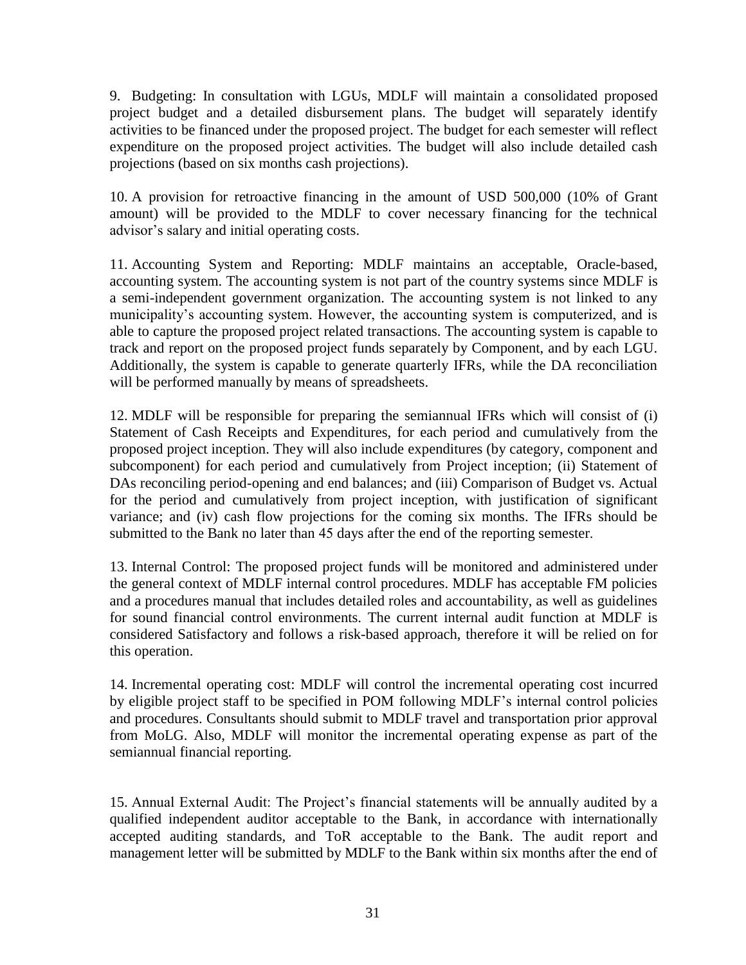9. Budgeting: In consultation with LGUs, MDLF will maintain a consolidated proposed project budget and a detailed disbursement plans. The budget will separately identify activities to be financed under the proposed project. The budget for each semester will reflect expenditure on the proposed project activities. The budget will also include detailed cash projections (based on six months cash projections).

10. A provision for retroactive financing in the amount of USD 500,000 (10% of Grant amount) will be provided to the MDLF to cover necessary financing for the technical advisor's salary and initial operating costs.

11. Accounting System and Reporting: MDLF maintains an acceptable, Oracle-based, accounting system. The accounting system is not part of the country systems since MDLF is a semi-independent government organization. The accounting system is not linked to any municipality's accounting system. However, the accounting system is computerized, and is able to capture the proposed project related transactions. The accounting system is capable to track and report on the proposed project funds separately by Component, and by each LGU. Additionally, the system is capable to generate quarterly IFRs, while the DA reconciliation will be performed manually by means of spreadsheets.

12. MDLF will be responsible for preparing the semiannual IFRs which will consist of (i) Statement of Cash Receipts and Expenditures, for each period and cumulatively from the proposed project inception. They will also include expenditures (by category, component and subcomponent) for each period and cumulatively from Project inception; (ii) Statement of DAs reconciling period-opening and end balances; and (iii) Comparison of Budget vs. Actual for the period and cumulatively from project inception, with justification of significant variance; and (iv) cash flow projections for the coming six months. The IFRs should be submitted to the Bank no later than 45 days after the end of the reporting semester.

13. Internal Control: The proposed project funds will be monitored and administered under the general context of MDLF internal control procedures. MDLF has acceptable FM policies and a procedures manual that includes detailed roles and accountability, as well as guidelines for sound financial control environments. The current internal audit function at MDLF is considered Satisfactory and follows a risk-based approach, therefore it will be relied on for this operation.

14. Incremental operating cost: MDLF will control the incremental operating cost incurred by eligible project staff to be specified in POM following MDLF's internal control policies and procedures. Consultants should submit to MDLF travel and transportation prior approval from MoLG. Also, MDLF will monitor the incremental operating expense as part of the semiannual financial reporting.

15. Annual External Audit: The Project's financial statements will be annually audited by a qualified independent auditor acceptable to the Bank, in accordance with internationally accepted auditing standards, and ToR acceptable to the Bank. The audit report and management letter will be submitted by MDLF to the Bank within six months after the end of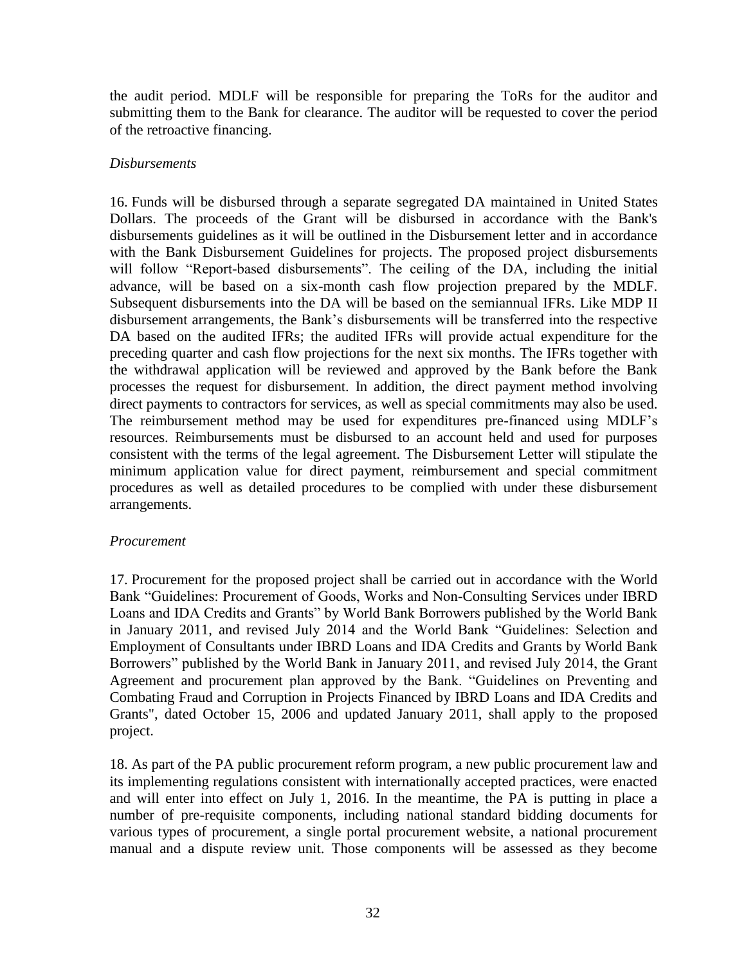the audit period. MDLF will be responsible for preparing the ToRs for the auditor and submitting them to the Bank for clearance. The auditor will be requested to cover the period of the retroactive financing.

## *Disbursements*

16. Funds will be disbursed through a separate segregated DA maintained in United States Dollars. The proceeds of the Grant will be disbursed in accordance with the Bank's disbursements guidelines as it will be outlined in the Disbursement letter and in accordance with the Bank Disbursement Guidelines for projects. The proposed project disbursements will follow "Report-based disbursements". The ceiling of the DA, including the initial advance, will be based on a six-month cash flow projection prepared by the MDLF. Subsequent disbursements into the DA will be based on the semiannual IFRs. Like MDP II disbursement arrangements, the Bank's disbursements will be transferred into the respective DA based on the audited IFRs; the audited IFRs will provide actual expenditure for the preceding quarter and cash flow projections for the next six months. The IFRs together with the withdrawal application will be reviewed and approved by the Bank before the Bank processes the request for disbursement. In addition, the direct payment method involving direct payments to contractors for services, as well as special commitments may also be used. The reimbursement method may be used for expenditures pre-financed using MDLF's resources. Reimbursements must be disbursed to an account held and used for purposes consistent with the terms of the legal agreement. The Disbursement Letter will stipulate the minimum application value for direct payment, reimbursement and special commitment procedures as well as detailed procedures to be complied with under these disbursement arrangements.

#### *Procurement*

17. Procurement for the proposed project shall be carried out in accordance with the World Bank "Guidelines: Procurement of Goods, Works and Non-Consulting Services under IBRD Loans and IDA Credits and Grants" by World Bank Borrowers published by the World Bank in January 2011, and revised July 2014 and the World Bank "Guidelines: Selection and Employment of Consultants under IBRD Loans and IDA Credits and Grants by World Bank Borrowers" published by the World Bank in January 2011, and revised July 2014, the Grant Agreement and procurement plan approved by the Bank. "Guidelines on Preventing and Combating Fraud and Corruption in Projects Financed by IBRD Loans and IDA Credits and Grants", dated October 15, 2006 and updated January 2011, shall apply to the proposed project.

18. As part of the PA public procurement reform program, a new public procurement law and its implementing regulations consistent with internationally accepted practices, were enacted and will enter into effect on July 1, 2016. In the meantime, the PA is putting in place a number of pre-requisite components, including national standard bidding documents for various types of procurement, a single portal procurement website, a national procurement manual and a dispute review unit. Those components will be assessed as they become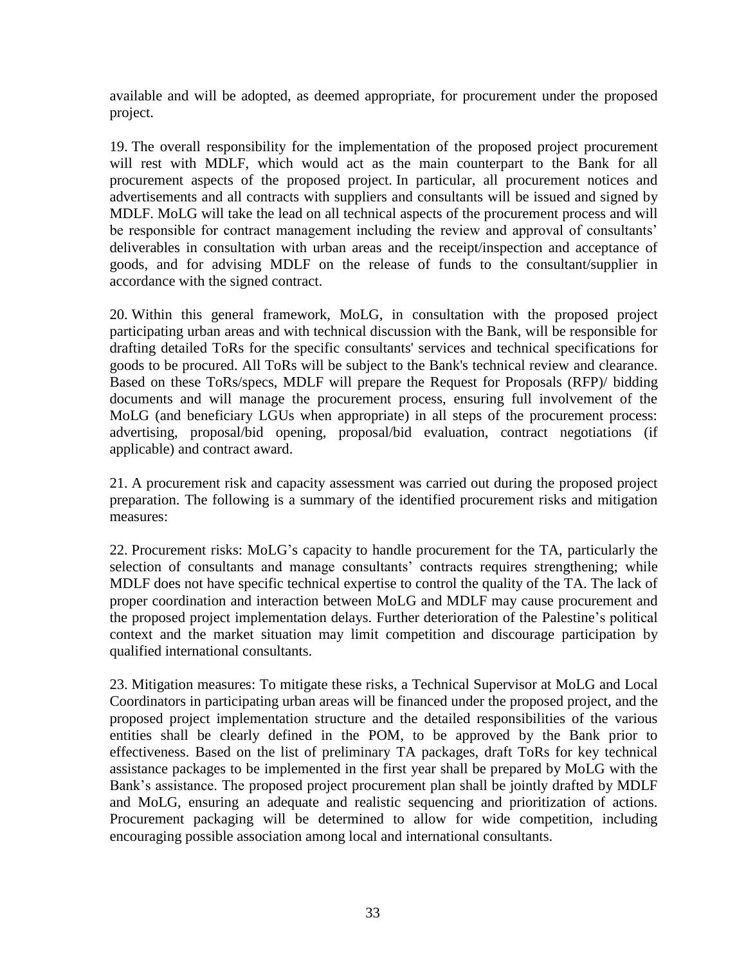available and will be adopted, as deemed appropriate, for procurement under the proposed project.

19. The overall responsibility for the implementation of the proposed project procurement will rest with MDLF, which would act as the main counterpart to the Bank for all procurement aspects of the proposed project. In particular, all procurement notices and advertisements and all contracts with suppliers and consultants will be issued and signed by MDLF. MoLG will take the lead on all technical aspects of the procurement process and will be responsible for contract management including the review and approval of consultants' deliverables in consultation with urban areas and the receipt/inspection and acceptance of goods, and for advising MDLF on the release of funds to the consultant/supplier in accordance with the signed contract.

20. Within this general framework, MoLG, in consultation with the proposed project participating urban areas and with technical discussion with the Bank, will be responsible for drafting detailed ToRs for the specific consultants' services and technical specifications for goods to be procured. All ToRs will be subject to the Bank's technical review and clearance. Based on these ToRs/specs, MDLF will prepare the Request for Proposals (RFP)/ bidding documents and will manage the procurement process, ensuring full involvement of the MoLG (and beneficiary LGUs when appropriate) in all steps of the procurement process: advertising, proposal/bid opening, proposal/bid evaluation, contract negotiations (if applicable) and contract award.

21. A procurement risk and capacity assessment was carried out during the proposed project preparation. The following is a summary of the identified procurement risks and mitigation measures:

22. Procurement risks: MoLG's capacity to handle procurement for the TA, particularly the selection of consultants and manage consultants' contracts requires strengthening; while MDLF does not have specific technical expertise to control the quality of the TA. The lack of proper coordination and interaction between MoLG and MDLF may cause procurement and the proposed project implementation delays. Further deterioration of the Palestine's political context and the market situation may limit competition and discourage participation by qualified international consultants.

23. Mitigation measures: To mitigate these risks, a Technical Supervisor at MoLG and Local Coordinators in participating urban areas will be financed under the proposed project, and the proposed project implementation structure and the detailed responsibilities of the various entities shall be clearly defined in the POM, to be approved by the Bank prior to effectiveness. Based on the list of preliminary TA packages, draft ToRs for key technical assistance packages to be implemented in the first year shall be prepared by MoLG with the Bank's assistance. The proposed project procurement plan shall be jointly drafted by MDLF and MoLG, ensuring an adequate and realistic sequencing and prioritization of actions. Procurement packaging will be determined to allow for wide competition, including encouraging possible association among local and international consultants.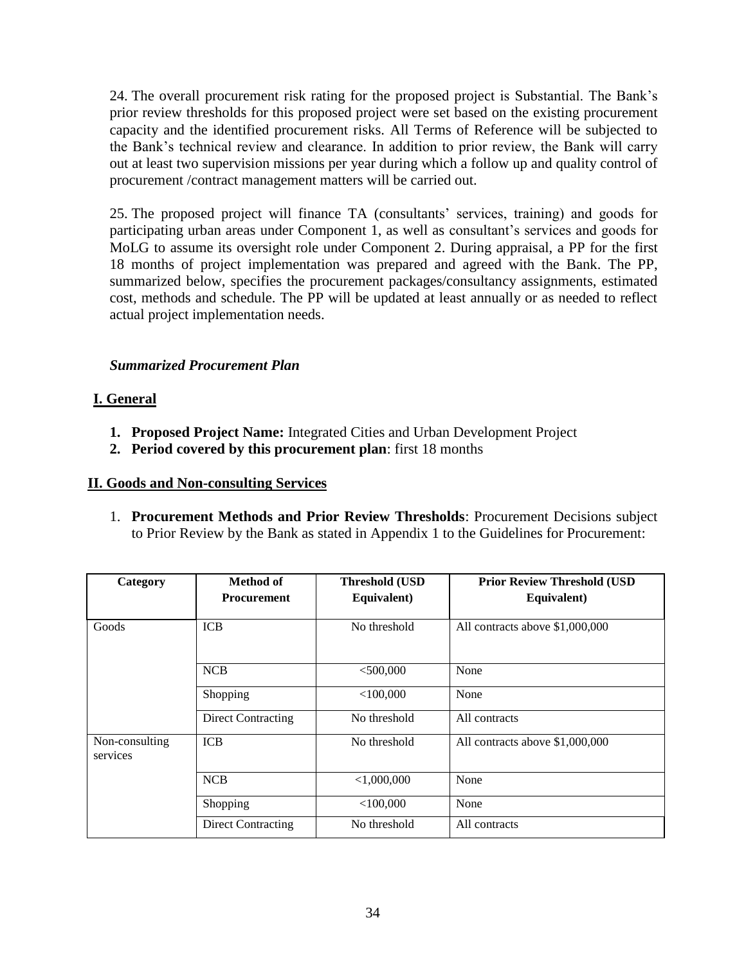24. The overall procurement risk rating for the proposed project is Substantial. The Bank's prior review thresholds for this proposed project were set based on the existing procurement capacity and the identified procurement risks. All Terms of Reference will be subjected to the Bank's technical review and clearance. In addition to prior review, the Bank will carry out at least two supervision missions per year during which a follow up and quality control of procurement /contract management matters will be carried out.

25. The proposed project will finance TA (consultants' services, training) and goods for participating urban areas under Component 1, as well as consultant's services and goods for MoLG to assume its oversight role under Component 2. During appraisal, a PP for the first 18 months of project implementation was prepared and agreed with the Bank. The PP, summarized below, specifies the procurement packages/consultancy assignments, estimated cost, methods and schedule. The PP will be updated at least annually or as needed to reflect actual project implementation needs.

## *Summarized Procurement Plan*

## **I. General**

- **1. Proposed Project Name:** Integrated Cities and Urban Development Project
- **2. Period covered by this procurement plan**: first 18 months

## **II. Goods and Non-consulting Services**

1. **Procurement Methods and Prior Review Thresholds**: Procurement Decisions subject to Prior Review by the Bank as stated in Appendix 1 to the Guidelines for Procurement:

| Category                   | Method of<br><b>Procurement</b> | <b>Threshold (USD</b><br>Equivalent) | <b>Prior Review Threshold (USD</b><br>Equivalent) |
|----------------------------|---------------------------------|--------------------------------------|---------------------------------------------------|
| Goods                      | <b>ICB</b>                      | No threshold                         | All contracts above \$1,000,000                   |
|                            | <b>NCB</b>                      | $<$ 500,000                          | None                                              |
|                            | Shopping                        | $<$ 100,000                          | None                                              |
|                            | <b>Direct Contracting</b>       | No threshold                         | All contracts                                     |
| Non-consulting<br>services | <b>ICB</b>                      | No threshold                         | All contracts above \$1,000,000                   |
|                            | <b>NCB</b>                      | < 1,000,000                          | None                                              |
|                            | Shopping                        | $<$ 100.000                          | None                                              |
|                            | <b>Direct Contracting</b>       | No threshold                         | All contracts                                     |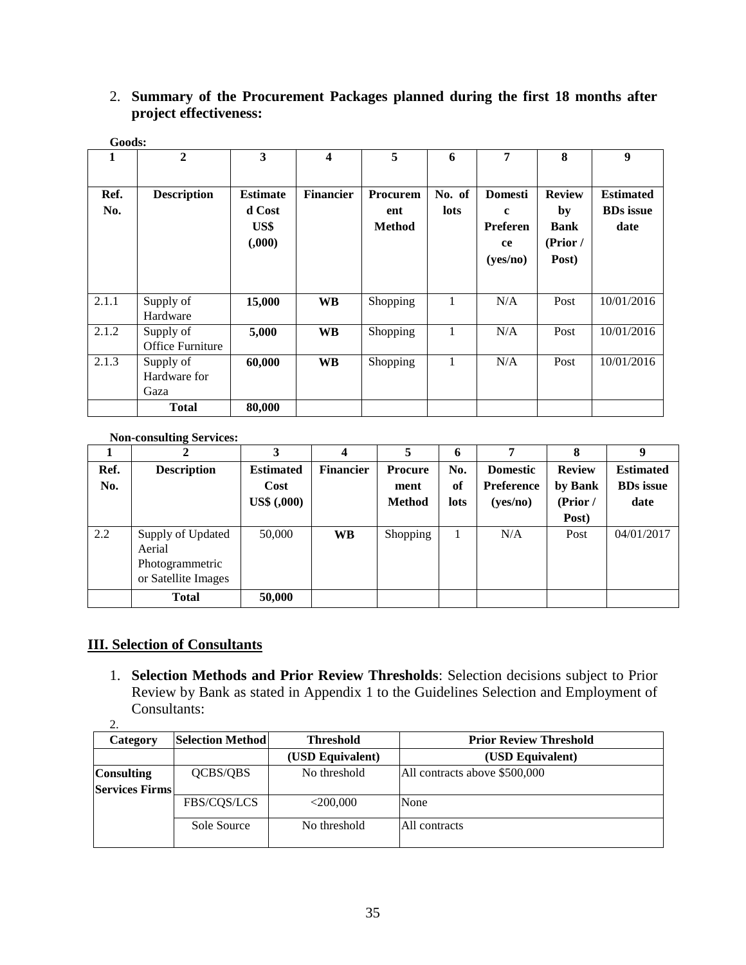## 2. **Summary of the Procurement Packages planned during the first 18 months after project effectiveness:**

|       | Goods:             |                 |                         |                 |              |                |               |                  |
|-------|--------------------|-----------------|-------------------------|-----------------|--------------|----------------|---------------|------------------|
| 1     | $\boldsymbol{2}$   | 3               | $\overline{\mathbf{4}}$ | 5               | 6            | 7              | 8             | 9                |
|       |                    |                 |                         |                 |              |                |               |                  |
| Ref.  | <b>Description</b> | <b>Estimate</b> | <b>Financier</b>        | <b>Procurem</b> | No. of       | <b>Domesti</b> | <b>Review</b> | <b>Estimated</b> |
| No.   |                    | d Cost          |                         | ent             | lots         | $\mathbf c$    | by            | <b>BDs</b> issue |
|       |                    | US\$            |                         | <b>Method</b>   |              | Preferen       | <b>Bank</b>   | date             |
|       |                    | (0.000)         |                         |                 |              | ce             | (Prior /      |                  |
|       |                    |                 |                         |                 |              | (yes/no)       | Post)         |                  |
|       |                    |                 |                         |                 |              |                |               |                  |
| 2.1.1 | Supply of          | 15,000          | <b>WB</b>               | Shopping        | 1            | N/A            | Post          | 10/01/2016       |
|       | Hardware           |                 |                         |                 |              |                |               |                  |
| 2.1.2 | Supply of          | 5,000           | <b>WB</b>               | Shopping        | $\mathbf{1}$ | N/A            | Post          | 10/01/2016       |
|       | Office Furniture   |                 |                         |                 |              |                |               |                  |
| 2.1.3 | Supply of          | 60,000          | <b>WB</b>               | Shopping        | 1            | N/A            | Post          | 10/01/2016       |
|       | Hardware for       |                 |                         |                 |              |                |               |                  |
|       | Gaza               |                 |                         |                 |              |                |               |                  |
|       | <b>Total</b>       | 80,000          |                         |                 |              |                |               |                  |

#### **Non-consulting Services:**

|      | ັ                                                                     | 3                |                  | 5             | 6    |                   | 8             | 9                |
|------|-----------------------------------------------------------------------|------------------|------------------|---------------|------|-------------------|---------------|------------------|
| Ref. | <b>Description</b>                                                    | <b>Estimated</b> | <b>Financier</b> | Procure       | No.  | <b>Domestic</b>   | <b>Review</b> | <b>Estimated</b> |
| No.  |                                                                       | Cost             |                  | ment          | of   | <b>Preference</b> | by Bank       | <b>BDs</b> issue |
|      |                                                                       | US\$ (,000)      |                  | <b>Method</b> | lots | (yes/no)          | (Prior /      | date             |
|      |                                                                       |                  |                  |               |      |                   | Post)         |                  |
| 2.2  | Supply of Updated<br>Aerial<br>Photogrammetric<br>or Satellite Images | 50,000           | <b>WB</b>        | Shopping      |      | N/A               | Post          | 04/01/2017       |
|      | <b>Total</b>                                                          | 50,000           |                  |               |      |                   |               |                  |

## **III. Selection of Consultants**

1. **Selection Methods and Prior Review Thresholds**: Selection decisions subject to Prior Review by Bank as stated in Appendix 1 to the Guidelines Selection and Employment of Consultants:

<sup>2.</sup>

| Category              | <b>Selection Method</b> | <b>Threshold</b> | <b>Prior Review Threshold</b> |
|-----------------------|-------------------------|------------------|-------------------------------|
|                       |                         | (USD Equivalent) | (USD Equivalent)              |
| <b>Consulting</b>     | QCBS/QBS                | No threshold     | All contracts above \$500,000 |
| <b>Services Firms</b> |                         |                  |                               |
|                       | <b>FBS/CQS/LCS</b>      | $<$ 200,000      | None                          |
|                       | Sole Source             | No threshold     | All contracts                 |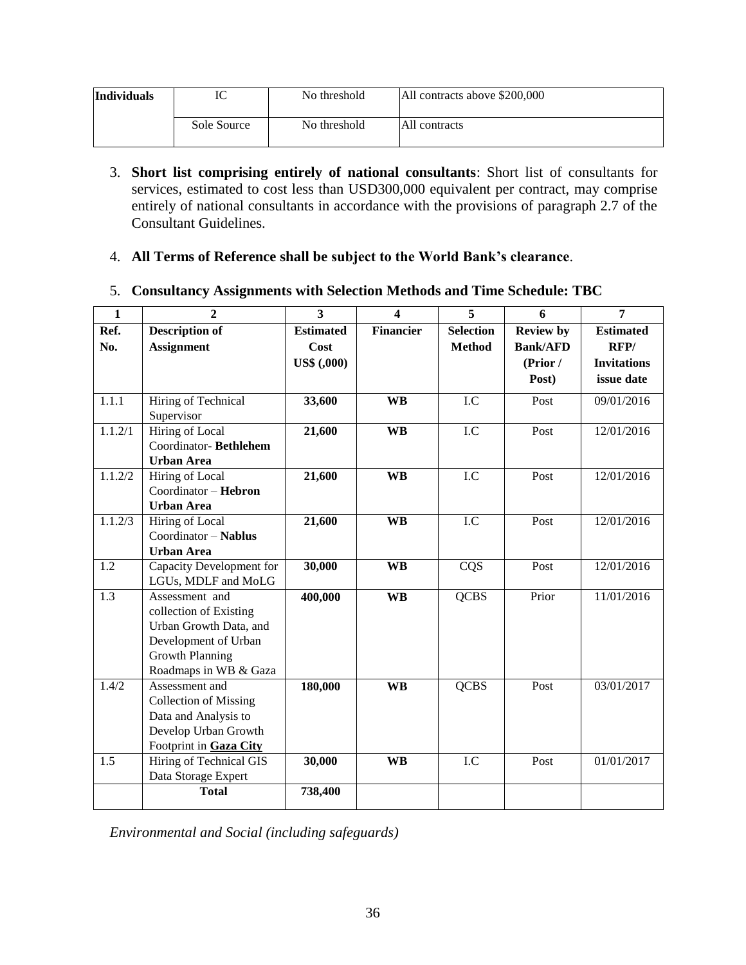| <b>Individuals</b> | IC          | No threshold | All contracts above \$200,000 |  |  |
|--------------------|-------------|--------------|-------------------------------|--|--|
|                    | Sole Source | No threshold | All contracts                 |  |  |

- 3. **Short list comprising entirely of national consultants**: Short list of consultants for services, estimated to cost less than USD300,000 equivalent per contract, may comprise entirely of national consultants in accordance with the provisions of paragraph 2.7 of the Consultant Guidelines.
- 4. **All Terms of Reference shall be subject to the World Bank's clearance**.

## 5. **Consultancy Assignments with Selection Methods and Time Schedule: TBC**

| $\mathbf{1}$     | $\overline{2}$                                                                                                                                | $\overline{\mathbf{3}}$ | 4                | $\overline{5}$   | 6                | $\overline{7}$     |
|------------------|-----------------------------------------------------------------------------------------------------------------------------------------------|-------------------------|------------------|------------------|------------------|--------------------|
| Ref.             | <b>Description of</b>                                                                                                                         | <b>Estimated</b>        | <b>Financier</b> | <b>Selection</b> | <b>Review by</b> | <b>Estimated</b>   |
| No.              | <b>Assignment</b>                                                                                                                             | Cost                    |                  | <b>Method</b>    | <b>Bank/AFD</b>  | RFP/               |
|                  |                                                                                                                                               | <b>US\$</b> (,000)      |                  |                  | (Prior /         | <b>Invitations</b> |
|                  |                                                                                                                                               |                         |                  |                  | Post)            | issue date         |
| 1.1.1            | Hiring of Technical<br>Supervisor                                                                                                             | 33,600                  | <b>WB</b>        | I.C              | Post             | 09/01/2016         |
| 1.1.2/1          | Hiring of Local<br>Coordinator-Bethlehem<br><b>Urban Area</b>                                                                                 | 21,600                  | <b>WB</b>        | I.C              | Post             | 12/01/2016         |
| 1.1.2/2          | Hiring of Local<br>Coordinator - Hebron<br><b>Urban Area</b>                                                                                  | 21,600                  | <b>WB</b>        | I.C              | Post             | 12/01/2016         |
| 1.1.2/3          | Hiring of Local<br>Coordinator - Nablus<br><b>Urban Area</b>                                                                                  | 21,600                  | <b>WB</b>        | $\overline{LC}$  | Post             | 12/01/2016         |
| 1.2              | <b>Capacity Development for</b><br>LGUs, MDLF and MoLG                                                                                        | 30,000                  | <b>WB</b>        | CQS              | Post             | 12/01/2016         |
| $\overline{1.3}$ | Assessment and<br>collection of Existing<br>Urban Growth Data, and<br>Development of Urban<br><b>Growth Planning</b><br>Roadmaps in WB & Gaza | 400,000                 | <b>WB</b>        | <b>QCBS</b>      | Prior            | 11/01/2016         |
| 1.4/2            | Assessment and<br><b>Collection of Missing</b><br>Data and Analysis to<br>Develop Urban Growth<br>Footprint in Gaza City                      | 180,000                 | <b>WB</b>        | <b>QCBS</b>      | Post             | 03/01/2017         |
| 1.5              | Hiring of Technical GIS<br>Data Storage Expert                                                                                                | 30,000                  | <b>WB</b>        | I.C              | Post             | 01/01/2017         |
|                  | <b>Total</b>                                                                                                                                  | 738,400                 |                  |                  |                  |                    |

*Environmental and Social (including safeguards)*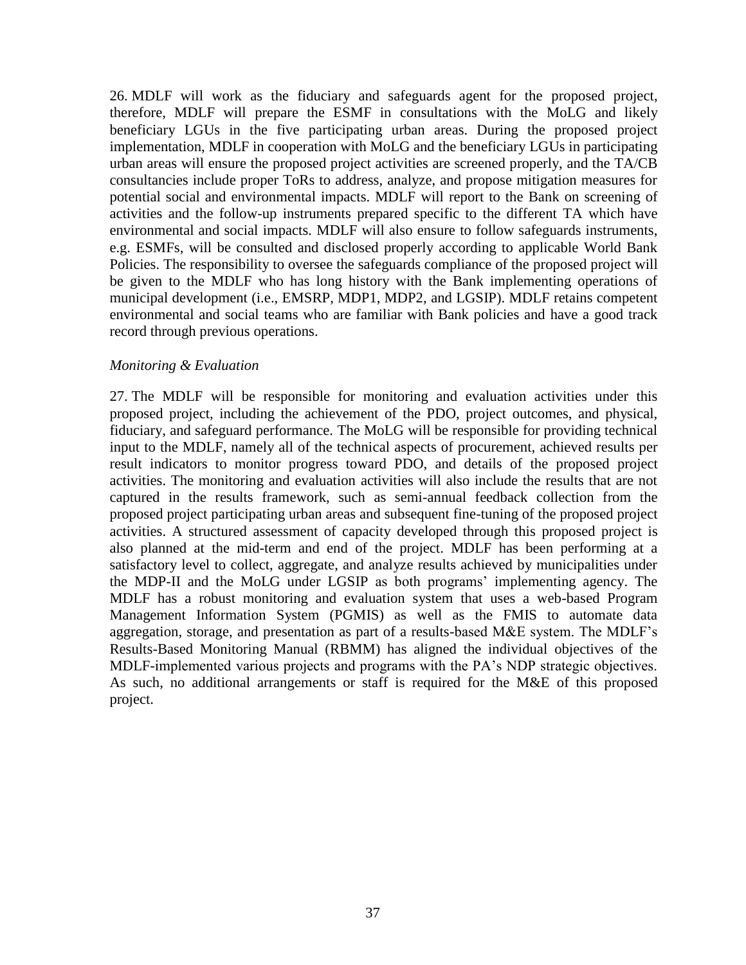26. MDLF will work as the fiduciary and safeguards agent for the proposed project, therefore, MDLF will prepare the ESMF in consultations with the MoLG and likely beneficiary LGUs in the five participating urban areas. During the proposed project implementation, MDLF in cooperation with MoLG and the beneficiary LGUs in participating urban areas will ensure the proposed project activities are screened properly, and the TA/CB consultancies include proper ToRs to address, analyze, and propose mitigation measures for potential social and environmental impacts. MDLF will report to the Bank on screening of activities and the follow-up instruments prepared specific to the different TA which have environmental and social impacts. MDLF will also ensure to follow safeguards instruments, e.g. ESMFs, will be consulted and disclosed properly according to applicable World Bank Policies. The responsibility to oversee the safeguards compliance of the proposed project will be given to the MDLF who has long history with the Bank implementing operations of municipal development (i.e., EMSRP, MDP1, MDP2, and LGSIP). MDLF retains competent environmental and social teams who are familiar with Bank policies and have a good track record through previous operations.

#### *Monitoring & Evaluation*

27. The MDLF will be responsible for monitoring and evaluation activities under this proposed project, including the achievement of the PDO, project outcomes, and physical, fiduciary, and safeguard performance. The MoLG will be responsible for providing technical input to the MDLF, namely all of the technical aspects of procurement, achieved results per result indicators to monitor progress toward PDO, and details of the proposed project activities. The monitoring and evaluation activities will also include the results that are not captured in the results framework, such as semi-annual feedback collection from the proposed project participating urban areas and subsequent fine-tuning of the proposed project activities. A structured assessment of capacity developed through this proposed project is also planned at the mid-term and end of the project. MDLF has been performing at a satisfactory level to collect, aggregate, and analyze results achieved by municipalities under the MDP-II and the MoLG under LGSIP as both programs' implementing agency. The MDLF has a robust monitoring and evaluation system that uses a web-based Program Management Information System (PGMIS) as well as the FMIS to automate data aggregation, storage, and presentation as part of a results-based M&E system. The MDLF's Results-Based Monitoring Manual (RBMM) has aligned the individual objectives of the MDLF-implemented various projects and programs with the PA's NDP strategic objectives. As such, no additional arrangements or staff is required for the M&E of this proposed project.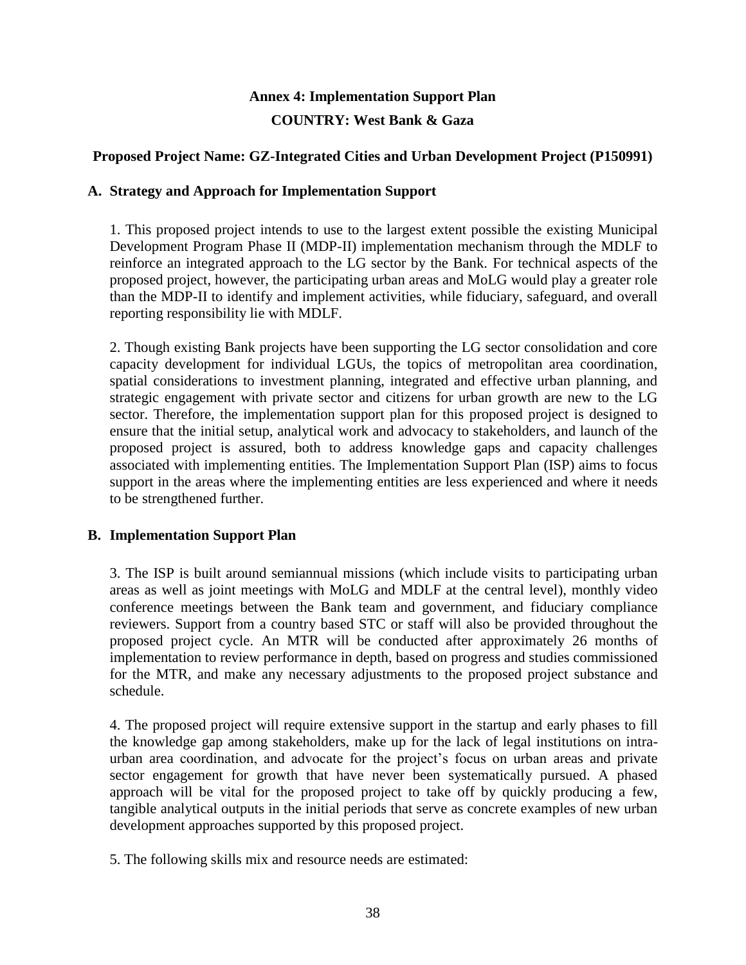# **Annex 4: Implementation Support Plan COUNTRY: West Bank & Gaza**

## **Proposed Project Name: GZ-Integrated Cities and Urban Development Project (P150991)**

## **A. Strategy and Approach for Implementation Support**

1. This proposed project intends to use to the largest extent possible the existing Municipal Development Program Phase II (MDP-II) implementation mechanism through the MDLF to reinforce an integrated approach to the LG sector by the Bank. For technical aspects of the proposed project, however, the participating urban areas and MoLG would play a greater role than the MDP-II to identify and implement activities, while fiduciary, safeguard, and overall reporting responsibility lie with MDLF.

2. Though existing Bank projects have been supporting the LG sector consolidation and core capacity development for individual LGUs, the topics of metropolitan area coordination, spatial considerations to investment planning, integrated and effective urban planning, and strategic engagement with private sector and citizens for urban growth are new to the LG sector. Therefore, the implementation support plan for this proposed project is designed to ensure that the initial setup, analytical work and advocacy to stakeholders, and launch of the proposed project is assured, both to address knowledge gaps and capacity challenges associated with implementing entities. The Implementation Support Plan (ISP) aims to focus support in the areas where the implementing entities are less experienced and where it needs to be strengthened further.

## **B. Implementation Support Plan**

3. The ISP is built around semiannual missions (which include visits to participating urban areas as well as joint meetings with MoLG and MDLF at the central level), monthly video conference meetings between the Bank team and government, and fiduciary compliance reviewers. Support from a country based STC or staff will also be provided throughout the proposed project cycle. An MTR will be conducted after approximately 26 months of implementation to review performance in depth, based on progress and studies commissioned for the MTR, and make any necessary adjustments to the proposed project substance and schedule.

4. The proposed project will require extensive support in the startup and early phases to fill the knowledge gap among stakeholders, make up for the lack of legal institutions on intraurban area coordination, and advocate for the project's focus on urban areas and private sector engagement for growth that have never been systematically pursued. A phased approach will be vital for the proposed project to take off by quickly producing a few, tangible analytical outputs in the initial periods that serve as concrete examples of new urban development approaches supported by this proposed project.

5. The following skills mix and resource needs are estimated: